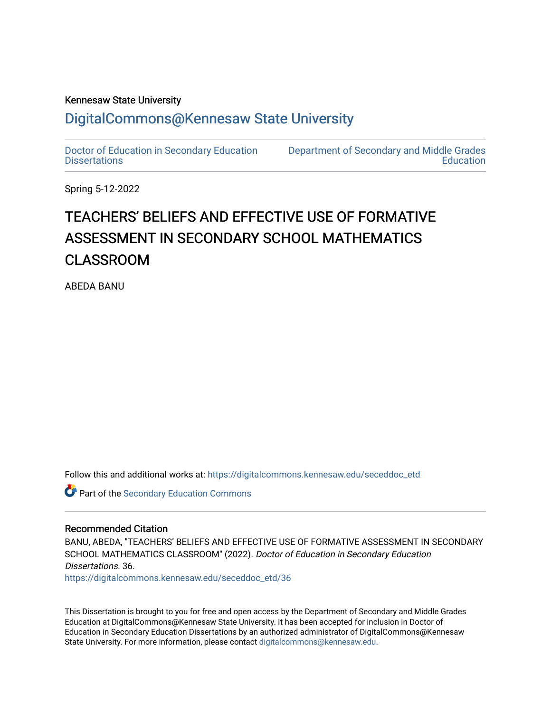### Kennesaw State University

## [DigitalCommons@Kennesaw State University](https://digitalcommons.kennesaw.edu/)

[Doctor of Education in Secondary Education](https://digitalcommons.kennesaw.edu/seceddoc_etd) **Dissertations** 

[Department of Secondary and Middle Grades](https://digitalcommons.kennesaw.edu/mge)  **Education** 

Spring 5-12-2022

# TEACHERS' BELIEFS AND EFFECTIVE USE OF FORMATIVE ASSESSMENT IN SECONDARY SCHOOL MATHEMATICS CLASSROOM

ABEDA BANU

Follow this and additional works at: [https://digitalcommons.kennesaw.edu/seceddoc\\_etd](https://digitalcommons.kennesaw.edu/seceddoc_etd?utm_source=digitalcommons.kennesaw.edu%2Fseceddoc_etd%2F36&utm_medium=PDF&utm_campaign=PDFCoverPages)

Part of the [Secondary Education Commons](http://network.bepress.com/hgg/discipline/1382?utm_source=digitalcommons.kennesaw.edu%2Fseceddoc_etd%2F36&utm_medium=PDF&utm_campaign=PDFCoverPages) 

#### Recommended Citation

BANU, ABEDA, "TEACHERS' BELIEFS AND EFFECTIVE USE OF FORMATIVE ASSESSMENT IN SECONDARY SCHOOL MATHEMATICS CLASSROOM" (2022). Doctor of Education in Secondary Education Dissertations. 36.

[https://digitalcommons.kennesaw.edu/seceddoc\\_etd/36](https://digitalcommons.kennesaw.edu/seceddoc_etd/36?utm_source=digitalcommons.kennesaw.edu%2Fseceddoc_etd%2F36&utm_medium=PDF&utm_campaign=PDFCoverPages) 

This Dissertation is brought to you for free and open access by the Department of Secondary and Middle Grades Education at DigitalCommons@Kennesaw State University. It has been accepted for inclusion in Doctor of Education in Secondary Education Dissertations by an authorized administrator of DigitalCommons@Kennesaw State University. For more information, please contact [digitalcommons@kennesaw.edu.](mailto:digitalcommons@kennesaw.edu)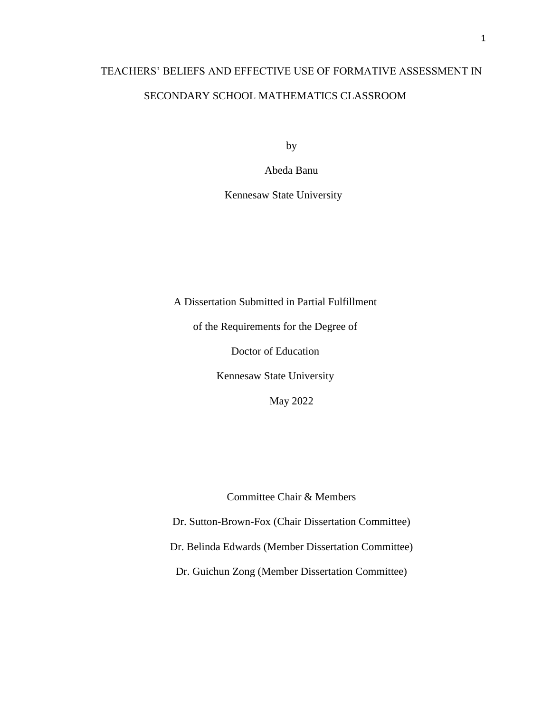# TEACHERS' BELIEFS AND EFFECTIVE USE OF FORMATIVE ASSESSMENT IN SECONDARY SCHOOL MATHEMATICS CLASSROOM

by

Abeda Banu

Kennesaw State University

A Dissertation Submitted in Partial Fulfillment

of the Requirements for the Degree of

Doctor of Education

Kennesaw State University

May 2022

Committee Chair & Members

Dr. Sutton-Brown-Fox (Chair Dissertation Committee) Dr. Belinda Edwards (Member Dissertation Committee)

Dr. Guichun Zong (Member Dissertation Committee)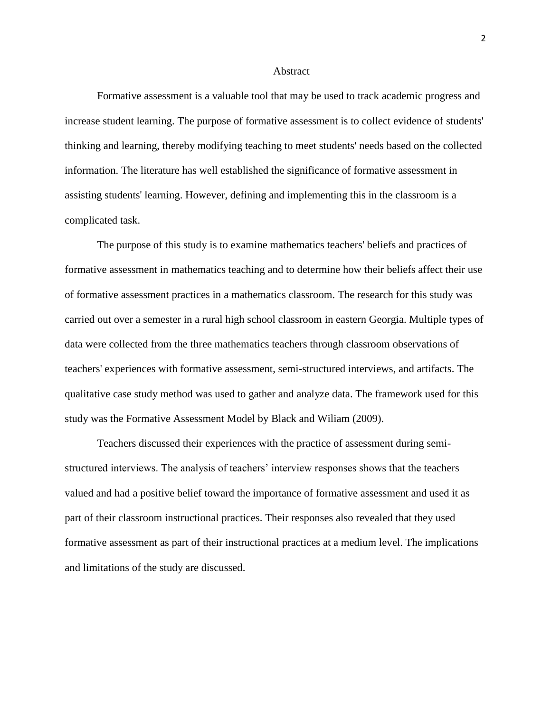#### **Abstract**

Formative assessment is a valuable tool that may be used to track academic progress and increase student learning. The purpose of formative assessment is to collect evidence of students' thinking and learning, thereby modifying teaching to meet students' needs based on the collected information. The literature has well established the significance of formative assessment in assisting students' learning. However, defining and implementing this in the classroom is a complicated task.

The purpose of this study is to examine mathematics teachers' beliefs and practices of formative assessment in mathematics teaching and to determine how their beliefs affect their use of formative assessment practices in a mathematics classroom. The research for this study was carried out over a semester in a rural high school classroom in eastern Georgia. Multiple types of data were collected from the three mathematics teachers through classroom observations of teachers' experiences with formative assessment, semi-structured interviews, and artifacts. The qualitative case study method was used to gather and analyze data. The framework used for this study was the Formative Assessment Model by Black and Wiliam (2009).

Teachers discussed their experiences with the practice of assessment during semistructured interviews. The analysis of teachers' interview responses shows that the teachers valued and had a positive belief toward the importance of formative assessment and used it as part of their classroom instructional practices. Their responses also revealed that they used formative assessment as part of their instructional practices at a medium level. The implications and limitations of the study are discussed.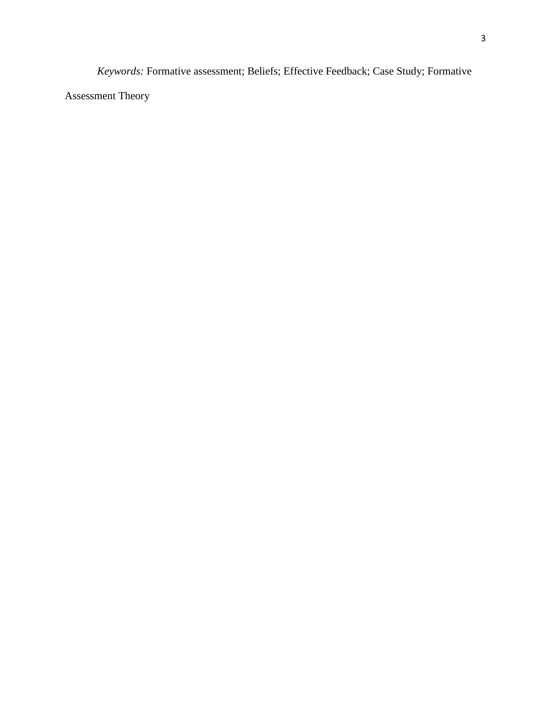*Keywords:* Formative assessment; Beliefs; Effective Feedback; Case Study; Formative Assessment Theory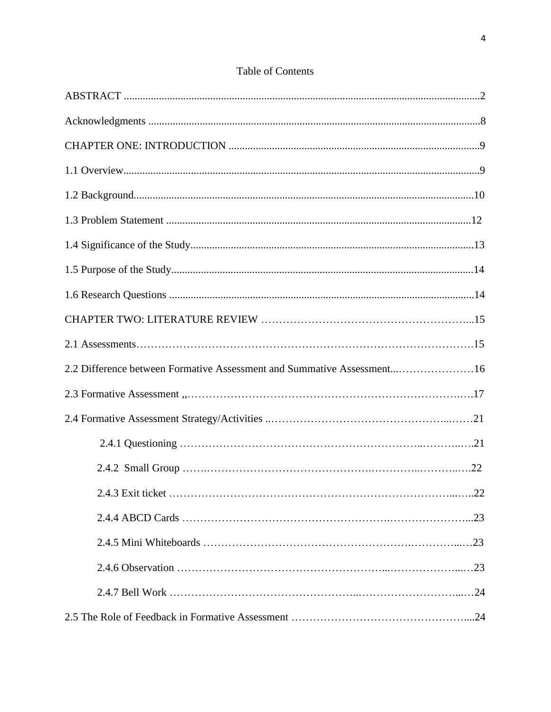| 2.2 Difference between Formative Assessment and Summative Assessment16 |  |
|------------------------------------------------------------------------|--|
|                                                                        |  |
|                                                                        |  |
|                                                                        |  |
|                                                                        |  |
|                                                                        |  |
|                                                                        |  |
|                                                                        |  |
|                                                                        |  |
|                                                                        |  |
|                                                                        |  |

## Table of Contents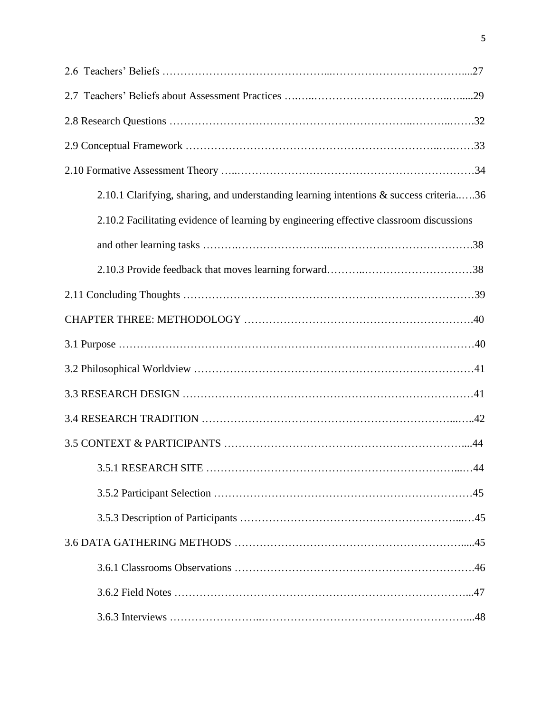| 2.10.1 Clarifying, sharing, and understanding learning intentions & success criteria36  |
|-----------------------------------------------------------------------------------------|
| 2.10.2 Facilitating evidence of learning by engineering effective classroom discussions |
|                                                                                         |
|                                                                                         |
|                                                                                         |
|                                                                                         |
|                                                                                         |
|                                                                                         |
|                                                                                         |
|                                                                                         |
|                                                                                         |
|                                                                                         |
|                                                                                         |
|                                                                                         |
|                                                                                         |
|                                                                                         |
|                                                                                         |
|                                                                                         |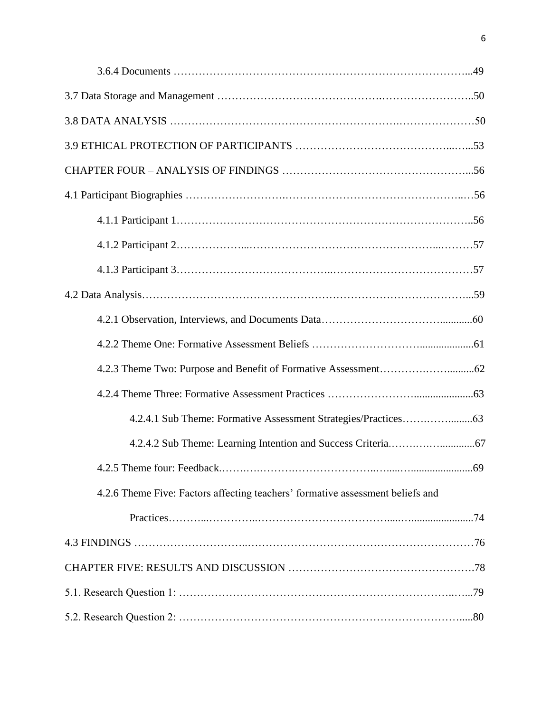| 4.2.6 Theme Five: Factors affecting teachers' formative assessment beliefs and |
|--------------------------------------------------------------------------------|
|                                                                                |
|                                                                                |
|                                                                                |
|                                                                                |
|                                                                                |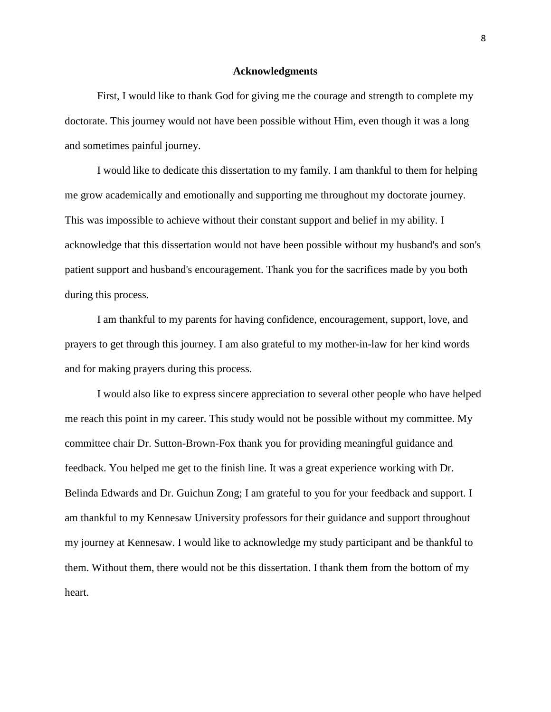#### **Acknowledgments**

First, I would like to thank God for giving me the courage and strength to complete my doctorate. This journey would not have been possible without Him, even though it was a long and sometimes painful journey.

I would like to dedicate this dissertation to my family. I am thankful to them for helping me grow academically and emotionally and supporting me throughout my doctorate journey. This was impossible to achieve without their constant support and belief in my ability. I acknowledge that this dissertation would not have been possible without my husband's and son's patient support and husband's encouragement. Thank you for the sacrifices made by you both during this process.

I am thankful to my parents for having confidence, encouragement, support, love, and prayers to get through this journey. I am also grateful to my mother-in-law for her kind words and for making prayers during this process.

I would also like to express sincere appreciation to several other people who have helped me reach this point in my career. This study would not be possible without my committee. My committee chair Dr. Sutton-Brown-Fox thank you for providing meaningful guidance and feedback. You helped me get to the finish line. It was a great experience working with Dr. Belinda Edwards and Dr. Guichun Zong; I am grateful to you for your feedback and support. I am thankful to my Kennesaw University professors for their guidance and support throughout my journey at Kennesaw. I would like to acknowledge my study participant and be thankful to them. Without them, there would not be this dissertation. I thank them from the bottom of my heart.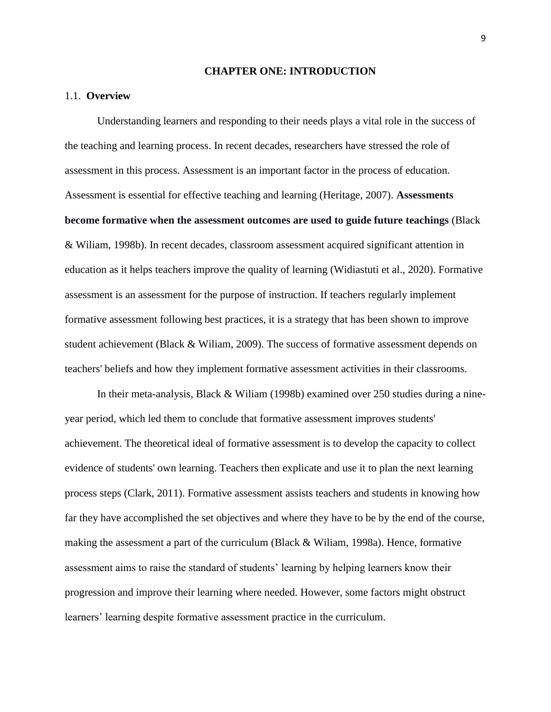#### **CHAPTER ONE: INTRODUCTION**

#### 1.1. **Overview**

Understanding learners and responding to their needs plays a vital role in the success of the teaching and learning process. In recent decades, researchers have stressed the role of assessment in this process. Assessment is an important factor in the process of education. Assessment is essential for effective teaching and learning (Heritage, 2007). **Assessments become formative when the assessment outcomes are used to guide future teachings** (Black & Wiliam, 1998b). In recent decades, classroom assessment acquired significant attention in education as it helps teachers improve the quality of learning (Widiastuti et al., 2020). Formative assessment is an assessment for the purpose of instruction. If teachers regularly implement formative assessment following best practices, it is a strategy that has been shown to improve student achievement (Black & Wiliam, 2009). The success of formative assessment depends on teachers' beliefs and how they implement formative assessment activities in their classrooms.

In their meta-analysis, Black & Wiliam (1998b) examined over 250 studies during a nineyear period, which led them to conclude that formative assessment improves students' achievement. The theoretical ideal of formative assessment is to develop the capacity to collect evidence of students' own learning. Teachers then explicate and use it to plan the next learning process steps (Clark, 2011). Formative assessment assists teachers and students in knowing how far they have accomplished the set objectives and where they have to be by the end of the course, making the assessment a part of the curriculum (Black & Wiliam, 1998a). Hence, formative assessment aims to raise the standard of students' learning by helping learners know their progression and improve their learning where needed. However, some factors might obstruct learners' learning despite formative assessment practice in the curriculum.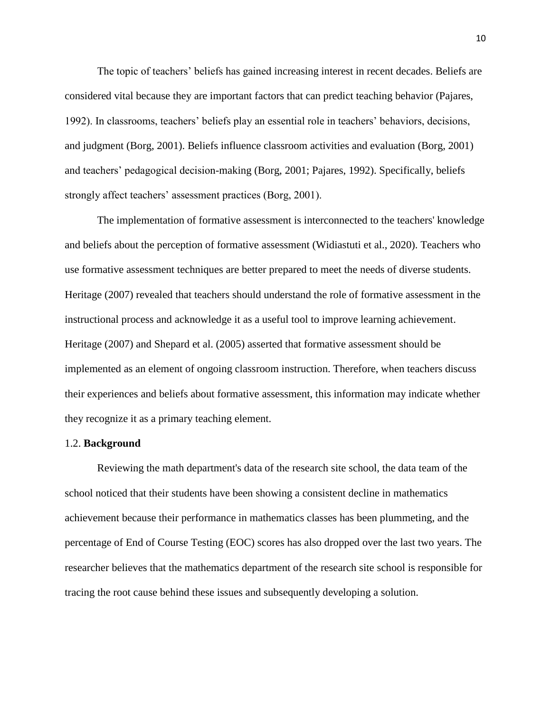The topic of teachers' beliefs has gained increasing interest in recent decades. Beliefs are considered vital because they are important factors that can predict teaching behavior (Pajares, 1992). In classrooms, teachers' beliefs play an essential role in teachers' behaviors, decisions, and judgment (Borg, 2001). Beliefs influence classroom activities and evaluation (Borg, 2001) and teachers' pedagogical decision-making (Borg, 2001; Pajares, 1992). Specifically, beliefs strongly affect teachers' assessment practices (Borg, 2001).

The implementation of formative assessment is interconnected to the teachers' knowledge and beliefs about the perception of formative assessment (Widiastuti et al., 2020). Teachers who use formative assessment techniques are better prepared to meet the needs of diverse students. Heritage (2007) revealed that teachers should understand the role of formative assessment in the instructional process and acknowledge it as a useful tool to improve learning achievement. Heritage (2007) and Shepard et al. (2005) asserted that formative assessment should be implemented as an element of ongoing classroom instruction. Therefore, when teachers discuss their experiences and beliefs about formative assessment, this information may indicate whether they recognize it as a primary teaching element.

#### 1.2. **Background**

Reviewing the math department's data of the research site school, the data team of the school noticed that their students have been showing a consistent decline in mathematics achievement because their performance in mathematics classes has been plummeting, and the percentage of End of Course Testing (EOC) scores has also dropped over the last two years. The researcher believes that the mathematics department of the research site school is responsible for tracing the root cause behind these issues and subsequently developing a solution.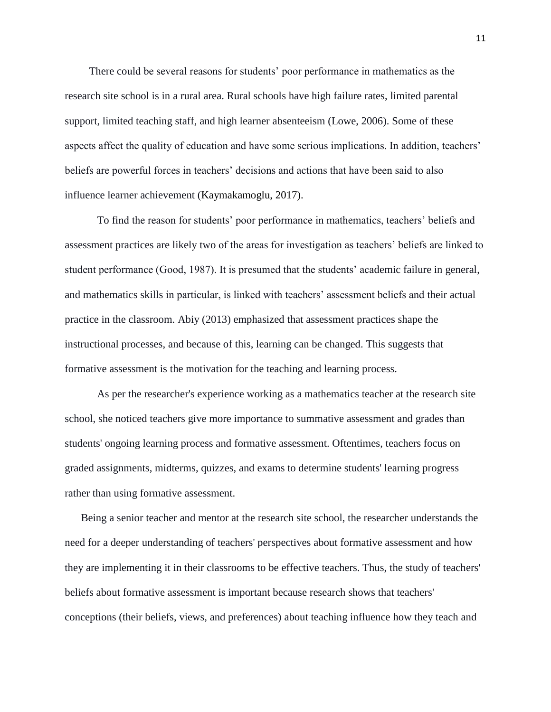There could be several reasons for students' poor performance in mathematics as the research site school is in a rural area. Rural schools have high failure rates, limited parental support, limited teaching staff, and high learner absenteeism (Lowe, 2006). Some of these aspects affect the quality of education and have some serious implications. In addition, teachers' beliefs are powerful forces in teachers' decisions and actions that have been said to also influence learner achievement (Kaymakamoglu, 2017).

To find the reason for students' poor performance in mathematics, teachers' beliefs and assessment practices are likely two of the areas for investigation as teachers' beliefs are linked to student performance (Good, 1987). It is presumed that the students' academic failure in general, and mathematics skills in particular, is linked with teachers' assessment beliefs and their actual practice in the classroom. Abiy (2013) emphasized that assessment practices shape the instructional processes, and because of this, learning can be changed. This suggests that formative assessment is the motivation for the teaching and learning process.

As per the researcher's experience working as a mathematics teacher at the research site school, she noticed teachers give more importance to summative assessment and grades than students' ongoing learning process and formative assessment. Oftentimes, teachers focus on graded assignments, midterms, quizzes, and exams to determine students' learning progress rather than using formative assessment.

Being a senior teacher and mentor at the research site school, the researcher understands the need for a deeper understanding of teachers' perspectives about formative assessment and how they are implementing it in their classrooms to be effective teachers. Thus, the study of teachers' beliefs about formative assessment is important because research shows that teachers' conceptions (their beliefs, views, and preferences) about teaching influence how they teach and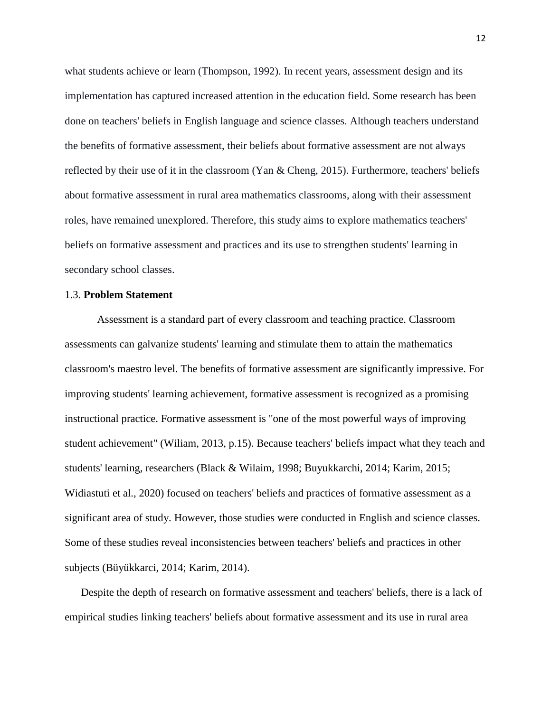what students achieve or learn (Thompson, 1992). In recent years, assessment design and its implementation has captured increased attention in the education field. Some research has been done on teachers' beliefs in English language and science classes. Although teachers understand the benefits of formative assessment, their beliefs about formative assessment are not always reflected by their use of it in the classroom (Yan & Cheng, 2015). Furthermore, teachers' beliefs about formative assessment in rural area mathematics classrooms, along with their assessment roles, have remained unexplored. Therefore, this study aims to explore mathematics teachers' beliefs on formative assessment and practices and its use to strengthen students' learning in secondary school classes.

#### 1.3. **Problem Statement**

Assessment is a standard part of every classroom and teaching practice. Classroom assessments can galvanize students' learning and stimulate them to attain the mathematics classroom's maestro level. The benefits of formative assessment are significantly impressive. For improving students' learning achievement, formative assessment is recognized as a promising instructional practice. Formative assessment is "one of the most powerful ways of improving student achievement" (Wiliam, 2013, p.15). Because teachers' beliefs impact what they teach and students' learning, researchers (Black & Wilaim, 1998; Buyukkarchi, 2014; Karim, 2015; Widiastuti et al., 2020) focused on teachers' beliefs and practices of formative assessment as a significant area of study. However, those studies were conducted in English and science classes. Some of these studies reveal inconsistencies between teachers' beliefs and practices in other subjects (Büyükkarci, 2014; Karim, 2014).

Despite the depth of research on formative assessment and teachers' beliefs, there is a lack of empirical studies linking teachers' beliefs about formative assessment and its use in rural area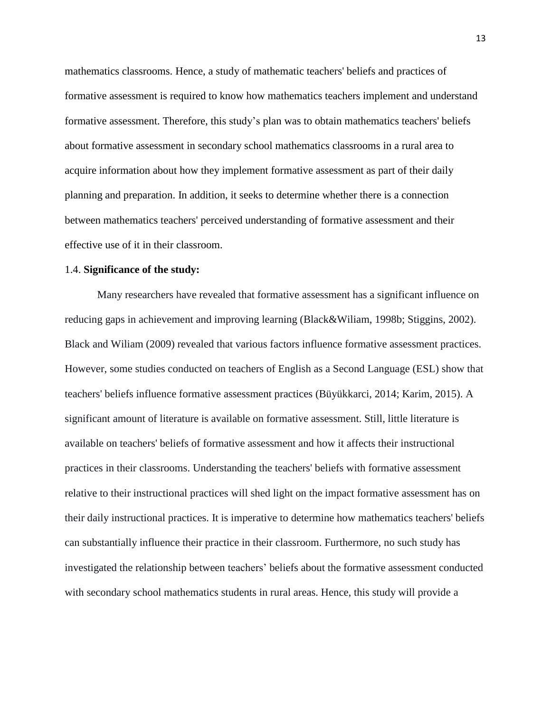mathematics classrooms. Hence, a study of mathematic teachers' beliefs and practices of formative assessment is required to know how mathematics teachers implement and understand formative assessment. Therefore, this study's plan was to obtain mathematics teachers' beliefs about formative assessment in secondary school mathematics classrooms in a rural area to acquire information about how they implement formative assessment as part of their daily planning and preparation. In addition, it seeks to determine whether there is a connection between mathematics teachers' perceived understanding of formative assessment and their effective use of it in their classroom.

#### 1.4. **Significance of the study:**

Many researchers have revealed that formative assessment has a significant influence on reducing gaps in achievement and improving learning (Black&Wiliam, 1998b; Stiggins, 2002). Black and Wiliam (2009) revealed that various factors influence formative assessment practices. However, some studies conducted on teachers of English as a Second Language (ESL) show that teachers' beliefs influence formative assessment practices (Büyükkarci, 2014; Karim, 2015). A significant amount of literature is available on formative assessment. Still, little literature is available on teachers' beliefs of formative assessment and how it affects their instructional practices in their classrooms. Understanding the teachers' beliefs with formative assessment relative to their instructional practices will shed light on the impact formative assessment has on their daily instructional practices. It is imperative to determine how mathematics teachers' beliefs can substantially influence their practice in their classroom. Furthermore, no such study has investigated the relationship between teachers' beliefs about the formative assessment conducted with secondary school mathematics students in rural areas. Hence, this study will provide a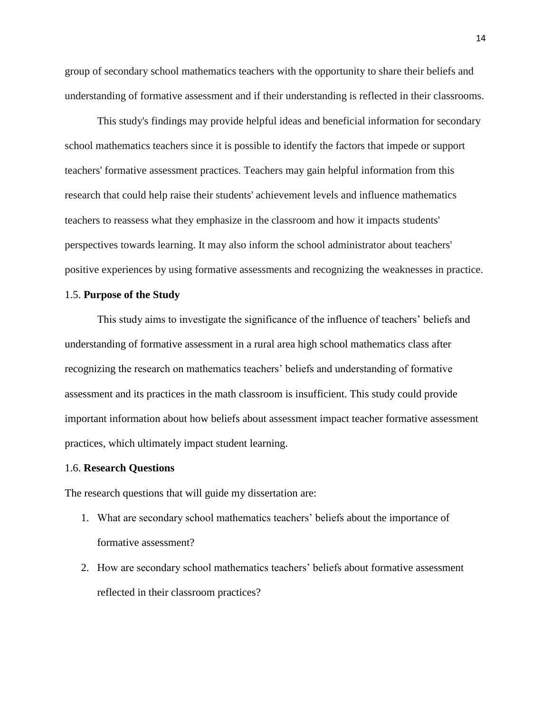group of secondary school mathematics teachers with the opportunity to share their beliefs and understanding of formative assessment and if their understanding is reflected in their classrooms.

This study's findings may provide helpful ideas and beneficial information for secondary school mathematics teachers since it is possible to identify the factors that impede or support teachers' formative assessment practices. Teachers may gain helpful information from this research that could help raise their students' achievement levels and influence mathematics teachers to reassess what they emphasize in the classroom and how it impacts students' perspectives towards learning. It may also inform the school administrator about teachers' positive experiences by using formative assessments and recognizing the weaknesses in practice.

#### 1.5. **Purpose of the Study**

This study aims to investigate the significance of the influence of teachers' beliefs and understanding of formative assessment in a rural area high school mathematics class after recognizing the research on mathematics teachers' beliefs and understanding of formative assessment and its practices in the math classroom is insufficient. This study could provide important information about how beliefs about assessment impact teacher formative assessment practices, which ultimately impact student learning.

#### 1.6. **Research Questions**

The research questions that will guide my dissertation are:

- 1. What are secondary school mathematics teachers' beliefs about the importance of formative assessment?
- 2. How are secondary school mathematics teachers' beliefs about formative assessment reflected in their classroom practices?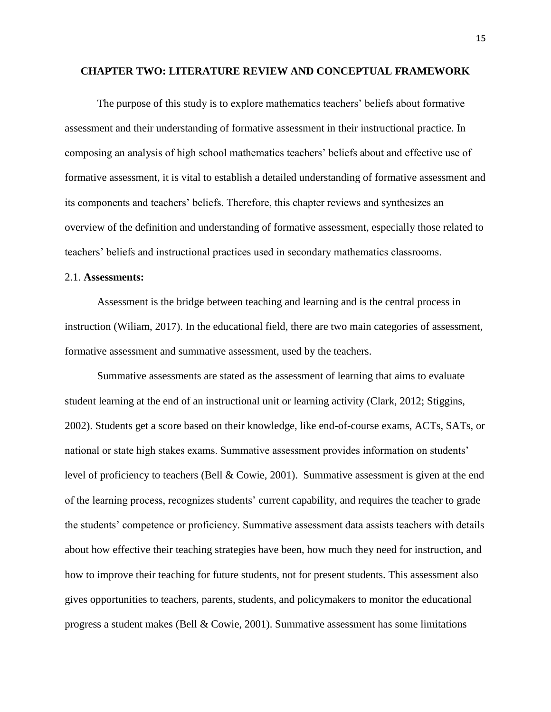#### **CHAPTER TWO: LITERATURE REVIEW AND CONCEPTUAL FRAMEWORK**

The purpose of this study is to explore mathematics teachers' beliefs about formative assessment and their understanding of formative assessment in their instructional practice. In composing an analysis of high school mathematics teachers' beliefs about and effective use of formative assessment, it is vital to establish a detailed understanding of formative assessment and its components and teachers' beliefs. Therefore, this chapter reviews and synthesizes an overview of the definition and understanding of formative assessment, especially those related to teachers' beliefs and instructional practices used in secondary mathematics classrooms.

### 2.1. **Assessments:**

Assessment is the bridge between teaching and learning and is the central process in instruction (Wiliam, 2017). In the educational field, there are two main categories of assessment, formative assessment and summative assessment, used by the teachers.

Summative assessments are stated as the assessment of learning that aims to evaluate student learning at the end of an instructional unit or learning activity (Clark, 2012; Stiggins, 2002). Students get a score based on their knowledge, like end-of-course exams, ACTs, SATs, or national or state high stakes exams. Summative assessment provides information on students' level of proficiency to teachers (Bell & Cowie, 2001). Summative assessment is given at the end of the learning process, recognizes students' current capability, and requires the teacher to grade the students' competence or proficiency. Summative assessment data assists teachers with details about how effective their teaching strategies have been, how much they need for instruction, and how to improve their teaching for future students, not for present students. This assessment also gives opportunities to teachers, parents, students, and policymakers to monitor the educational progress a student makes (Bell & Cowie, 2001). Summative assessment has some limitations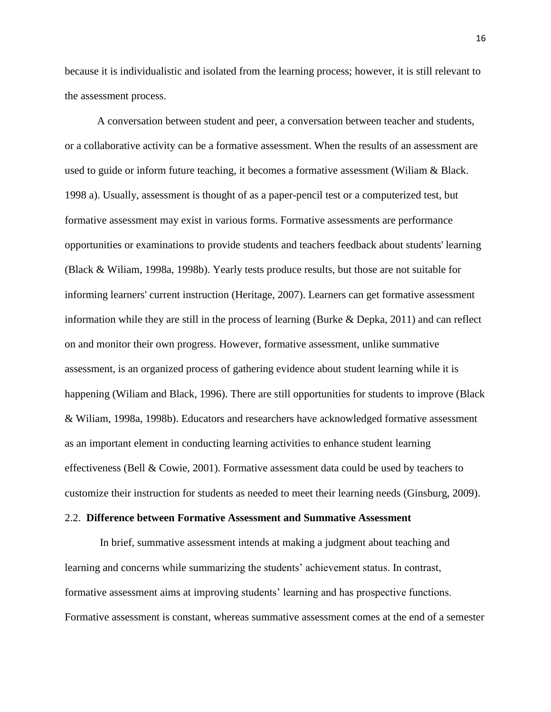because it is individualistic and isolated from the learning process; however, it is still relevant to the assessment process.

A conversation between student and peer, a conversation between teacher and students, or a collaborative activity can be a formative assessment. When the results of an assessment are used to guide or inform future teaching, it becomes a formative assessment (Wiliam & Black. 1998 a). Usually, assessment is thought of as a paper-pencil test or a computerized test, but formative assessment may exist in various forms. Formative assessments are performance opportunities or examinations to provide students and teachers feedback about students' learning (Black & Wiliam, 1998a, 1998b). Yearly tests produce results, but those are not suitable for informing learners' current instruction (Heritage, 2007). Learners can get formative assessment information while they are still in the process of learning (Burke & Depka, 2011) and can reflect on and monitor their own progress. However, formative assessment, unlike summative assessment, is an organized process of gathering evidence about student learning while it is happening (Wiliam and Black, 1996). There are still opportunities for students to improve (Black & Wiliam, 1998a, 1998b). Educators and researchers have acknowledged formative assessment as an important element in conducting learning activities to enhance student learning effectiveness (Bell & Cowie, 2001). Formative assessment data could be used by teachers to customize their instruction for students as needed to meet their learning needs (Ginsburg, 2009).

#### 2.2. **Difference between Formative Assessment and Summative Assessment**

In brief, summative assessment intends at making a judgment about teaching and learning and concerns while summarizing the students' achievement status. In contrast, formative assessment aims at improving students' learning and has prospective functions. Formative assessment is constant, whereas summative assessment comes at the end of a semester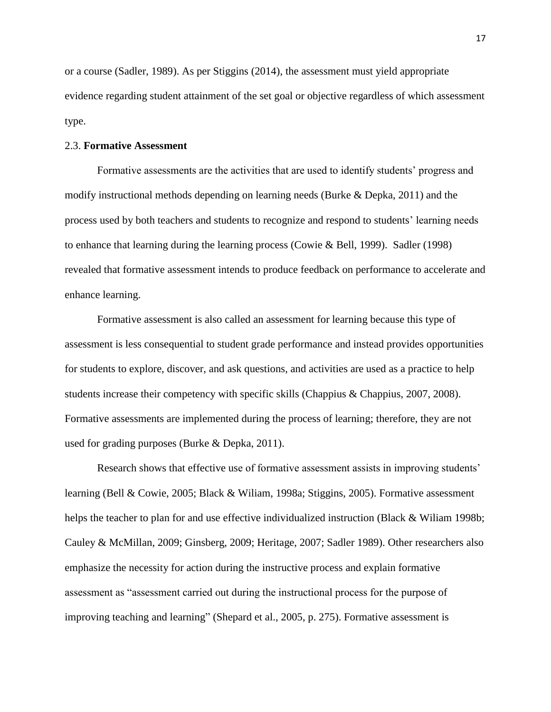or a course (Sadler, 1989). As per Stiggins (2014), the assessment must yield appropriate evidence regarding student attainment of the set goal or objective regardless of which assessment type.

#### 2.3. **Formative Assessment**

Formative assessments are the activities that are used to identify students' progress and modify instructional methods depending on learning needs (Burke & Depka, 2011) and the process used by both teachers and students to recognize and respond to students' learning needs to enhance that learning during the learning process (Cowie & Bell, 1999). Sadler (1998) revealed that formative assessment intends to produce feedback on performance to accelerate and enhance learning.

Formative assessment is also called an assessment for learning because this type of assessment is less consequential to student grade performance and instead provides opportunities for students to explore, discover, and ask questions, and activities are used as a practice to help students increase their competency with specific skills (Chappius & Chappius, 2007, 2008). Formative assessments are implemented during the process of learning; therefore, they are not used for grading purposes (Burke & Depka, 2011).

Research shows that effective use of formative assessment assists in improving students' learning (Bell & Cowie, 2005; Black & Wiliam, 1998a; Stiggins, 2005). Formative assessment helps the teacher to plan for and use effective individualized instruction (Black & Wiliam 1998b; Cauley & McMillan, 2009; Ginsberg, 2009; Heritage, 2007; Sadler 1989). Other researchers also emphasize the necessity for action during the instructive process and explain formative assessment as "assessment carried out during the instructional process for the purpose of improving teaching and learning" (Shepard et al., 2005, p. 275). Formative assessment is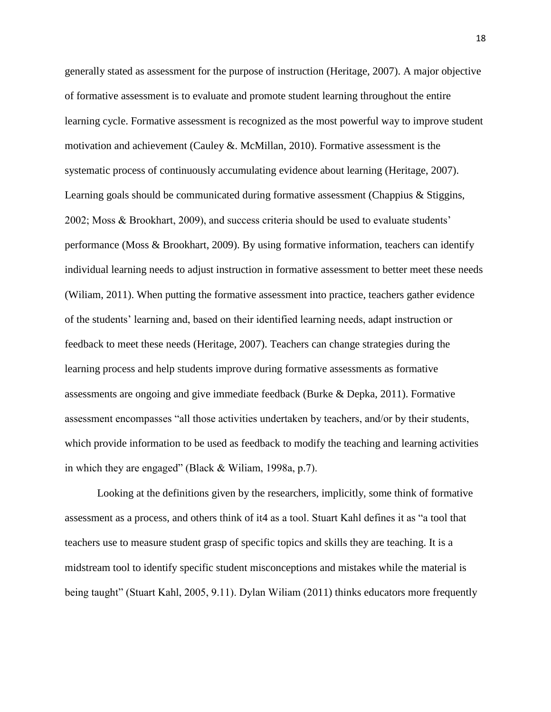generally stated as assessment for the purpose of instruction (Heritage, 2007). A major objective of formative assessment is to evaluate and promote student learning throughout the entire learning cycle. Formative assessment is recognized as the most powerful way to improve student motivation and achievement (Cauley &. McMillan, 2010). Formative assessment is the systematic process of continuously accumulating evidence about learning (Heritage, 2007). Learning goals should be communicated during formative assessment (Chappius & Stiggins, 2002; Moss & Brookhart, 2009), and success criteria should be used to evaluate students' performance (Moss & Brookhart, 2009). By using formative information, teachers can identify individual learning needs to adjust instruction in formative assessment to better meet these needs (Wiliam, 2011). When putting the formative assessment into practice, teachers gather evidence of the students' learning and, based on their identified learning needs, adapt instruction or feedback to meet these needs (Heritage, 2007). Teachers can change strategies during the learning process and help students improve during formative assessments as formative assessments are ongoing and give immediate feedback (Burke & Depka, 2011). Formative assessment encompasses "all those activities undertaken by teachers, and/or by their students, which provide information to be used as feedback to modify the teaching and learning activities in which they are engaged" (Black & Wiliam, 1998a, p.7).

Looking at the definitions given by the researchers, implicitly, some think of formative assessment as a process, and others think of it4 as a tool. Stuart Kahl defines it as "a tool that teachers use to measure student grasp of specific topics and skills they are teaching. It is a midstream tool to identify specific student misconceptions and mistakes while the material is being taught" (Stuart Kahl, 2005, 9.11). Dylan Wiliam (2011) thinks educators more frequently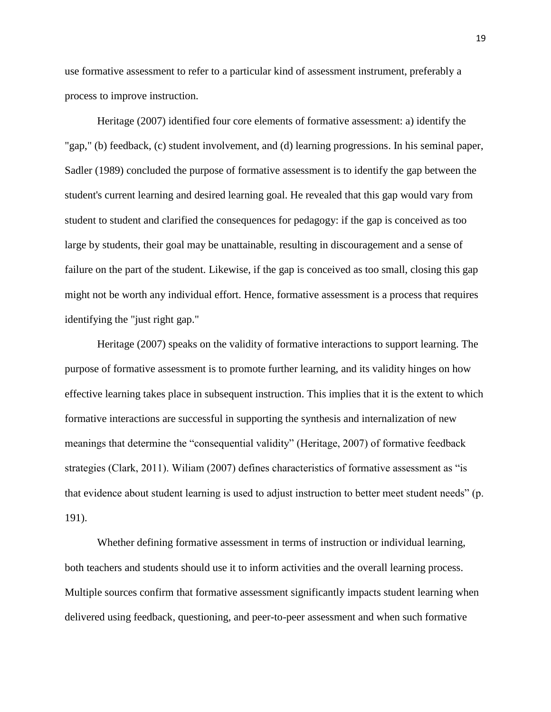use formative assessment to refer to a particular kind of assessment instrument, preferably a process to improve instruction.

Heritage (2007) identified four core elements of formative assessment: a) identify the "gap," (b) feedback, (c) student involvement, and (d) learning progressions. In his seminal paper, Sadler (1989) concluded the purpose of formative assessment is to identify the gap between the student's current learning and desired learning goal. He revealed that this gap would vary from student to student and clarified the consequences for pedagogy: if the gap is conceived as too large by students, their goal may be unattainable, resulting in discouragement and a sense of failure on the part of the student. Likewise, if the gap is conceived as too small, closing this gap might not be worth any individual effort. Hence, formative assessment is a process that requires identifying the "just right gap."

Heritage (2007) speaks on the validity of formative interactions to support learning. The purpose of formative assessment is to promote further learning, and its validity hinges on how effective learning takes place in subsequent instruction. This implies that it is the extent to which formative interactions are successful in supporting the synthesis and internalization of new meanings that determine the "consequential validity" (Heritage, 2007) of formative feedback strategies (Clark, 2011). Wiliam (2007) defines characteristics of formative assessment as "is that evidence about student learning is used to adjust instruction to better meet student needs" (p. 191).

Whether defining formative assessment in terms of instruction or individual learning, both teachers and students should use it to inform activities and the overall learning process. Multiple sources confirm that formative assessment significantly impacts student learning when delivered using feedback, questioning, and peer-to-peer assessment and when such formative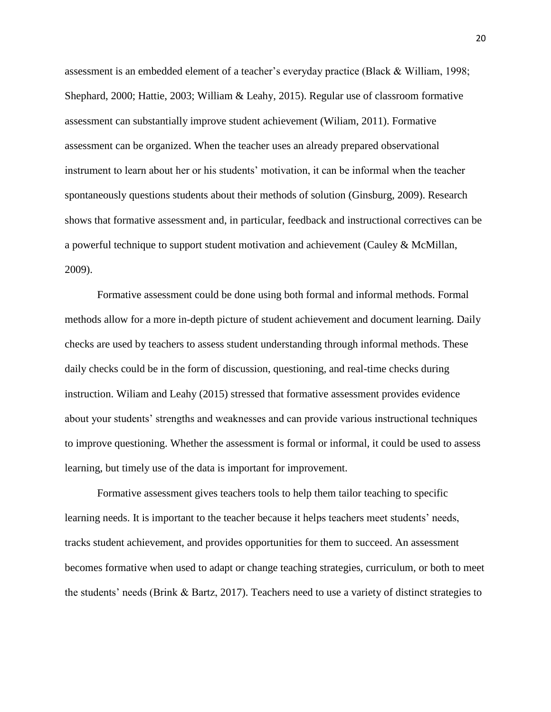assessment is an embedded element of a teacher's everyday practice (Black & William, 1998; Shephard, 2000; Hattie, 2003; William & Leahy, 2015). Regular use of classroom formative assessment can substantially improve student achievement (Wiliam, 2011). Formative assessment can be organized. When the teacher uses an already prepared observational instrument to learn about her or his students' motivation, it can be informal when the teacher spontaneously questions students about their methods of solution (Ginsburg, 2009). Research shows that formative assessment and, in particular, feedback and instructional correctives can be a powerful technique to support student motivation and achievement (Cauley & McMillan, 2009).

Formative assessment could be done using both formal and informal methods. Formal methods allow for a more in-depth picture of student achievement and document learning. Daily checks are used by teachers to assess student understanding through informal methods. These daily checks could be in the form of discussion, questioning, and real-time checks during instruction. Wiliam and Leahy (2015) stressed that formative assessment provides evidence about your students' strengths and weaknesses and can provide various instructional techniques to improve questioning. Whether the assessment is formal or informal, it could be used to assess learning, but timely use of the data is important for improvement.

Formative assessment gives teachers tools to help them tailor teaching to specific learning needs. It is important to the teacher because it helps teachers meet students' needs, tracks student achievement, and provides opportunities for them to succeed. An assessment becomes formative when used to adapt or change teaching strategies, curriculum, or both to meet the students' needs (Brink & Bartz, 2017). Teachers need to use a variety of distinct strategies to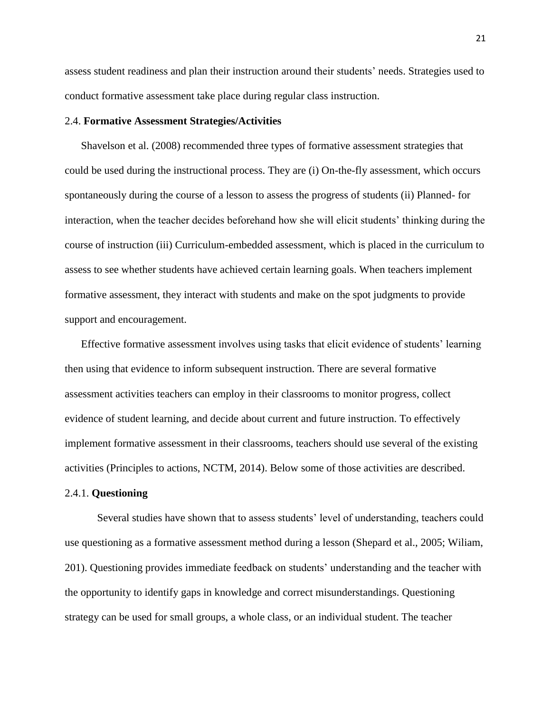assess student readiness and plan their instruction around their students' needs. Strategies used to conduct formative assessment take place during regular class instruction.

#### 2.4. **Formative Assessment Strategies/Activities**

Shavelson et al. (2008) recommended three types of formative assessment strategies that could be used during the instructional process. They are (i) On-the-fly assessment, which occurs spontaneously during the course of a lesson to assess the progress of students (ii) Planned- for interaction, when the teacher decides beforehand how she will elicit students' thinking during the course of instruction (iii) Curriculum-embedded assessment, which is placed in the curriculum to assess to see whether students have achieved certain learning goals. When teachers implement formative assessment, they interact with students and make on the spot judgments to provide support and encouragement.

Effective formative assessment involves using tasks that elicit evidence of students' learning then using that evidence to inform subsequent instruction. There are several formative assessment activities teachers can employ in their classrooms to monitor progress, collect evidence of student learning, and decide about current and future instruction. To effectively implement formative assessment in their classrooms, teachers should use several of the existing activities (Principles to actions, NCTM, 2014). Below some of those activities are described.

#### 2.4.1. **Questioning**

Several studies have shown that to assess students' level of understanding, teachers could use questioning as a formative assessment method during a lesson (Shepard et al., 2005; Wiliam, 201). Questioning provides immediate feedback on students' understanding and the teacher with the opportunity to identify gaps in knowledge and correct misunderstandings. Questioning strategy can be used for small groups, a whole class, or an individual student. The teacher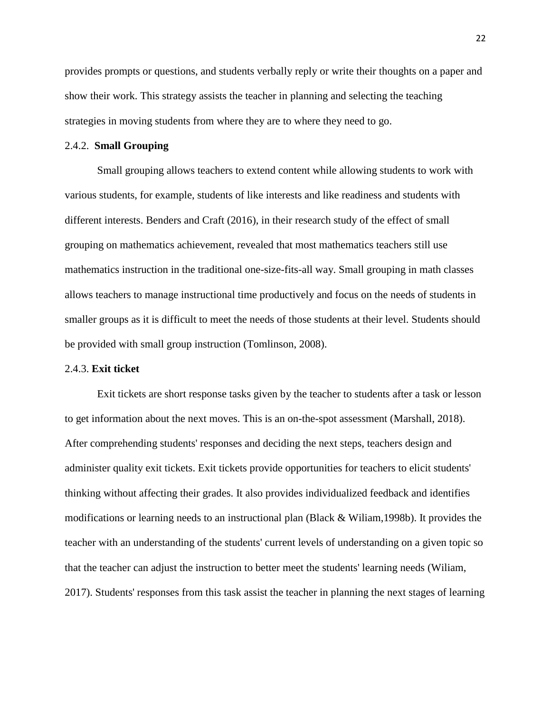provides prompts or questions, and students verbally reply or write their thoughts on a paper and show their work. This strategy assists the teacher in planning and selecting the teaching strategies in moving students from where they are to where they need to go.

#### 2.4.2. **Small Grouping**

Small grouping allows teachers to extend content while allowing students to work with various students, for example, students of like interests and like readiness and students with different interests. Benders and Craft (2016), in their research study of the effect of small grouping on mathematics achievement, revealed that most mathematics teachers still use mathematics instruction in the traditional one-size-fits-all way. Small grouping in math classes allows teachers to manage instructional time productively and focus on the needs of students in smaller groups as it is difficult to meet the needs of those students at their level. Students should be provided with small group instruction (Tomlinson, 2008).

#### 2.4.3. **Exit ticket**

Exit tickets are short response tasks given by the teacher to students after a task or lesson to get information about the next moves. This is an on-the-spot assessment (Marshall, 2018). After comprehending students' responses and deciding the next steps, teachers design and administer quality exit tickets. Exit tickets provide opportunities for teachers to elicit students' thinking without affecting their grades. It also provides individualized feedback and identifies modifications or learning needs to an instructional plan (Black & Wiliam,1998b). It provides the teacher with an understanding of the students' current levels of understanding on a given topic so that the teacher can adjust the instruction to better meet the students' learning needs (Wiliam, 2017). Students' responses from this task assist the teacher in planning the next stages of learning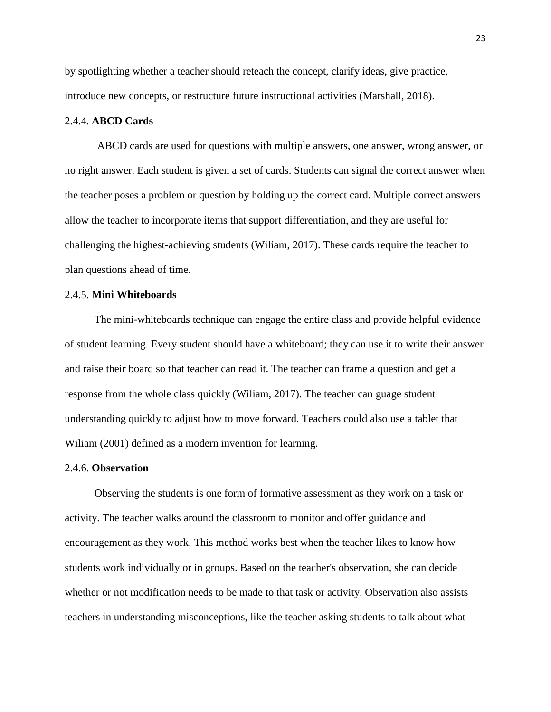by spotlighting whether a teacher should reteach the concept, clarify ideas, give practice, introduce new concepts, or restructure future instructional activities (Marshall, 2018).

#### 2.4.4. **ABCD Cards**

ABCD cards are used for questions with multiple answers, one answer, wrong answer, or no right answer. Each student is given a set of cards. Students can signal the correct answer when the teacher poses a problem or question by holding up the correct card. Multiple correct answers allow the teacher to incorporate items that support differentiation, and they are useful for challenging the highest-achieving students (Wiliam, 2017). These cards require the teacher to plan questions ahead of time.

#### 2.4.5. **Mini Whiteboards**

 The mini-whiteboards technique can engage the entire class and provide helpful evidence of student learning. Every student should have a whiteboard; they can use it to write their answer and raise their board so that teacher can read it. The teacher can frame a question and get a response from the whole class quickly (Wiliam, 2017). The teacher can guage student understanding quickly to adjust how to move forward. Teachers could also use a tablet that William (2001) defined as a modern invention for learning.

#### 2.4.6. **Observation**

 Observing the students is one form of formative assessment as they work on a task or activity. The teacher walks around the classroom to monitor and offer guidance and encouragement as they work. This method works best when the teacher likes to know how students work individually or in groups. Based on the teacher's observation, she can decide whether or not modification needs to be made to that task or activity. Observation also assists teachers in understanding misconceptions, like the teacher asking students to talk about what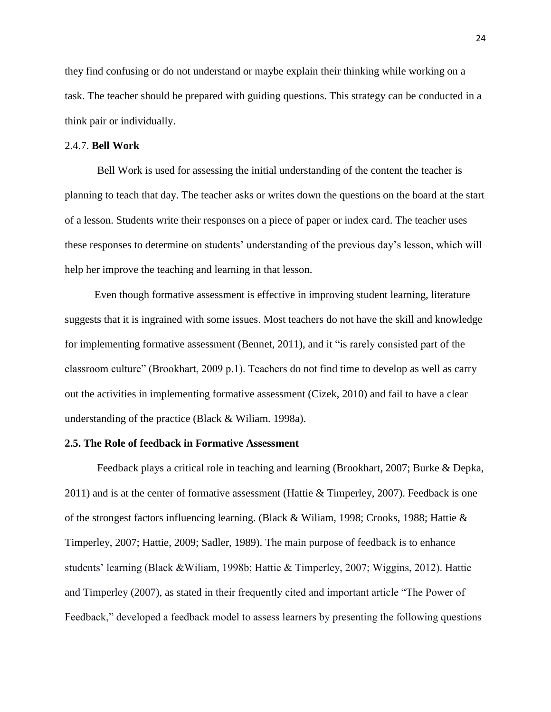they find confusing or do not understand or maybe explain their thinking while working on a task. The teacher should be prepared with guiding questions. This strategy can be conducted in a think pair or individually.

#### 2.4.7. **Bell Work**

Bell Work is used for assessing the initial understanding of the content the teacher is planning to teach that day. The teacher asks or writes down the questions on the board at the start of a lesson. Students write their responses on a piece of paper or index card. The teacher uses these responses to determine on students' understanding of the previous day's lesson, which will help her improve the teaching and learning in that lesson.

 Even though formative assessment is effective in improving student learning, literature suggests that it is ingrained with some issues. Most teachers do not have the skill and knowledge for implementing formative assessment (Bennet, 2011), and it "is rarely consisted part of the classroom culture" (Brookhart, 2009 p.1). Teachers do not find time to develop as well as carry out the activities in implementing formative assessment (Cizek, 2010) and fail to have a clear understanding of the practice (Black & Wiliam. 1998a).

#### **2.5. The Role of feedback in Formative Assessment**

Feedback plays a critical role in teaching and learning (Brookhart, 2007; Burke & Depka,  $2011$ ) and is at the center of formative assessment (Hattie & Timperley, 2007). Feedback is one of the strongest factors influencing learning. (Black & Wiliam, 1998; Crooks, 1988; Hattie & Timperley, 2007; Hattie, 2009; Sadler, 1989). The main purpose of feedback is to enhance students' learning (Black &Wiliam, 1998b; Hattie & Timperley, 2007; Wiggins, 2012). Hattie and Timperley (2007), as stated in their frequently cited and important article "The Power of Feedback," developed a feedback model to assess learners by presenting the following questions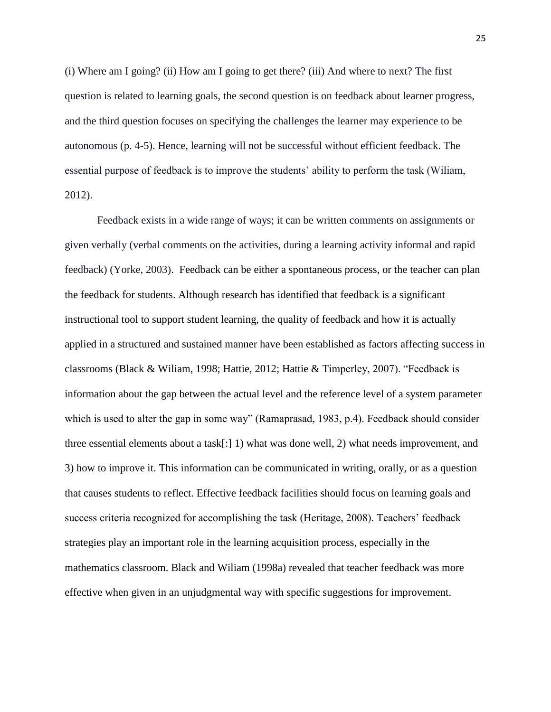(i) Where am I going? (ii) How am I going to get there? (iii) And where to next? The first question is related to learning goals, the second question is on feedback about learner progress, and the third question focuses on specifying the challenges the learner may experience to be autonomous (p. 4-5). Hence, learning will not be successful without efficient feedback. The essential purpose of feedback is to improve the students' ability to perform the task (Wiliam, 2012).

Feedback exists in a wide range of ways; it can be written comments on assignments or given verbally (verbal comments on the activities, during a learning activity informal and rapid feedback) (Yorke, 2003). Feedback can be either a spontaneous process, or the teacher can plan the feedback for students. Although research has identified that feedback is a significant instructional tool to support student learning, the quality of feedback and how it is actually applied in a structured and sustained manner have been established as factors affecting success in classrooms (Black & Wiliam, 1998; Hattie, 2012; Hattie & Timperley, 2007). "Feedback is information about the gap between the actual level and the reference level of a system parameter which is used to alter the gap in some way" (Ramaprasad, 1983, p.4). Feedback should consider three essential elements about a task[:] 1) what was done well, 2) what needs improvement, and 3) how to improve it. This information can be communicated in writing, orally, or as a question that causes students to reflect. Effective feedback facilities should focus on learning goals and success criteria recognized for accomplishing the task (Heritage, 2008). Teachers' feedback strategies play an important role in the learning acquisition process, especially in the mathematics classroom. Black and Wiliam (1998a) revealed that teacher feedback was more effective when given in an unjudgmental way with specific suggestions for improvement.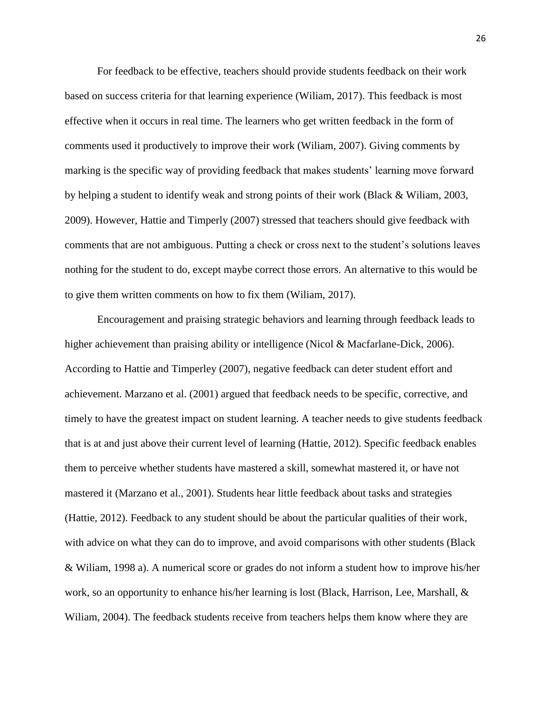For feedback to be effective, teachers should provide students feedback on their work based on success criteria for that learning experience (Wiliam, 2017). This feedback is most effective when it occurs in real time. The learners who get written feedback in the form of comments used it productively to improve their work (Wiliam, 2007). Giving comments by marking is the specific way of providing feedback that makes students' learning move forward by helping a student to identify weak and strong points of their work (Black & Wiliam, 2003, 2009). However, Hattie and Timperly (2007) stressed that teachers should give feedback with comments that are not ambiguous. Putting a check or cross next to the student's solutions leaves nothing for the student to do, except maybe correct those errors. An alternative to this would be to give them written comments on how to fix them (Wiliam, 2017).

Encouragement and praising strategic behaviors and learning through feedback leads to higher achievement than praising ability or intelligence (Nicol & Macfarlane-Dick, 2006). According to Hattie and Timperley (2007), negative feedback can deter student effort and achievement. Marzano et al. (2001) argued that feedback needs to be specific, corrective, and timely to have the greatest impact on student learning. A teacher needs to give students feedback that is at and just above their current level of learning (Hattie, 2012). Specific feedback enables them to perceive whether students have mastered a skill, somewhat mastered it, or have not mastered it (Marzano et al., 2001). Students hear little feedback about tasks and strategies (Hattie, 2012). Feedback to any student should be about the particular qualities of their work, with advice on what they can do to improve, and avoid comparisons with other students (Black & Wiliam, 1998 a). A numerical score or grades do not inform a student how to improve his/her work, so an opportunity to enhance his/her learning is lost (Black, Harrison, Lee, Marshall, & Wiliam, 2004). The feedback students receive from teachers helps them know where they are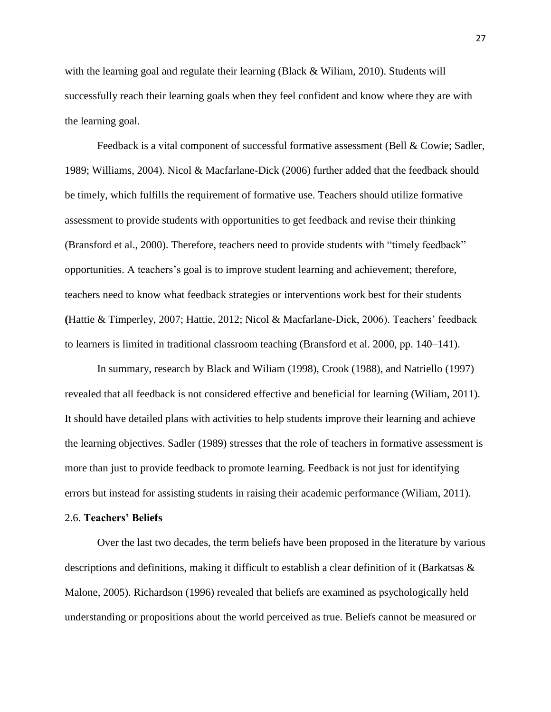with the learning goal and regulate their learning (Black & Wiliam, 2010). Students will successfully reach their learning goals when they feel confident and know where they are with the learning goal.

Feedback is a vital component of successful formative assessment (Bell & Cowie; Sadler, 1989; Williams, 2004). Nicol & Macfarlane-Dick (2006) further added that the feedback should be timely, which fulfills the requirement of formative use. Teachers should utilize formative assessment to provide students with opportunities to get feedback and revise their thinking (Bransford et al., 2000). Therefore, teachers need to provide students with "timely feedback" opportunities. A teachers's goal is to improve student learning and achievement; therefore, teachers need to know what feedback strategies or interventions work best for their students **(**Hattie & Timperley, 2007; Hattie, 2012; Nicol & Macfarlane-Dick, 2006). Teachers' feedback to learners is limited in traditional classroom teaching (Bransford et al. 2000, pp. 140–141).

In summary, research by Black and Wiliam (1998), Crook (1988), and Natriello (1997) revealed that all feedback is not considered effective and beneficial for learning (Wiliam, 2011). It should have detailed plans with activities to help students improve their learning and achieve the learning objectives. Sadler (1989) stresses that the role of teachers in formative assessment is more than just to provide feedback to promote learning. Feedback is not just for identifying errors but instead for assisting students in raising their academic performance (Wiliam, 2011).

#### 2.6. **Teachers' Beliefs**

Over the last two decades, the term beliefs have been proposed in the literature by various descriptions and definitions, making it difficult to establish a clear definition of it (Barkatsas & Malone, 2005). Richardson (1996) revealed that beliefs are examined as psychologically held understanding or propositions about the world perceived as true. Beliefs cannot be measured or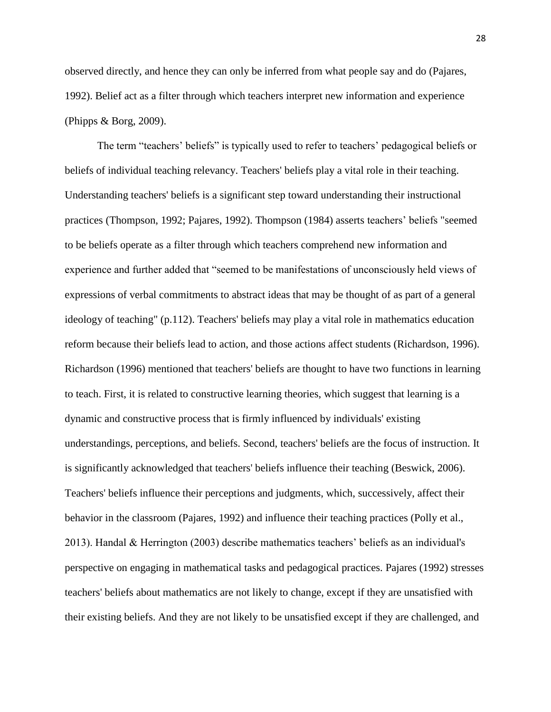observed directly, and hence they can only be inferred from what people say and do (Pajares, 1992). Belief act as a filter through which teachers interpret new information and experience (Phipps & Borg, 2009).

The term "teachers' beliefs" is typically used to refer to teachers' pedagogical beliefs or beliefs of individual teaching relevancy. Teachers' beliefs play a vital role in their teaching. Understanding teachers' beliefs is a significant step toward understanding their instructional practices (Thompson, 1992; Pajares, 1992). Thompson (1984) asserts teachers' beliefs "seemed to be beliefs operate as a filter through which teachers comprehend new information and experience and further added that "seemed to be manifestations of unconsciously held views of expressions of verbal commitments to abstract ideas that may be thought of as part of a general ideology of teaching" (p.112). Teachers' beliefs may play a vital role in mathematics education reform because their beliefs lead to action, and those actions affect students (Richardson, 1996). Richardson (1996) mentioned that teachers' beliefs are thought to have two functions in learning to teach. First, it is related to constructive learning theories, which suggest that learning is a dynamic and constructive process that is firmly influenced by individuals' existing understandings, perceptions, and beliefs. Second, teachers' beliefs are the focus of instruction. It is significantly acknowledged that teachers' beliefs influence their teaching (Beswick, 2006). Teachers' beliefs influence their perceptions and judgments, which, successively, affect their behavior in the classroom (Pajares, 1992) and influence their teaching practices (Polly et al., 2013). Handal & Herrington (2003) describe mathematics teachers' beliefs as an individual's perspective on engaging in mathematical tasks and pedagogical practices. Pajares (1992) stresses teachers' beliefs about mathematics are not likely to change, except if they are unsatisfied with their existing beliefs. And they are not likely to be unsatisfied except if they are challenged, and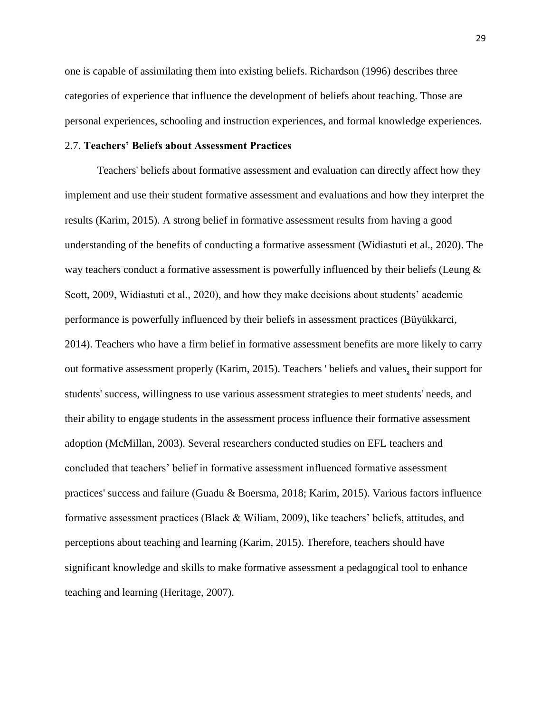one is capable of assimilating them into existing beliefs. Richardson (1996) describes three categories of experience that influence the development of beliefs about teaching. Those are personal experiences, schooling and instruction experiences, and formal knowledge experiences.

#### 2.7. **Teachers' Beliefs about Assessment Practices**

Teachers' beliefs about formative assessment and evaluation can directly affect how they implement and use their student formative assessment and evaluations and how they interpret the results (Karim, 2015). A strong belief in formative assessment results from having a good understanding of the benefits of conducting a formative assessment (Widiastuti et al., 2020). The way teachers conduct a formative assessment is powerfully influenced by their beliefs (Leung & Scott, 2009, Widiastuti et al., 2020), and how they make decisions about students' academic performance is powerfully influenced by their beliefs in assessment practices (Büyükkarci, 2014). Teachers who have a firm belief in formative assessment benefits are more likely to carry out formative assessment properly (Karim, 2015). Teachers ' beliefs and values, their support for students' success, willingness to use various assessment strategies to meet students' needs, and their ability to engage students in the assessment process influence their formative assessment adoption (McMillan, 2003). Several researchers conducted studies on EFL teachers and concluded that teachers' belief in formative assessment influenced formative assessment practices' success and failure (Guadu & Boersma, 2018; Karim, 2015). Various factors influence formative assessment practices (Black & Wiliam, 2009), like teachers' beliefs, attitudes, and perceptions about teaching and learning (Karim, 2015). Therefore, teachers should have significant knowledge and skills to make formative assessment a pedagogical tool to enhance teaching and learning (Heritage, 2007).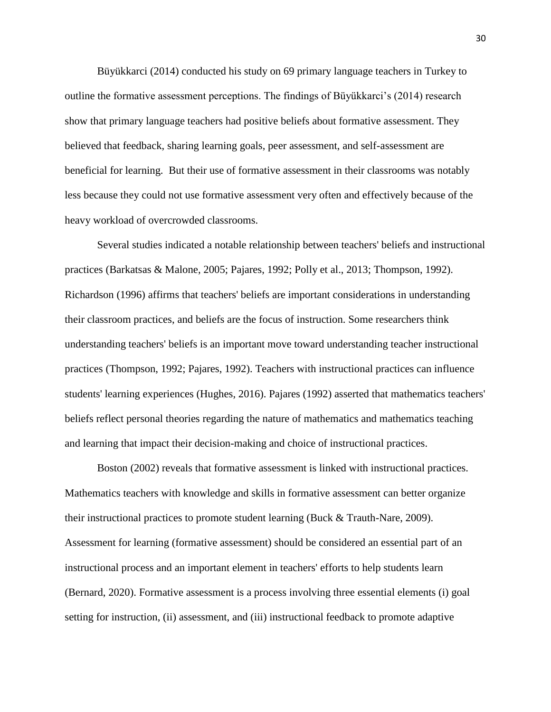Büyükkarci (2014) conducted his study on 69 primary language teachers in Turkey to outline the formative assessment perceptions. The findings of Büyükkarci's (2014) research show that primary language teachers had positive beliefs about formative assessment. They believed that feedback, sharing learning goals, peer assessment, and self-assessment are beneficial for learning. But their use of formative assessment in their classrooms was notably less because they could not use formative assessment very often and effectively because of the heavy workload of overcrowded classrooms.

Several studies indicated a notable relationship between teachers' beliefs and instructional practices (Barkatsas & Malone, 2005; Pajares, 1992; Polly et al., 2013; Thompson, 1992). Richardson (1996) affirms that teachers' beliefs are important considerations in understanding their classroom practices, and beliefs are the focus of instruction. Some researchers think understanding teachers' beliefs is an important move toward understanding teacher instructional practices (Thompson, 1992; Pajares, 1992). Teachers with instructional practices can influence students' learning experiences (Hughes, 2016). Pajares (1992) asserted that mathematics teachers' beliefs reflect personal theories regarding the nature of mathematics and mathematics teaching and learning that impact their decision-making and choice of instructional practices.

Boston (2002) reveals that formative assessment is linked with instructional practices. Mathematics teachers with knowledge and skills in formative assessment can better organize their instructional practices to promote student learning (Buck & Trauth-Nare, 2009). Assessment for learning (formative assessment) should be considered an essential part of an instructional process and an important element in teachers' efforts to help students learn (Bernard, 2020). Formative assessment is a process involving three essential elements (i) goal setting for instruction, (ii) assessment, and (iii) instructional feedback to promote adaptive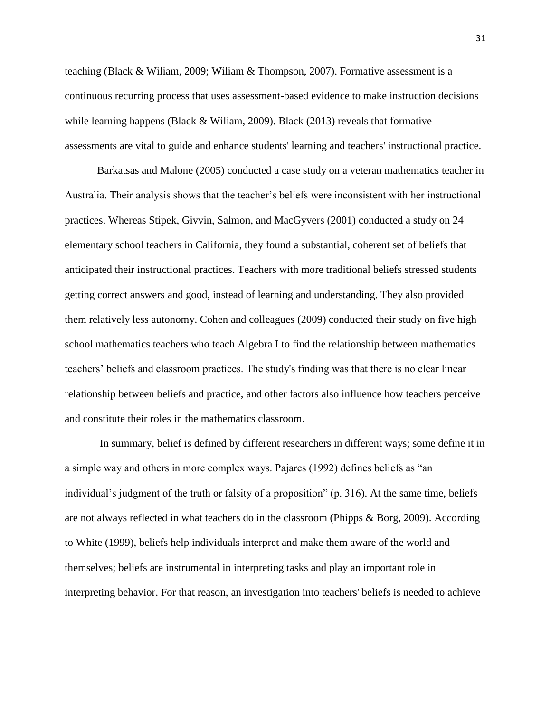teaching (Black & Wiliam, 2009; Wiliam & Thompson, 2007). Formative assessment is a continuous recurring process that uses assessment-based evidence to make instruction decisions while learning happens (Black & Wiliam, 2009). Black (2013) reveals that formative assessments are vital to guide and enhance students' learning and teachers' instructional practice.

Barkatsas and Malone (2005) conducted a case study on a veteran mathematics teacher in Australia. Their analysis shows that the teacher's beliefs were inconsistent with her instructional practices. Whereas Stipek, Givvin, Salmon, and MacGyvers (2001) conducted a study on 24 elementary school teachers in California, they found a substantial, coherent set of beliefs that anticipated their instructional practices. Teachers with more traditional beliefs stressed students getting correct answers and good, instead of learning and understanding. They also provided them relatively less autonomy. Cohen and colleagues (2009) conducted their study on five high school mathematics teachers who teach Algebra I to find the relationship between mathematics teachers' beliefs and classroom practices. The study's finding was that there is no clear linear relationship between beliefs and practice, and other factors also influence how teachers perceive and constitute their roles in the mathematics classroom.

In summary, belief is defined by different researchers in different ways; some define it in a simple way and others in more complex ways. Pajares (1992) defines beliefs as "an individual's judgment of the truth or falsity of a proposition" (p. 316). At the same time, beliefs are not always reflected in what teachers do in the classroom (Phipps & Borg, 2009). According to White (1999), beliefs help individuals interpret and make them aware of the world and themselves; beliefs are instrumental in interpreting tasks and play an important role in interpreting behavior. For that reason, an investigation into teachers' beliefs is needed to achieve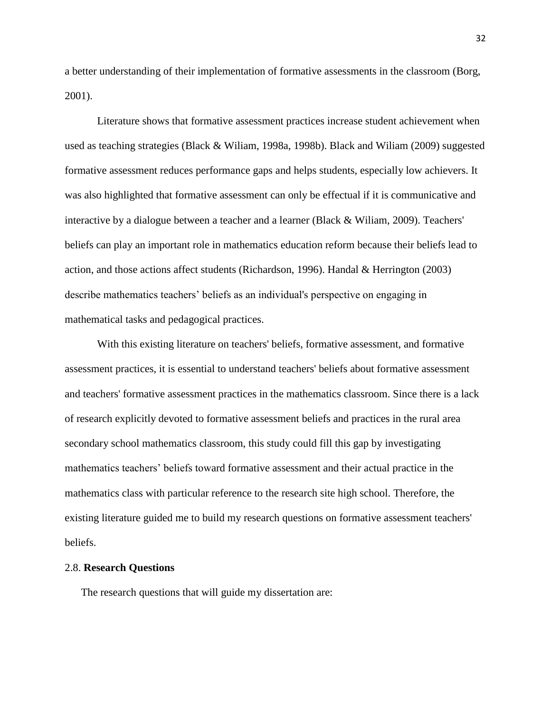a better understanding of their implementation of formative assessments in the classroom (Borg, 2001).

Literature shows that formative assessment practices increase student achievement when used as teaching strategies (Black & Wiliam, 1998a, 1998b). Black and Wiliam (2009) suggested formative assessment reduces performance gaps and helps students, especially low achievers. It was also highlighted that formative assessment can only be effectual if it is communicative and interactive by a dialogue between a teacher and a learner (Black & Wiliam, 2009). Teachers' beliefs can play an important role in mathematics education reform because their beliefs lead to action, and those actions affect students (Richardson, 1996). Handal & Herrington (2003) describe mathematics teachers' beliefs as an individual's perspective on engaging in mathematical tasks and pedagogical practices.

With this existing literature on teachers' beliefs, formative assessment, and formative assessment practices, it is essential to understand teachers' beliefs about formative assessment and teachers' formative assessment practices in the mathematics classroom. Since there is a lack of research explicitly devoted to formative assessment beliefs and practices in the rural area secondary school mathematics classroom, this study could fill this gap by investigating mathematics teachers' beliefs toward formative assessment and their actual practice in the mathematics class with particular reference to the research site high school. Therefore, the existing literature guided me to build my research questions on formative assessment teachers' beliefs.

#### 2.8. **Research Questions**

The research questions that will guide my dissertation are: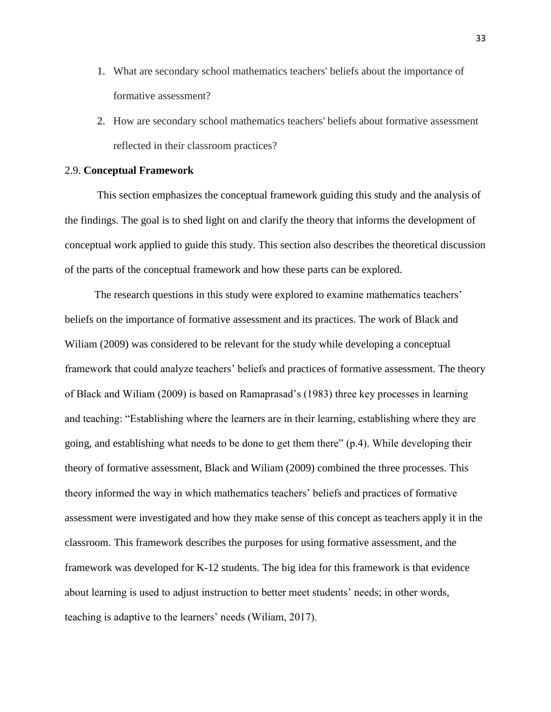- 1. What are secondary school mathematics teachers' beliefs about the importance of formative assessment?
- 2. How are secondary school mathematics teachers' beliefs about formative assessment reflected in their classroom practices?

#### 2.9. **Conceptual Framework**

This section emphasizes the conceptual framework guiding this study and the analysis of the findings. The goal is to shed light on and clarify the theory that informs the development of conceptual work applied to guide this study. This section also describes the theoretical discussion of the parts of the conceptual framework and how these parts can be explored.

The research questions in this study were explored to examine mathematics teachers' beliefs on the importance of formative assessment and its practices. The work of Black and Wiliam (2009) was considered to be relevant for the study while developing a conceptual framework that could analyze teachers' beliefs and practices of formative assessment. The theory of Black and Wiliam (2009) is based on Ramaprasad's (1983) three key processes in learning and teaching: "Establishing where the learners are in their learning, establishing where they are going, and establishing what needs to be done to get them there" (p.4). While developing their theory of formative assessment, Black and Wiliam (2009) combined the three processes. This theory informed the way in which mathematics teachers' beliefs and practices of formative assessment were investigated and how they make sense of this concept as teachers apply it in the classroom. This framework describes the purposes for using formative assessment, and the framework was developed for K-12 students. The big idea for this framework is that evidence about learning is used to adjust instruction to better meet students' needs; in other words, teaching is adaptive to the learners' needs (Wiliam, 2017).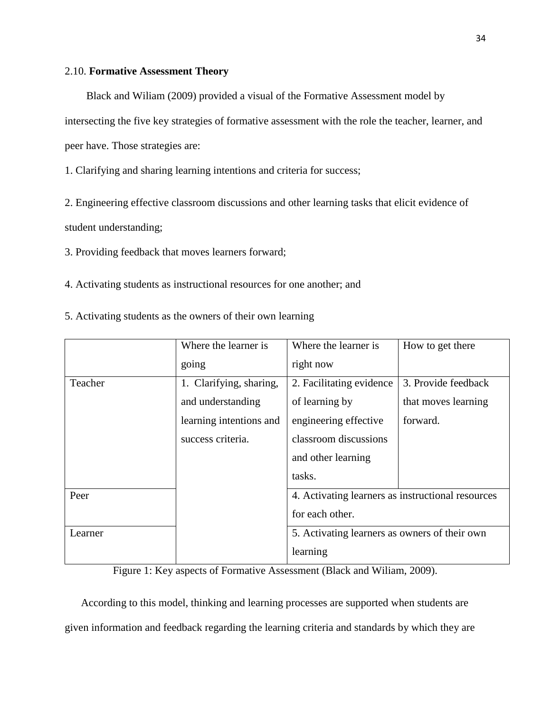### 2.10. **Formative Assessment Theory**

Black and Wiliam (2009) provided a visual of the Formative Assessment model by intersecting the five key strategies of formative assessment with the role the teacher, learner, and peer have. Those strategies are:

1. Clarifying and sharing learning intentions and criteria for success;

2. Engineering effective classroom discussions and other learning tasks that elicit evidence of student understanding;

3. Providing feedback that moves learners forward;

4. Activating students as instructional resources for one another; and

5. Activating students as the owners of their own learning

|         | Where the learner is    | Where the learner is                              | How to get there    |
|---------|-------------------------|---------------------------------------------------|---------------------|
|         | going                   | right now                                         |                     |
| Teacher | 1. Clarifying, sharing, | 2. Facilitating evidence                          | 3. Provide feedback |
|         | and understanding       | of learning by                                    | that moves learning |
|         | learning intentions and | engineering effective                             | forward.            |
|         | success criteria.       | classroom discussions                             |                     |
|         |                         | and other learning                                |                     |
|         |                         | tasks.                                            |                     |
| Peer    |                         | 4. Activating learners as instructional resources |                     |
|         |                         | for each other.                                   |                     |
| Learner |                         | 5. Activating learners as owners of their own     |                     |
|         |                         | learning                                          |                     |

Figure 1: Key aspects of Formative Assessment (Black and Wiliam, 2009).

According to this model, thinking and learning processes are supported when students are given information and feedback regarding the learning criteria and standards by which they are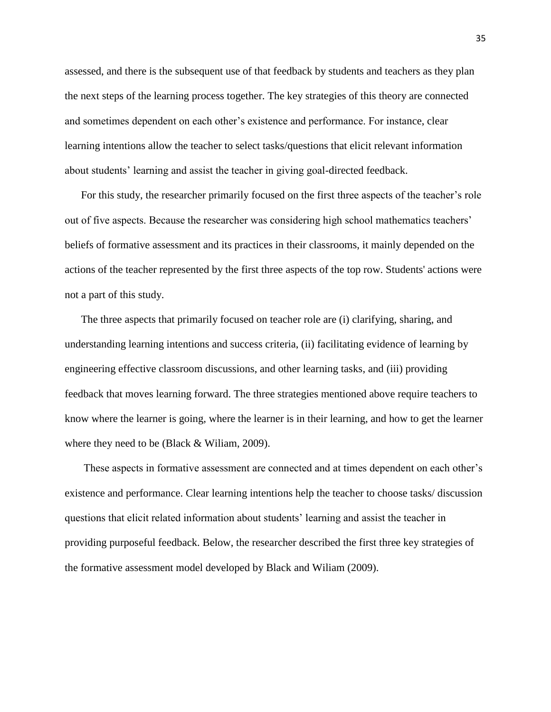assessed, and there is the subsequent use of that feedback by students and teachers as they plan the next steps of the learning process together. The key strategies of this theory are connected and sometimes dependent on each other's existence and performance. For instance, clear learning intentions allow the teacher to select tasks/questions that elicit relevant information about students' learning and assist the teacher in giving goal-directed feedback.

For this study, the researcher primarily focused on the first three aspects of the teacher's role out of five aspects. Because the researcher was considering high school mathematics teachers' beliefs of formative assessment and its practices in their classrooms, it mainly depended on the actions of the teacher represented by the first three aspects of the top row. Students' actions were not a part of this study.

The three aspects that primarily focused on teacher role are (i) clarifying, sharing, and understanding learning intentions and success criteria, (ii) facilitating evidence of learning by engineering effective classroom discussions, and other learning tasks, and (iii) providing feedback that moves learning forward. The three strategies mentioned above require teachers to know where the learner is going, where the learner is in their learning, and how to get the learner where they need to be (Black & William, 2009).

These aspects in formative assessment are connected and at times dependent on each other's existence and performance. Clear learning intentions help the teacher to choose tasks/ discussion questions that elicit related information about students' learning and assist the teacher in providing purposeful feedback. Below, the researcher described the first three key strategies of the formative assessment model developed by Black and Wiliam (2009).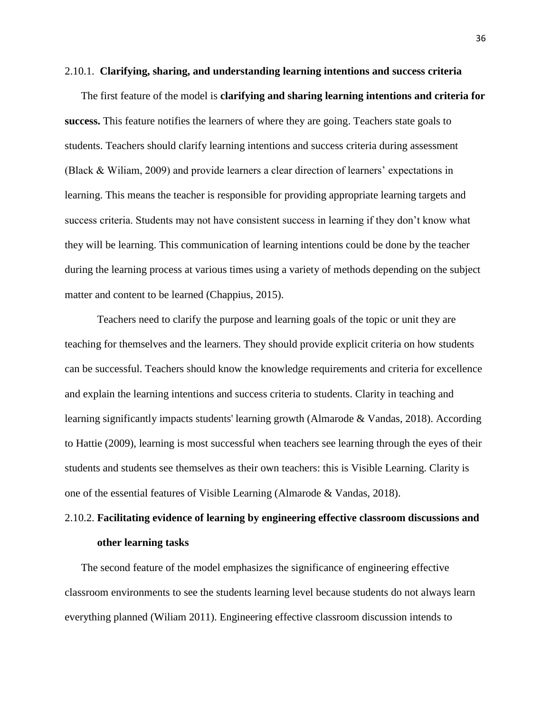#### 2.10.1. **Clarifying, sharing, and understanding learning intentions and success criteria**

The first feature of the model is **clarifying and sharing learning intentions and criteria for success.** This feature notifies the learners of where they are going. Teachers state goals to students. Teachers should clarify learning intentions and success criteria during assessment (Black & Wiliam, 2009) and provide learners a clear direction of learners' expectations in learning. This means the teacher is responsible for providing appropriate learning targets and success criteria. Students may not have consistent success in learning if they don't know what they will be learning. This communication of learning intentions could be done by the teacher during the learning process at various times using a variety of methods depending on the subject matter and content to be learned (Chappius, 2015).

Teachers need to clarify the purpose and learning goals of the topic or unit they are teaching for themselves and the learners. They should provide explicit criteria on how students can be successful. Teachers should know the knowledge requirements and criteria for excellence and explain the learning intentions and success criteria to students. Clarity in teaching and learning significantly impacts students' learning growth (Almarode & Vandas, 2018). According to Hattie (2009), learning is most successful when teachers see learning through the eyes of their students and students see themselves as their own teachers: this is Visible Learning. Clarity is one of the essential features of Visible Learning (Almarode & Vandas, 2018).

# 2.10.2. **Facilitating evidence of learning by engineering effective classroom discussions and other learning tasks**

The second feature of the model emphasizes the significance of engineering effective classroom environments to see the students learning level because students do not always learn everything planned (Wiliam 2011). Engineering effective classroom discussion intends to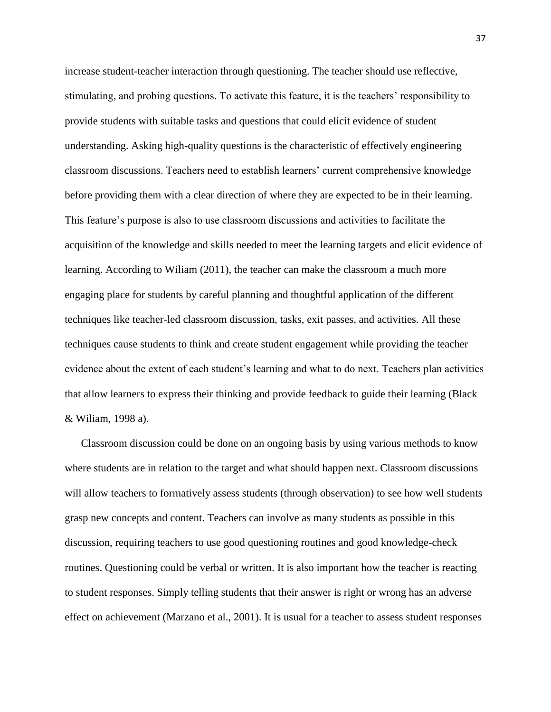increase student-teacher interaction through questioning. The teacher should use reflective, stimulating, and probing questions. To activate this feature, it is the teachers' responsibility to provide students with suitable tasks and questions that could elicit evidence of student understanding. Asking high-quality questions is the characteristic of effectively engineering classroom discussions. Teachers need to establish learners' current comprehensive knowledge before providing them with a clear direction of where they are expected to be in their learning. This feature's purpose is also to use classroom discussions and activities to facilitate the acquisition of the knowledge and skills needed to meet the learning targets and elicit evidence of learning. According to Wiliam (2011), the teacher can make the classroom a much more engaging place for students by careful planning and thoughtful application of the different techniques like teacher-led classroom discussion, tasks, exit passes, and activities. All these techniques cause students to think and create student engagement while providing the teacher evidence about the extent of each student's learning and what to do next. Teachers plan activities that allow learners to express their thinking and provide feedback to guide their learning (Black & Wiliam, 1998 a).

Classroom discussion could be done on an ongoing basis by using various methods to know where students are in relation to the target and what should happen next. Classroom discussions will allow teachers to formatively assess students (through observation) to see how well students grasp new concepts and content. Teachers can involve as many students as possible in this discussion, requiring teachers to use good questioning routines and good knowledge-check routines. Questioning could be verbal or written. It is also important how the teacher is reacting to student responses. Simply telling students that their answer is right or wrong has an adverse effect on achievement (Marzano et al., 2001). It is usual for a teacher to assess student responses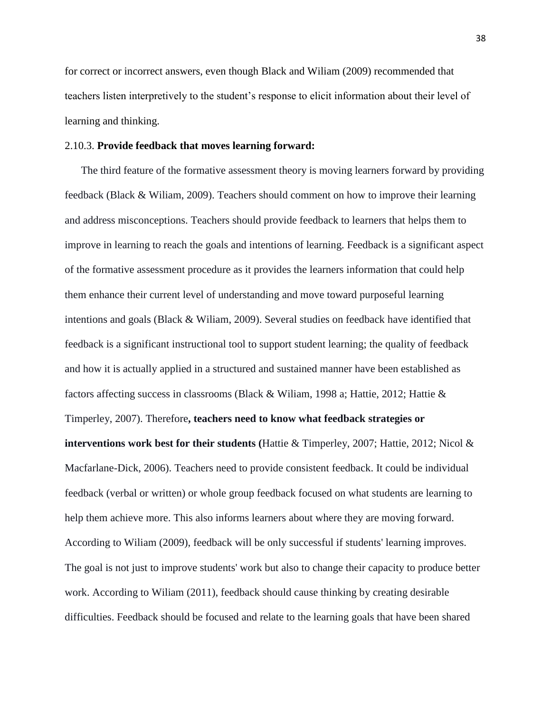for correct or incorrect answers, even though Black and Wiliam (2009) recommended that teachers listen interpretively to the student's response to elicit information about their level of learning and thinking.

## 2.10.3. **Provide feedback that moves learning forward:**

The third feature of the formative assessment theory is moving learners forward by providing feedback (Black & Wiliam, 2009). Teachers should comment on how to improve their learning and address misconceptions. Teachers should provide feedback to learners that helps them to improve in learning to reach the goals and intentions of learning. Feedback is a significant aspect of the formative assessment procedure as it provides the learners information that could help them enhance their current level of understanding and move toward purposeful learning intentions and goals (Black & Wiliam, 2009). Several studies on feedback have identified that feedback is a significant instructional tool to support student learning; the quality of feedback and how it is actually applied in a structured and sustained manner have been established as factors affecting success in classrooms (Black & Wiliam, 1998 a; Hattie, 2012; Hattie & Timperley, 2007). Therefore**, teachers need to know what feedback strategies or interventions work best for their students (**Hattie & Timperley, 2007; Hattie, 2012; Nicol & Macfarlane-Dick, 2006). Teachers need to provide consistent feedback. It could be individual feedback (verbal or written) or whole group feedback focused on what students are learning to help them achieve more. This also informs learners about where they are moving forward. According to Wiliam (2009), feedback will be only successful if students' learning improves. The goal is not just to improve students' work but also to change their capacity to produce better work. According to Wiliam (2011), feedback should cause thinking by creating desirable difficulties. Feedback should be focused and relate to the learning goals that have been shared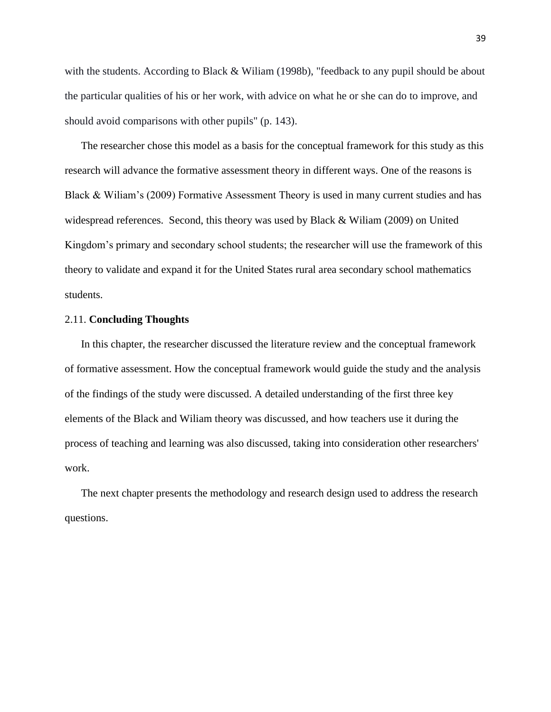with the students. According to Black & Wiliam (1998b), "feedback to any pupil should be about the particular qualities of his or her work, with advice on what he or she can do to improve, and should avoid comparisons with other pupils" (p. 143).

The researcher chose this model as a basis for the conceptual framework for this study as this research will advance the formative assessment theory in different ways. One of the reasons is Black & Wiliam's (2009) Formative Assessment Theory is used in many current studies and has widespread references. Second, this theory was used by Black & Wiliam (2009) on United Kingdom's primary and secondary school students; the researcher will use the framework of this theory to validate and expand it for the United States rural area secondary school mathematics students.

#### 2.11. **Concluding Thoughts**

In this chapter, the researcher discussed the literature review and the conceptual framework of formative assessment. How the conceptual framework would guide the study and the analysis of the findings of the study were discussed. A detailed understanding of the first three key elements of the Black and Wiliam theory was discussed, and how teachers use it during the process of teaching and learning was also discussed, taking into consideration other researchers' work.

The next chapter presents the methodology and research design used to address the research questions.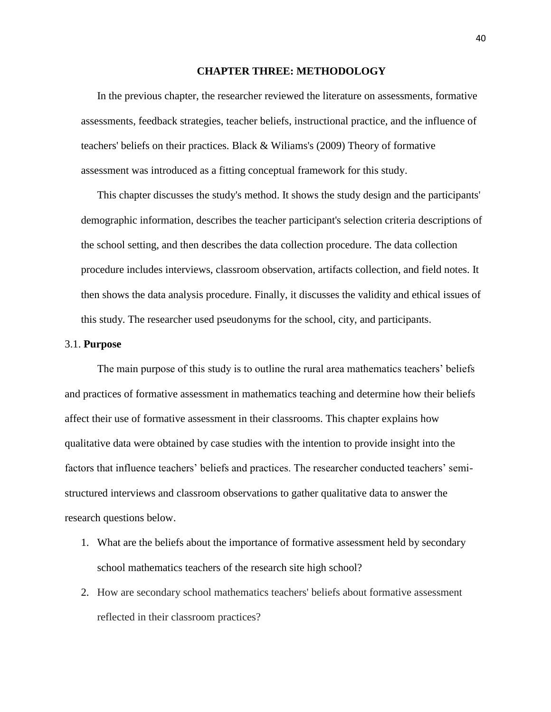## **CHAPTER THREE: METHODOLOGY**

In the previous chapter, the researcher reviewed the literature on assessments, formative assessments, feedback strategies, teacher beliefs, instructional practice, and the influence of teachers' beliefs on their practices. Black & Wiliams's (2009) Theory of formative assessment was introduced as a fitting conceptual framework for this study.

This chapter discusses the study's method. It shows the study design and the participants' demographic information, describes the teacher participant's selection criteria descriptions of the school setting, and then describes the data collection procedure. The data collection procedure includes interviews, classroom observation, artifacts collection, and field notes. It then shows the data analysis procedure. Finally, it discusses the validity and ethical issues of this study. The researcher used pseudonyms for the school, city, and participants.

#### 3.1. **Purpose**

The main purpose of this study is to outline the rural area mathematics teachers' beliefs and practices of formative assessment in mathematics teaching and determine how their beliefs affect their use of formative assessment in their classrooms. This chapter explains how qualitative data were obtained by case studies with the intention to provide insight into the factors that influence teachers' beliefs and practices. The researcher conducted teachers' semistructured interviews and classroom observations to gather qualitative data to answer the research questions below.

- 1. What are the beliefs about the importance of formative assessment held by secondary school mathematics teachers of the research site high school?
- 2. How are secondary school mathematics teachers' beliefs about formative assessment reflected in their classroom practices?

40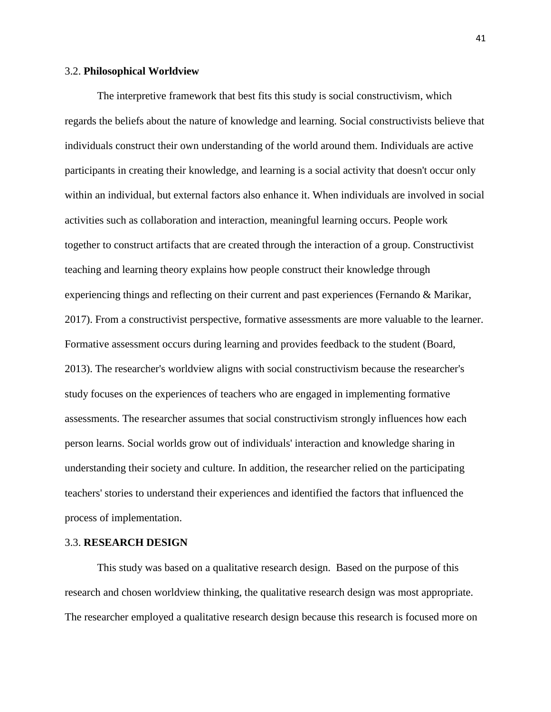## 3.2. **Philosophical Worldview**

The interpretive framework that best fits this study is social constructivism, which regards the beliefs about the nature of knowledge and learning. Social constructivists believe that individuals construct their own understanding of the world around them. Individuals are active participants in creating their knowledge, and learning is a social activity that doesn't occur only within an individual, but external factors also enhance it. When individuals are involved in social activities such as collaboration and interaction, meaningful learning occurs. People work together to construct artifacts that are created through the interaction of a group. Constructivist teaching and learning theory explains how people construct their knowledge through experiencing things and reflecting on their current and past experiences (Fernando & Marikar, 2017). From a constructivist perspective, formative assessments are more valuable to the learner. Formative assessment occurs during learning and provides feedback to the student (Board, 2013). The researcher's worldview aligns with social constructivism because the researcher's study focuses on the experiences of teachers who are engaged in implementing formative assessments. The researcher assumes that social constructivism strongly influences how each person learns. Social worlds grow out of individuals' interaction and knowledge sharing in understanding their society and culture. In addition, the researcher relied on the participating teachers' stories to understand their experiences and identified the factors that influenced the process of implementation.

## 3.3. **RESEARCH DESIGN**

This study was based on a qualitative research design. Based on the purpose of this research and chosen worldview thinking, the qualitative research design was most appropriate. The researcher employed a qualitative research design because this research is focused more on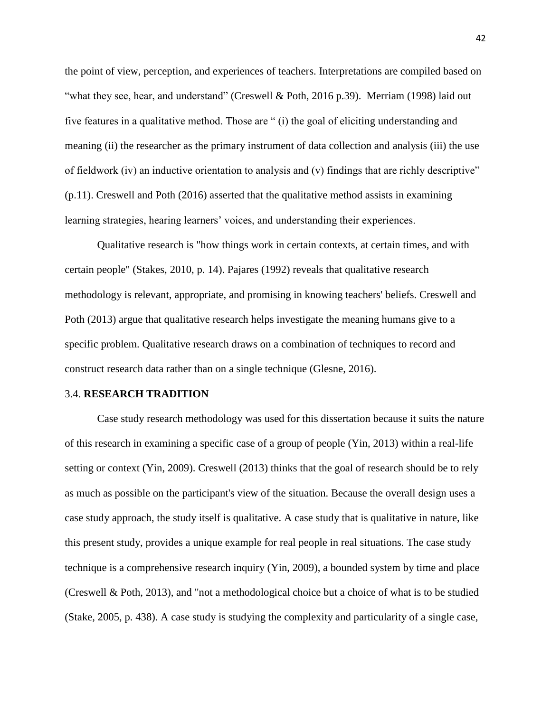the point of view, perception, and experiences of teachers. Interpretations are compiled based on "what they see, hear, and understand" (Creswell & Poth, 2016 p.39). Merriam (1998) laid out five features in a qualitative method. Those are " (i) the goal of eliciting understanding and meaning (ii) the researcher as the primary instrument of data collection and analysis (iii) the use of fieldwork (iv) an inductive orientation to analysis and (v) findings that are richly descriptive" (p.11). Creswell and Poth (2016) asserted that the qualitative method assists in examining learning strategies, hearing learners' voices, and understanding their experiences.

Qualitative research is "how things work in certain contexts, at certain times, and with certain people" (Stakes, 2010, p. 14). Pajares (1992) reveals that qualitative research methodology is relevant, appropriate, and promising in knowing teachers' beliefs. Creswell and Poth (2013) argue that qualitative research helps investigate the meaning humans give to a specific problem. Qualitative research draws on a combination of techniques to record and construct research data rather than on a single technique (Glesne, 2016).

#### 3.4. **RESEARCH TRADITION**

Case study research methodology was used for this dissertation because it suits the nature of this research in examining a specific case of a group of people (Yin, 2013) within a real-life setting or context (Yin, 2009). Creswell (2013) thinks that the goal of research should be to rely as much as possible on the participant's view of the situation. Because the overall design uses a case study approach, the study itself is qualitative. A case study that is qualitative in nature, like this present study, provides a unique example for real people in real situations. The case study technique is a comprehensive research inquiry (Yin, 2009), a bounded system by time and place (Creswell & Poth, 2013), and "not a methodological choice but a choice of what is to be studied (Stake, 2005, p. 438). A case study is studying the complexity and particularity of a single case,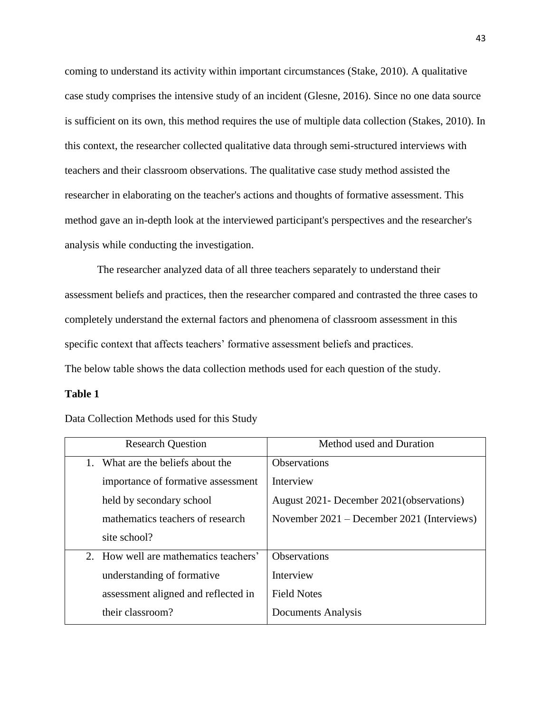coming to understand its activity within important circumstances (Stake, 2010). A qualitative case study comprises the intensive study of an incident (Glesne, 2016). Since no one data source is sufficient on its own, this method requires the use of multiple data collection (Stakes, 2010). In this context, the researcher collected qualitative data through semi-structured interviews with teachers and their classroom observations. The qualitative case study method assisted the researcher in elaborating on the teacher's actions and thoughts of formative assessment. This method gave an in-depth look at the interviewed participant's perspectives and the researcher's analysis while conducting the investigation.

The researcher analyzed data of all three teachers separately to understand their assessment beliefs and practices, then the researcher compared and contrasted the three cases to completely understand the external factors and phenomena of classroom assessment in this specific context that affects teachers' formative assessment beliefs and practices. The below table shows the data collection methods used for each question of the study.

## **Table 1**

| <b>Research Question</b>              | Method used and Duration                     |
|---------------------------------------|----------------------------------------------|
| What are the beliefs about the        | <b>Observations</b>                          |
| importance of formative assessment    | Interview                                    |
| held by secondary school              | August 2021- December 2021 (observations)    |
| mathematics teachers of research      | November $2021$ – December 2021 (Interviews) |
| site school?                          |                                              |
| 2. How well are mathematics teachers' | <b>Observations</b>                          |
| understanding of formative            | Interview                                    |
| assessment aligned and reflected in   | <b>Field Notes</b>                           |
| their classroom?                      | Documents Analysis                           |

Data Collection Methods used for this Study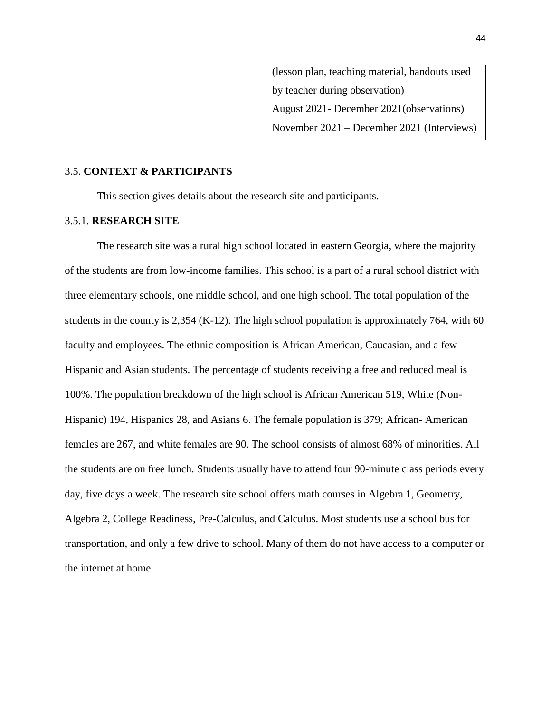| (lesson plan, teaching material, handouts used |
|------------------------------------------------|
| by teacher during observation)                 |
| August 2021- December 2021 (observations)      |
| November 2021 – December 2021 (Interviews)     |

## 3.5. **CONTEXT & PARTICIPANTS**

This section gives details about the research site and participants.

## 3.5.1. **RESEARCH SITE**

The research site was a rural high school located in eastern Georgia, where the majority of the students are from low-income families. This school is a part of a rural school district with three elementary schools, one middle school, and one high school. The total population of the students in the county is 2,354 (K-12). The high school population is approximately 764, with 60 faculty and employees. The ethnic composition is African American, Caucasian, and a few Hispanic and Asian students. The percentage of students receiving a free and reduced meal is 100%. The population breakdown of the high school is African American 519, White (Non-Hispanic) 194, Hispanics 28, and Asians 6. The female population is 379; African- American females are 267, and white females are 90. The school consists of almost 68% of minorities. All the students are on free lunch. Students usually have to attend four 90-minute class periods every day, five days a week. The research site school offers math courses in Algebra 1, Geometry, Algebra 2, College Readiness, Pre-Calculus, and Calculus. Most students use a school bus for transportation, and only a few drive to school. Many of them do not have access to a computer or the internet at home.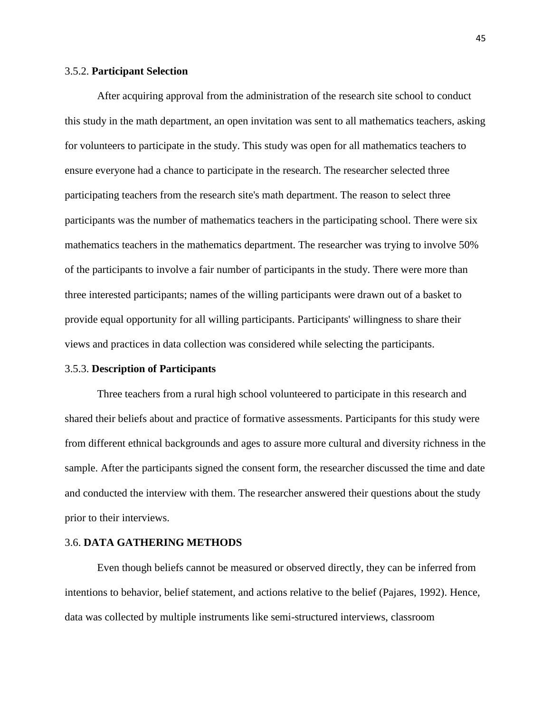#### 3.5.2. **Participant Selection**

After acquiring approval from the administration of the research site school to conduct this study in the math department, an open invitation was sent to all mathematics teachers, asking for volunteers to participate in the study. This study was open for all mathematics teachers to ensure everyone had a chance to participate in the research. The researcher selected three participating teachers from the research site's math department. The reason to select three participants was the number of mathematics teachers in the participating school. There were six mathematics teachers in the mathematics department. The researcher was trying to involve 50% of the participants to involve a fair number of participants in the study. There were more than three interested participants; names of the willing participants were drawn out of a basket to provide equal opportunity for all willing participants. Participants' willingness to share their views and practices in data collection was considered while selecting the participants.

#### 3.5.3. **Description of Participants**

Three teachers from a rural high school volunteered to participate in this research and shared their beliefs about and practice of formative assessments. Participants for this study were from different ethnical backgrounds and ages to assure more cultural and diversity richness in the sample. After the participants signed the consent form, the researcher discussed the time and date and conducted the interview with them. The researcher answered their questions about the study prior to their interviews.

## 3.6. **DATA GATHERING METHODS**

Even though beliefs cannot be measured or observed directly, they can be inferred from intentions to behavior, belief statement, and actions relative to the belief (Pajares, 1992). Hence, data was collected by multiple instruments like semi-structured interviews, classroom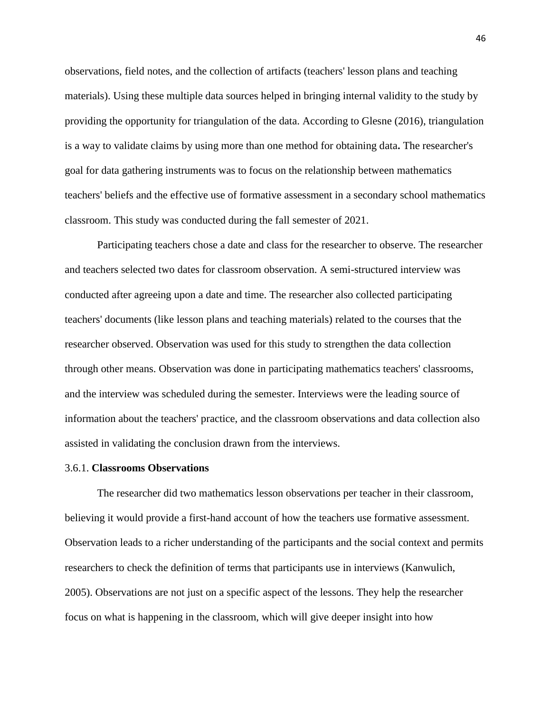observations, field notes, and the collection of artifacts (teachers' lesson plans and teaching materials). Using these multiple data sources helped in bringing internal validity to the study by providing the opportunity for triangulation of the data. According to Glesne (2016), triangulation is a way to validate claims by using more than one method for obtaining data**.** The researcher's goal for data gathering instruments was to focus on the relationship between mathematics teachers' beliefs and the effective use of formative assessment in a secondary school mathematics classroom. This study was conducted during the fall semester of 2021.

Participating teachers chose a date and class for the researcher to observe. The researcher and teachers selected two dates for classroom observation. A semi-structured interview was conducted after agreeing upon a date and time. The researcher also collected participating teachers' documents (like lesson plans and teaching materials) related to the courses that the researcher observed. Observation was used for this study to strengthen the data collection through other means. Observation was done in participating mathematics teachers' classrooms, and the interview was scheduled during the semester. Interviews were the leading source of information about the teachers' practice, and the classroom observations and data collection also assisted in validating the conclusion drawn from the interviews.

#### 3.6.1. **Classrooms Observations**

The researcher did two mathematics lesson observations per teacher in their classroom, believing it would provide a first-hand account of how the teachers use formative assessment. Observation leads to a richer understanding of the participants and the social context and permits researchers to check the definition of terms that participants use in interviews (Kanwulich, 2005). Observations are not just on a specific aspect of the lessons. They help the researcher focus on what is happening in the classroom, which will give deeper insight into how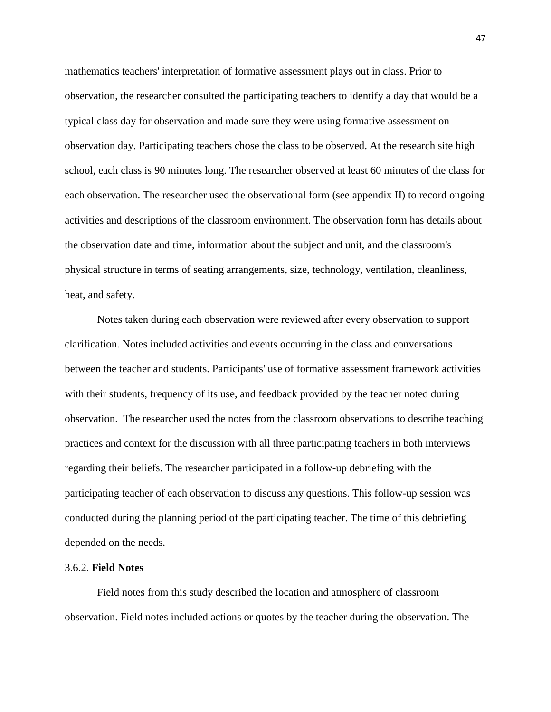mathematics teachers' interpretation of formative assessment plays out in class. Prior to observation, the researcher consulted the participating teachers to identify a day that would be a typical class day for observation and made sure they were using formative assessment on observation day. Participating teachers chose the class to be observed. At the research site high school, each class is 90 minutes long. The researcher observed at least 60 minutes of the class for each observation. The researcher used the observational form (see appendix II) to record ongoing activities and descriptions of the classroom environment. The observation form has details about the observation date and time, information about the subject and unit, and the classroom's physical structure in terms of seating arrangements, size, technology, ventilation, cleanliness, heat, and safety.

Notes taken during each observation were reviewed after every observation to support clarification. Notes included activities and events occurring in the class and conversations between the teacher and students. Participants' use of formative assessment framework activities with their students, frequency of its use, and feedback provided by the teacher noted during observation. The researcher used the notes from the classroom observations to describe teaching practices and context for the discussion with all three participating teachers in both interviews regarding their beliefs. The researcher participated in a follow-up debriefing with the participating teacher of each observation to discuss any questions. This follow-up session was conducted during the planning period of the participating teacher. The time of this debriefing depended on the needs.

# 3.6.2. **Field Notes**

Field notes from this study described the location and atmosphere of classroom observation. Field notes included actions or quotes by the teacher during the observation. The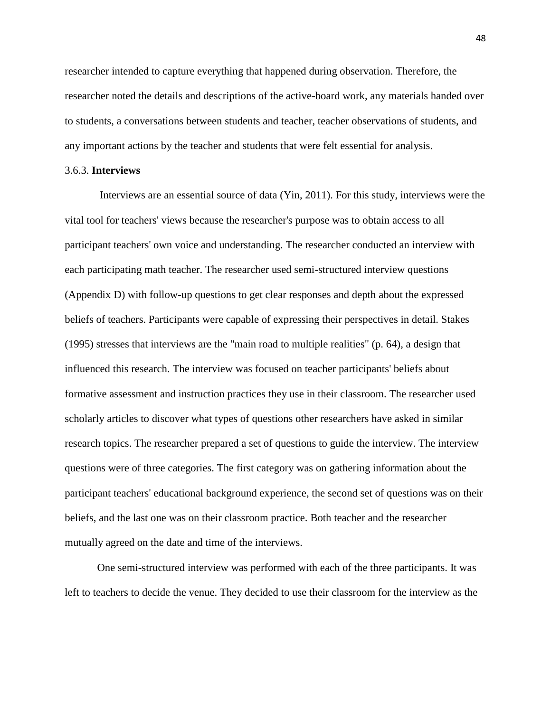researcher intended to capture everything that happened during observation. Therefore, the researcher noted the details and descriptions of the active-board work, any materials handed over to students, a conversations between students and teacher, teacher observations of students, and any important actions by the teacher and students that were felt essential for analysis.

## 3.6.3. **Interviews**

Interviews are an essential source of data (Yin, 2011). For this study, interviews were the vital tool for teachers' views because the researcher's purpose was to obtain access to all participant teachers' own voice and understanding. The researcher conducted an interview with each participating math teacher. The researcher used semi-structured interview questions (Appendix D) with follow-up questions to get clear responses and depth about the expressed beliefs of teachers. Participants were capable of expressing their perspectives in detail. Stakes (1995) stresses that interviews are the "main road to multiple realities" (p. 64), a design that influenced this research. The interview was focused on teacher participants' beliefs about formative assessment and instruction practices they use in their classroom. The researcher used scholarly articles to discover what types of questions other researchers have asked in similar research topics. The researcher prepared a set of questions to guide the interview. The interview questions were of three categories. The first category was on gathering information about the participant teachers' educational background experience, the second set of questions was on their beliefs, and the last one was on their classroom practice. Both teacher and the researcher mutually agreed on the date and time of the interviews.

One semi-structured interview was performed with each of the three participants. It was left to teachers to decide the venue. They decided to use their classroom for the interview as the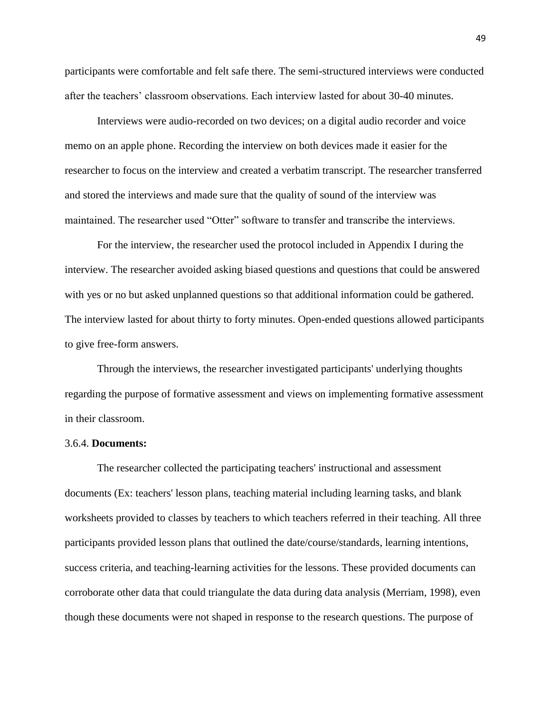participants were comfortable and felt safe there. The semi-structured interviews were conducted after the teachers' classroom observations. Each interview lasted for about 30-40 minutes.

Interviews were audio-recorded on two devices; on a digital audio recorder and voice memo on an apple phone. Recording the interview on both devices made it easier for the researcher to focus on the interview and created a verbatim transcript. The researcher transferred and stored the interviews and made sure that the quality of sound of the interview was maintained. The researcher used "Otter" software to transfer and transcribe the interviews.

For the interview, the researcher used the protocol included in Appendix I during the interview. The researcher avoided asking biased questions and questions that could be answered with yes or no but asked unplanned questions so that additional information could be gathered. The interview lasted for about thirty to forty minutes. Open-ended questions allowed participants to give free-form answers.

Through the interviews, the researcher investigated participants' underlying thoughts regarding the purpose of formative assessment and views on implementing formative assessment in their classroom.

#### 3.6.4. **Documents:**

The researcher collected the participating teachers' instructional and assessment documents (Ex: teachers' lesson plans, teaching material including learning tasks, and blank worksheets provided to classes by teachers to which teachers referred in their teaching. All three participants provided lesson plans that outlined the date/course/standards, learning intentions, success criteria, and teaching-learning activities for the lessons. These provided documents can corroborate other data that could triangulate the data during data analysis (Merriam, 1998), even though these documents were not shaped in response to the research questions. The purpose of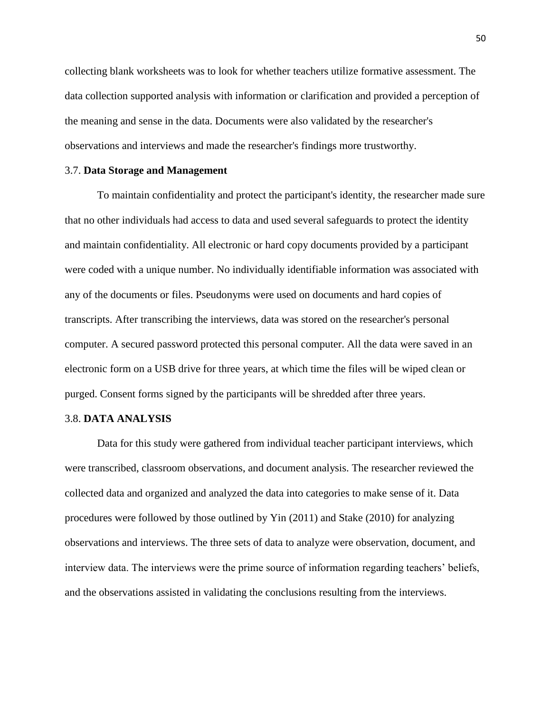collecting blank worksheets was to look for whether teachers utilize formative assessment. The data collection supported analysis with information or clarification and provided a perception of the meaning and sense in the data. Documents were also validated by the researcher's observations and interviews and made the researcher's findings more trustworthy.

#### 3.7. **Data Storage and Management**

To maintain confidentiality and protect the participant's identity, the researcher made sure that no other individuals had access to data and used several safeguards to protect the identity and maintain confidentiality. All electronic or hard copy documents provided by a participant were coded with a unique number. No individually identifiable information was associated with any of the documents or files. Pseudonyms were used on documents and hard copies of transcripts. After transcribing the interviews, data was stored on the researcher's personal computer. A secured password protected this personal computer. All the data were saved in an electronic form on a USB drive for three years, at which time the files will be wiped clean or purged. Consent forms signed by the participants will be shredded after three years.

## 3.8. **DATA ANALYSIS**

Data for this study were gathered from individual teacher participant interviews, which were transcribed, classroom observations, and document analysis. The researcher reviewed the collected data and organized and analyzed the data into categories to make sense of it. Data procedures were followed by those outlined by Yin (2011) and Stake (2010) for analyzing observations and interviews. The three sets of data to analyze were observation, document, and interview data. The interviews were the prime source of information regarding teachers' beliefs, and the observations assisted in validating the conclusions resulting from the interviews.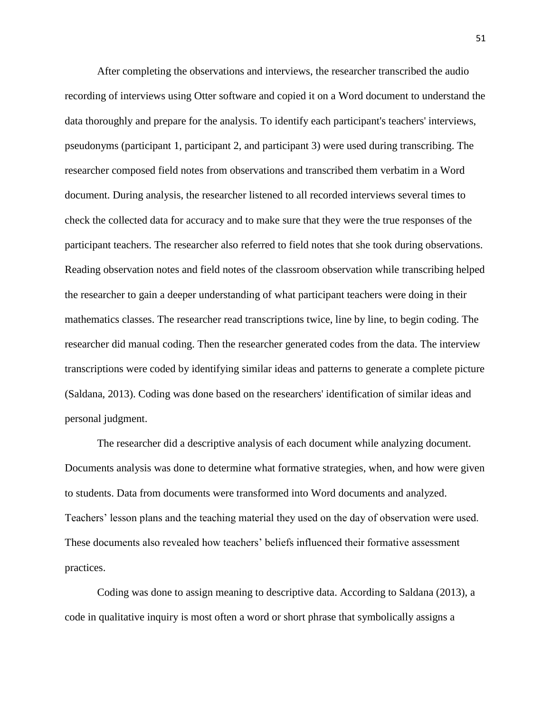After completing the observations and interviews, the researcher transcribed the audio recording of interviews using Otter software and copied it on a Word document to understand the data thoroughly and prepare for the analysis. To identify each participant's teachers' interviews, pseudonyms (participant 1, participant 2, and participant 3) were used during transcribing. The researcher composed field notes from observations and transcribed them verbatim in a Word document. During analysis, the researcher listened to all recorded interviews several times to check the collected data for accuracy and to make sure that they were the true responses of the participant teachers. The researcher also referred to field notes that she took during observations. Reading observation notes and field notes of the classroom observation while transcribing helped the researcher to gain a deeper understanding of what participant teachers were doing in their mathematics classes. The researcher read transcriptions twice, line by line, to begin coding. The researcher did manual coding. Then the researcher generated codes from the data. The interview transcriptions were coded by identifying similar ideas and patterns to generate a complete picture (Saldana, 2013). Coding was done based on the researchers' identification of similar ideas and personal judgment.

The researcher did a descriptive analysis of each document while analyzing document. Documents analysis was done to determine what formative strategies, when, and how were given to students. Data from documents were transformed into Word documents and analyzed. Teachers' lesson plans and the teaching material they used on the day of observation were used. These documents also revealed how teachers' beliefs influenced their formative assessment practices.

Coding was done to assign meaning to descriptive data. According to Saldana (2013), a code in qualitative inquiry is most often a word or short phrase that symbolically assigns a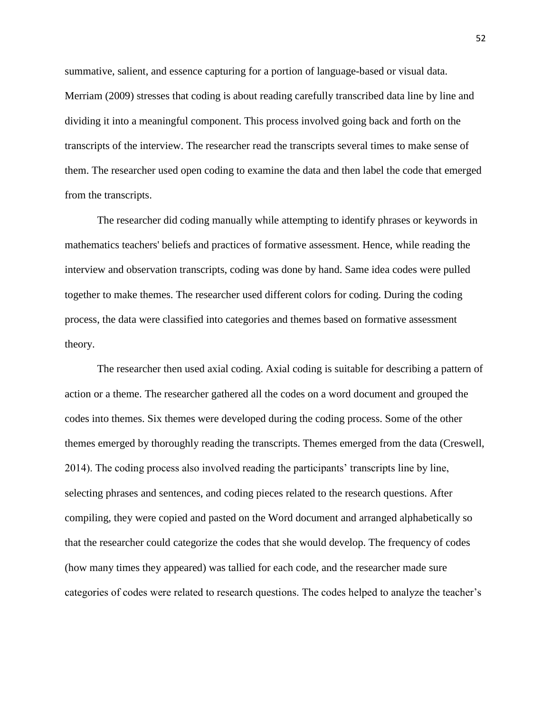summative, salient, and essence capturing for a portion of language-based or visual data. Merriam (2009) stresses that coding is about reading carefully transcribed data line by line and dividing it into a meaningful component. This process involved going back and forth on the transcripts of the interview. The researcher read the transcripts several times to make sense of them. The researcher used open coding to examine the data and then label the code that emerged from the transcripts.

The researcher did coding manually while attempting to identify phrases or keywords in mathematics teachers' beliefs and practices of formative assessment. Hence, while reading the interview and observation transcripts, coding was done by hand. Same idea codes were pulled together to make themes. The researcher used different colors for coding. During the coding process, the data were classified into categories and themes based on formative assessment theory.

The researcher then used axial coding. Axial coding is suitable for describing a pattern of action or a theme. The researcher gathered all the codes on a word document and grouped the codes into themes. Six themes were developed during the coding process. Some of the other themes emerged by thoroughly reading the transcripts. Themes emerged from the data (Creswell, 2014). The coding process also involved reading the participants' transcripts line by line, selecting phrases and sentences, and coding pieces related to the research questions. After compiling, they were copied and pasted on the Word document and arranged alphabetically so that the researcher could categorize the codes that she would develop. The frequency of codes (how many times they appeared) was tallied for each code, and the researcher made sure categories of codes were related to research questions. The codes helped to analyze the teacher's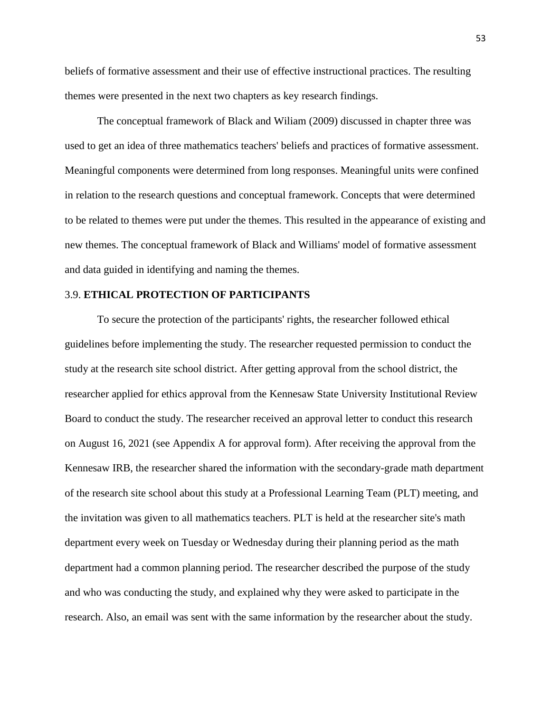beliefs of formative assessment and their use of effective instructional practices. The resulting themes were presented in the next two chapters as key research findings.

The conceptual framework of Black and Wiliam (2009) discussed in chapter three was used to get an idea of three mathematics teachers' beliefs and practices of formative assessment. Meaningful components were determined from long responses. Meaningful units were confined in relation to the research questions and conceptual framework. Concepts that were determined to be related to themes were put under the themes. This resulted in the appearance of existing and new themes. The conceptual framework of Black and Williams' model of formative assessment and data guided in identifying and naming the themes.

# 3.9. **ETHICAL PROTECTION OF PARTICIPANTS**

To secure the protection of the participants' rights, the researcher followed ethical guidelines before implementing the study. The researcher requested permission to conduct the study at the research site school district. After getting approval from the school district, the researcher applied for ethics approval from the Kennesaw State University Institutional Review Board to conduct the study. The researcher received an approval letter to conduct this research on August 16, 2021 (see Appendix A for approval form). After receiving the approval from the Kennesaw IRB, the researcher shared the information with the secondary-grade math department of the research site school about this study at a Professional Learning Team (PLT) meeting, and the invitation was given to all mathematics teachers. PLT is held at the researcher site's math department every week on Tuesday or Wednesday during their planning period as the math department had a common planning period. The researcher described the purpose of the study and who was conducting the study, and explained why they were asked to participate in the research. Also, an email was sent with the same information by the researcher about the study.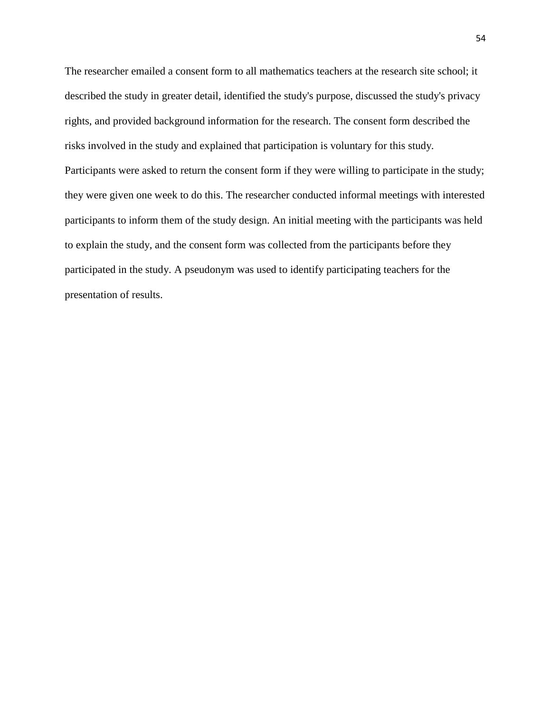The researcher emailed a consent form to all mathematics teachers at the research site school; it described the study in greater detail, identified the study's purpose, discussed the study's privacy rights, and provided background information for the research. The consent form described the risks involved in the study and explained that participation is voluntary for this study. Participants were asked to return the consent form if they were willing to participate in the study; they were given one week to do this. The researcher conducted informal meetings with interested participants to inform them of the study design. An initial meeting with the participants was held to explain the study, and the consent form was collected from the participants before they participated in the study. A pseudonym was used to identify participating teachers for the presentation of results.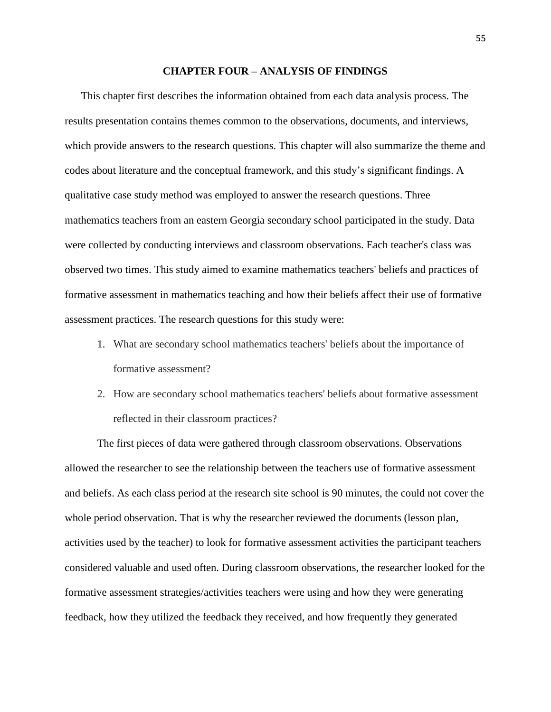#### **CHAPTER FOUR – ANALYSIS OF FINDINGS**

This chapter first describes the information obtained from each data analysis process. The results presentation contains themes common to the observations, documents, and interviews, which provide answers to the research questions. This chapter will also summarize the theme and codes about literature and the conceptual framework, and this study's significant findings. A qualitative case study method was employed to answer the research questions. Three mathematics teachers from an eastern Georgia secondary school participated in the study. Data were collected by conducting interviews and classroom observations. Each teacher's class was observed two times. This study aimed to examine mathematics teachers' beliefs and practices of formative assessment in mathematics teaching and how their beliefs affect their use of formative assessment practices. The research questions for this study were:

- 1. What are secondary school mathematics teachers' beliefs about the importance of formative assessment?
- 2. How are secondary school mathematics teachers' beliefs about formative assessment reflected in their classroom practices?

The first pieces of data were gathered through classroom observations. Observations allowed the researcher to see the relationship between the teachers use of formative assessment and beliefs. As each class period at the research site school is 90 minutes, the could not cover the whole period observation. That is why the researcher reviewed the documents (lesson plan, activities used by the teacher) to look for formative assessment activities the participant teachers considered valuable and used often. During classroom observations, the researcher looked for the formative assessment strategies/activities teachers were using and how they were generating feedback, how they utilized the feedback they received, and how frequently they generated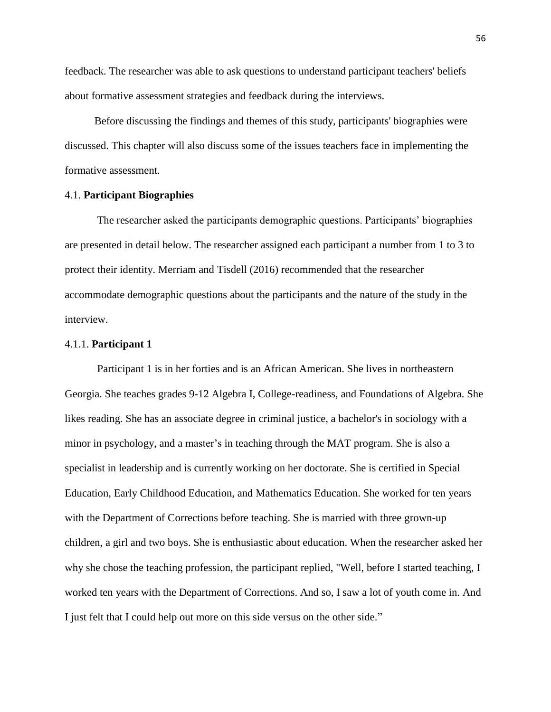feedback. The researcher was able to ask questions to understand participant teachers' beliefs about formative assessment strategies and feedback during the interviews.

 Before discussing the findings and themes of this study, participants' biographies were discussed. This chapter will also discuss some of the issues teachers face in implementing the formative assessment.

# 4.1. **Participant Biographies**

The researcher asked the participants demographic questions. Participants' biographies are presented in detail below. The researcher assigned each participant a number from 1 to 3 to protect their identity. Merriam and Tisdell (2016) recommended that the researcher accommodate demographic questions about the participants and the nature of the study in the interview.

#### 4.1.1. **Participant 1**

Participant 1 is in her forties and is an African American. She lives in northeastern Georgia. She teaches grades 9-12 Algebra I, College-readiness, and Foundations of Algebra. She likes reading. She has an associate degree in criminal justice, a bachelor's in sociology with a minor in psychology, and a master's in teaching through the MAT program. She is also a specialist in leadership and is currently working on her doctorate. She is certified in Special Education, Early Childhood Education, and Mathematics Education. She worked for ten years with the Department of Corrections before teaching. She is married with three grown-up children, a girl and two boys. She is enthusiastic about education. When the researcher asked her why she chose the teaching profession, the participant replied, "Well, before I started teaching, I worked ten years with the Department of Corrections. And so, I saw a lot of youth come in. And I just felt that I could help out more on this side versus on the other side."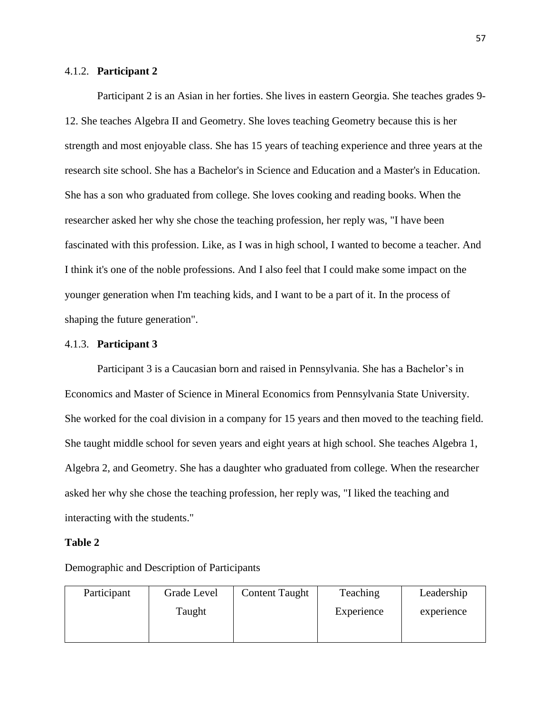# 4.1.2. **Participant 2**

Participant 2 is an Asian in her forties. She lives in eastern Georgia. She teaches grades 9- 12. She teaches Algebra II and Geometry. She loves teaching Geometry because this is her strength and most enjoyable class. She has 15 years of teaching experience and three years at the research site school. She has a Bachelor's in Science and Education and a Master's in Education. She has a son who graduated from college. She loves cooking and reading books. When the researcher asked her why she chose the teaching profession, her reply was, "I have been fascinated with this profession. Like, as I was in high school, I wanted to become a teacher. And I think it's one of the noble professions. And I also feel that I could make some impact on the younger generation when I'm teaching kids, and I want to be a part of it. In the process of shaping the future generation".

## 4.1.3. **Participant 3**

Participant 3 is a Caucasian born and raised in Pennsylvania. She has a Bachelor's in Economics and Master of Science in Mineral Economics from Pennsylvania State University. She worked for the coal division in a company for 15 years and then moved to the teaching field. She taught middle school for seven years and eight years at high school. She teaches Algebra 1, Algebra 2, and Geometry. She has a daughter who graduated from college. When the researcher asked her why she chose the teaching profession, her reply was, "I liked the teaching and interacting with the students."

## **Table 2**

Demographic and Description of Participants

| Participant | Grade Level | <b>Content Taught</b> | Teaching   | Leadership |
|-------------|-------------|-----------------------|------------|------------|
|             | Taught      |                       | Experience | experience |
|             |             |                       |            |            |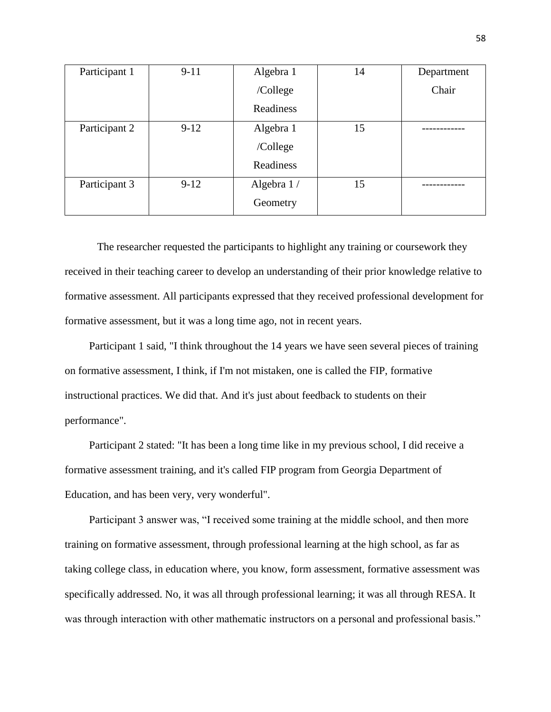| Participant 1 | $9 - 11$ | Algebra 1  | 14 | Department |
|---------------|----------|------------|----|------------|
|               |          | /College   |    | Chair      |
|               |          | Readiness  |    |            |
| Participant 2 | $9-12$   | Algebra 1  | 15 |            |
|               |          | /College   |    |            |
|               |          | Readiness  |    |            |
| Participant 3 | $9-12$   | Algebra 1/ | 15 |            |
|               |          | Geometry   |    |            |

The researcher requested the participants to highlight any training or coursework they received in their teaching career to develop an understanding of their prior knowledge relative to formative assessment. All participants expressed that they received professional development for formative assessment, but it was a long time ago, not in recent years.

Participant 1 said, "I think throughout the 14 years we have seen several pieces of training on formative assessment, I think, if I'm not mistaken, one is called the FIP, formative instructional practices. We did that. And it's just about feedback to students on their performance".

Participant 2 stated: "It has been a long time like in my previous school, I did receive a formative assessment training, and it's called FIP program from Georgia Department of Education, and has been very, very wonderful".

Participant 3 answer was, "I received some training at the middle school, and then more training on formative assessment, through professional learning at the high school, as far as taking college class, in education where, you know, form assessment, formative assessment was specifically addressed. No, it was all through professional learning; it was all through RESA. It was through interaction with other mathematic instructors on a personal and professional basis."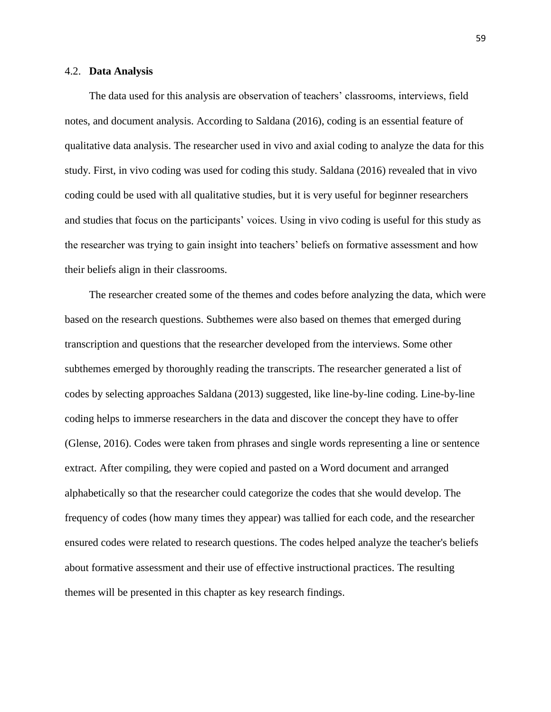#### 4.2. **Data Analysis**

The data used for this analysis are observation of teachers' classrooms, interviews, field notes, and document analysis. According to Saldana (2016), coding is an essential feature of qualitative data analysis. The researcher used in vivo and axial coding to analyze the data for this study. First, in vivo coding was used for coding this study. Saldana (2016) revealed that in vivo coding could be used with all qualitative studies, but it is very useful for beginner researchers and studies that focus on the participants' voices. Using in vivo coding is useful for this study as the researcher was trying to gain insight into teachers' beliefs on formative assessment and how their beliefs align in their classrooms.

The researcher created some of the themes and codes before analyzing the data, which were based on the research questions. Subthemes were also based on themes that emerged during transcription and questions that the researcher developed from the interviews. Some other subthemes emerged by thoroughly reading the transcripts. The researcher generated a list of codes by selecting approaches Saldana (2013) suggested, like line-by-line coding. Line-by-line coding helps to immerse researchers in the data and discover the concept they have to offer (Glense, 2016). Codes were taken from phrases and single words representing a line or sentence extract. After compiling, they were copied and pasted on a Word document and arranged alphabetically so that the researcher could categorize the codes that she would develop. The frequency of codes (how many times they appear) was tallied for each code, and the researcher ensured codes were related to research questions. The codes helped analyze the teacher's beliefs about formative assessment and their use of effective instructional practices. The resulting themes will be presented in this chapter as key research findings.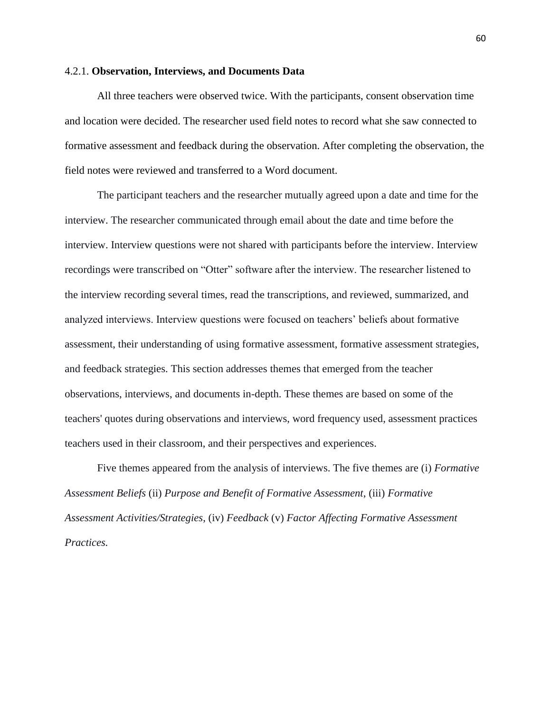## 4.2.1. **Observation, Interviews, and Documents Data**

All three teachers were observed twice. With the participants, consent observation time and location were decided. The researcher used field notes to record what she saw connected to formative assessment and feedback during the observation. After completing the observation, the field notes were reviewed and transferred to a Word document.

The participant teachers and the researcher mutually agreed upon a date and time for the interview. The researcher communicated through email about the date and time before the interview. Interview questions were not shared with participants before the interview. Interview recordings were transcribed on "Otter" software after the interview. The researcher listened to the interview recording several times, read the transcriptions, and reviewed, summarized, and analyzed interviews. Interview questions were focused on teachers' beliefs about formative assessment, their understanding of using formative assessment, formative assessment strategies, and feedback strategies. This section addresses themes that emerged from the teacher observations, interviews, and documents in-depth. These themes are based on some of the teachers' quotes during observations and interviews, word frequency used, assessment practices teachers used in their classroom, and their perspectives and experiences.

Five themes appeared from the analysis of interviews. The five themes are (i) *Formative Assessment Beliefs* (ii) *Purpose and Benefit of Formative Assessment*, (iii) *Formative Assessment Activities/Strategies*, (iv) *Feedback* (v) *Factor Affecting Formative Assessment Practices.*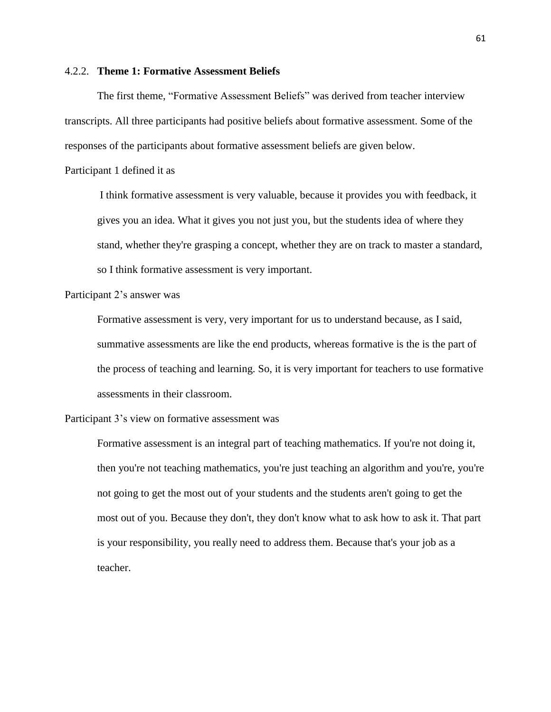## 4.2.2. **Theme 1: Formative Assessment Beliefs**

The first theme, "Formative Assessment Beliefs" was derived from teacher interview transcripts. All three participants had positive beliefs about formative assessment. Some of the responses of the participants about formative assessment beliefs are given below.

Participant 1 defined it as

I think formative assessment is very valuable, because it provides you with feedback, it gives you an idea. What it gives you not just you, but the students idea of where they stand, whether they're grasping a concept, whether they are on track to master a standard, so I think formative assessment is very important.

Participant 2's answer was

Formative assessment is very, very important for us to understand because, as I said, summative assessments are like the end products, whereas formative is the is the part of the process of teaching and learning. So, it is very important for teachers to use formative assessments in their classroom.

Participant 3's view on formative assessment was

Formative assessment is an integral part of teaching mathematics. If you're not doing it, then you're not teaching mathematics, you're just teaching an algorithm and you're, you're not going to get the most out of your students and the students aren't going to get the most out of you. Because they don't, they don't know what to ask how to ask it. That part is your responsibility, you really need to address them. Because that's your job as a teacher.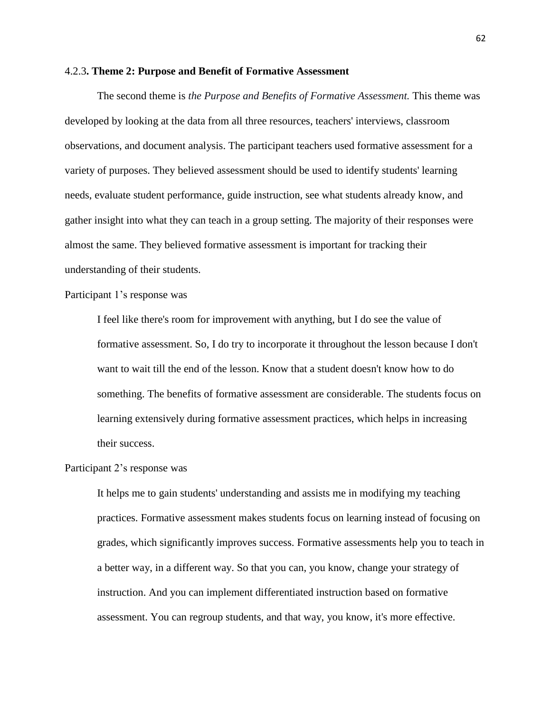#### 4.2.3**. Theme 2: Purpose and Benefit of Formative Assessment**

The second theme is *the Purpose and Benefits of Formative Assessment.* This theme was developed by looking at the data from all three resources, teachers' interviews, classroom observations, and document analysis. The participant teachers used formative assessment for a variety of purposes. They believed assessment should be used to identify students' learning needs, evaluate student performance, guide instruction, see what students already know, and gather insight into what they can teach in a group setting. The majority of their responses were almost the same. They believed formative assessment is important for tracking their understanding of their students.

Participant 1's response was

I feel like there's room for improvement with anything, but I do see the value of formative assessment. So, I do try to incorporate it throughout the lesson because I don't want to wait till the end of the lesson. Know that a student doesn't know how to do something. The benefits of formative assessment are considerable. The students focus on learning extensively during formative assessment practices, which helps in increasing their success.

## Participant 2's response was

It helps me to gain students' understanding and assists me in modifying my teaching practices. Formative assessment makes students focus on learning instead of focusing on grades, which significantly improves success. Formative assessments help you to teach in a better way, in a different way. So that you can, you know, change your strategy of instruction. And you can implement differentiated instruction based on formative assessment. You can regroup students, and that way, you know, it's more effective.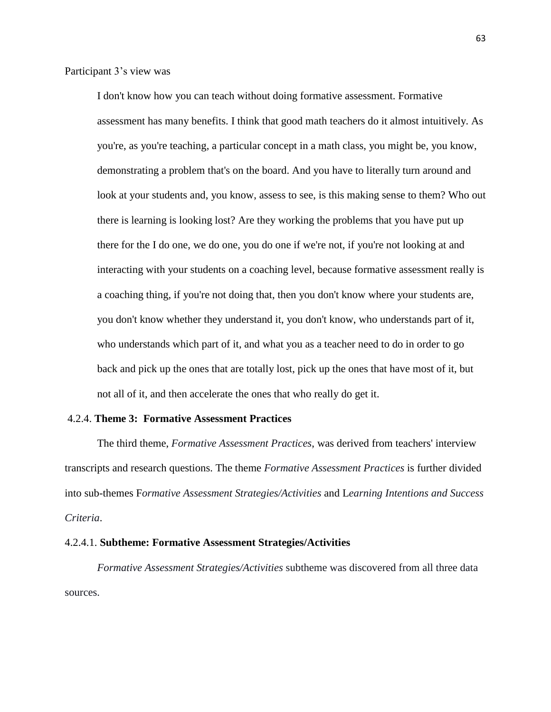Participant 3's view was

I don't know how you can teach without doing formative assessment. Formative assessment has many benefits. I think that good math teachers do it almost intuitively. As you're, as you're teaching, a particular concept in a math class, you might be, you know, demonstrating a problem that's on the board. And you have to literally turn around and look at your students and, you know, assess to see, is this making sense to them? Who out there is learning is looking lost? Are they working the problems that you have put up there for the I do one, we do one, you do one if we're not, if you're not looking at and interacting with your students on a coaching level, because formative assessment really is a coaching thing, if you're not doing that, then you don't know where your students are, you don't know whether they understand it, you don't know, who understands part of it, who understands which part of it, and what you as a teacher need to do in order to go back and pick up the ones that are totally lost, pick up the ones that have most of it, but not all of it, and then accelerate the ones that who really do get it.

#### 4.2.4. **Theme 3: Formative Assessment Practices**

The third theme, *Formative Assessment Practices*, was derived from teachers' interview transcripts and research questions. The theme *Formative Assessment Practices* is further divided into sub-themes F*ormative Assessment Strategies/Activities* and L*earning Intentions and Success Criteria*.

#### 4.2.4.1. **Subtheme: Formative Assessment Strategies/Activities**

*Formative Assessment Strategies/Activities* subtheme was discovered from all three data sources.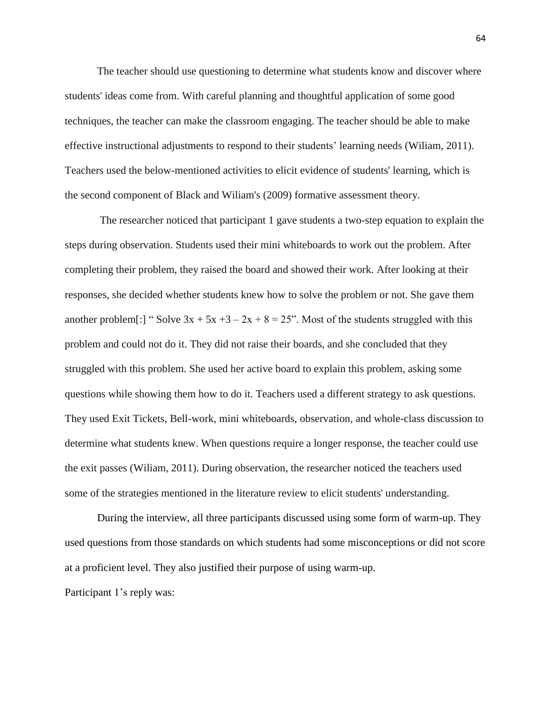The teacher should use questioning to determine what students know and discover where students' ideas come from. With careful planning and thoughtful application of some good techniques, the teacher can make the classroom engaging. The teacher should be able to make effective instructional adjustments to respond to their students' learning needs (Wiliam, 2011). Teachers used the below-mentioned activities to elicit evidence of students' learning, which is the second component of Black and Wiliam's (2009) formative assessment theory.

The researcher noticed that participant 1 gave students a two-step equation to explain the steps during observation. Students used their mini whiteboards to work out the problem. After completing their problem, they raised the board and showed their work. After looking at their responses, she decided whether students knew how to solve the problem or not. She gave them another problem[:] "Solve  $3x + 5x +3 - 2x + 8 = 25$ ". Most of the students struggled with this problem and could not do it. They did not raise their boards, and she concluded that they struggled with this problem. She used her active board to explain this problem, asking some questions while showing them how to do it. Teachers used a different strategy to ask questions. They used Exit Tickets, Bell-work, mini whiteboards, observation, and whole-class discussion to determine what students knew. When questions require a longer response, the teacher could use the exit passes (Wiliam, 2011). During observation, the researcher noticed the teachers used some of the strategies mentioned in the literature review to elicit students' understanding.

During the interview, all three participants discussed using some form of warm-up. They used questions from those standards on which students had some misconceptions or did not score at a proficient level. They also justified their purpose of using warm-up.

Participant 1's reply was: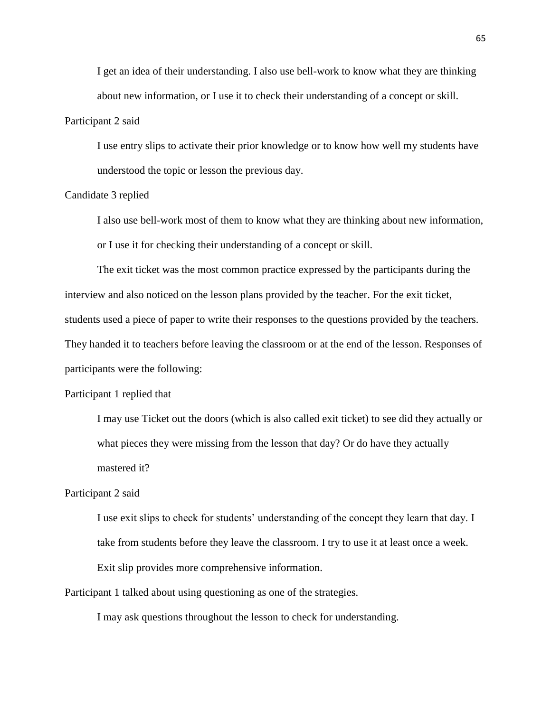I get an idea of their understanding. I also use bell-work to know what they are thinking about new information, or I use it to check their understanding of a concept or skill.

## Participant 2 said

I use entry slips to activate their prior knowledge or to know how well my students have understood the topic or lesson the previous day.

## Candidate 3 replied

I also use bell-work most of them to know what they are thinking about new information, or I use it for checking their understanding of a concept or skill.

The exit ticket was the most common practice expressed by the participants during the interview and also noticed on the lesson plans provided by the teacher. For the exit ticket, students used a piece of paper to write their responses to the questions provided by the teachers. They handed it to teachers before leaving the classroom or at the end of the lesson. Responses of participants were the following:

## Participant 1 replied that

I may use Ticket out the doors (which is also called exit ticket) to see did they actually or what pieces they were missing from the lesson that day? Or do have they actually mastered it?

## Participant 2 said

I use exit slips to check for students' understanding of the concept they learn that day. I take from students before they leave the classroom. I try to use it at least once a week. Exit slip provides more comprehensive information.

Participant 1 talked about using questioning as one of the strategies.

I may ask questions throughout the lesson to check for understanding.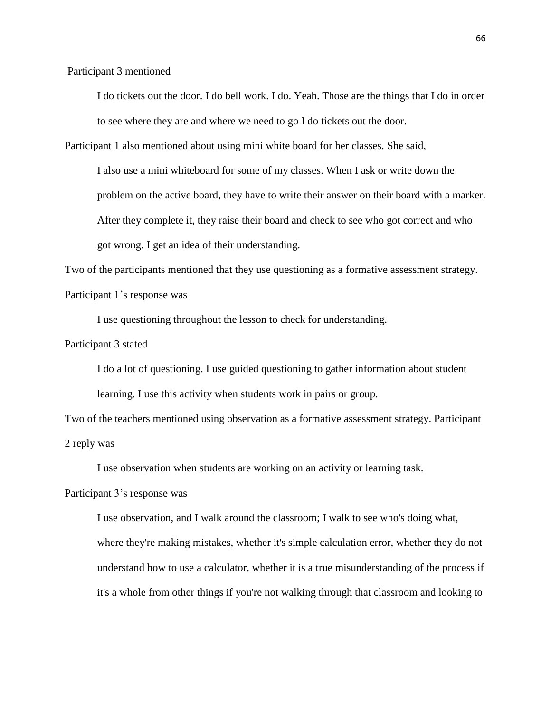Participant 3 mentioned

I do tickets out the door. I do bell work. I do. Yeah. Those are the things that I do in order to see where they are and where we need to go I do tickets out the door.

Participant 1 also mentioned about using mini white board for her classes. She said,

I also use a mini whiteboard for some of my classes. When I ask or write down the problem on the active board, they have to write their answer on their board with a marker. After they complete it, they raise their board and check to see who got correct and who got wrong. I get an idea of their understanding.

Two of the participants mentioned that they use questioning as a formative assessment strategy. Participant 1's response was

I use questioning throughout the lesson to check for understanding.

Participant 3 stated

I do a lot of questioning. I use guided questioning to gather information about student learning. I use this activity when students work in pairs or group.

Two of the teachers mentioned using observation as a formative assessment strategy. Participant 2 reply was

I use observation when students are working on an activity or learning task.

Participant 3's response was

I use observation, and I walk around the classroom; I walk to see who's doing what, where they're making mistakes, whether it's simple calculation error, whether they do not understand how to use a calculator, whether it is a true misunderstanding of the process if it's a whole from other things if you're not walking through that classroom and looking to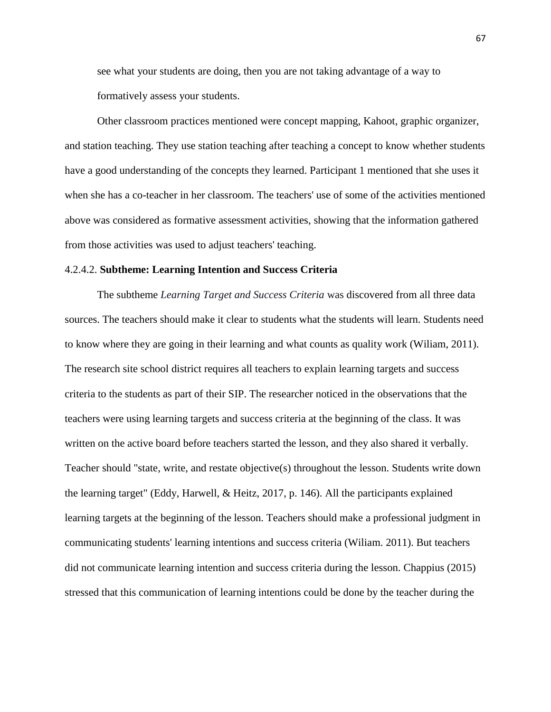see what your students are doing, then you are not taking advantage of a way to formatively assess your students.

Other classroom practices mentioned were concept mapping, Kahoot, graphic organizer, and station teaching. They use station teaching after teaching a concept to know whether students have a good understanding of the concepts they learned. Participant 1 mentioned that she uses it when she has a co-teacher in her classroom. The teachers' use of some of the activities mentioned above was considered as formative assessment activities, showing that the information gathered from those activities was used to adjust teachers' teaching.

#### 4.2.4.2. **Subtheme: Learning Intention and Success Criteria**

The subtheme *Learning Target and Success Criteria* was discovered from all three data sources. The teachers should make it clear to students what the students will learn. Students need to know where they are going in their learning and what counts as quality work (Wiliam, 2011). The research site school district requires all teachers to explain learning targets and success criteria to the students as part of their SIP. The researcher noticed in the observations that the teachers were using learning targets and success criteria at the beginning of the class. It was written on the active board before teachers started the lesson, and they also shared it verbally. Teacher should "state, write, and restate objective(s) throughout the lesson. Students write down the learning target" (Eddy, Harwell, & Heitz, 2017, p. 146). All the participants explained learning targets at the beginning of the lesson. Teachers should make a professional judgment in communicating students' learning intentions and success criteria (Wiliam. 2011). But teachers did not communicate learning intention and success criteria during the lesson. Chappius (2015) stressed that this communication of learning intentions could be done by the teacher during the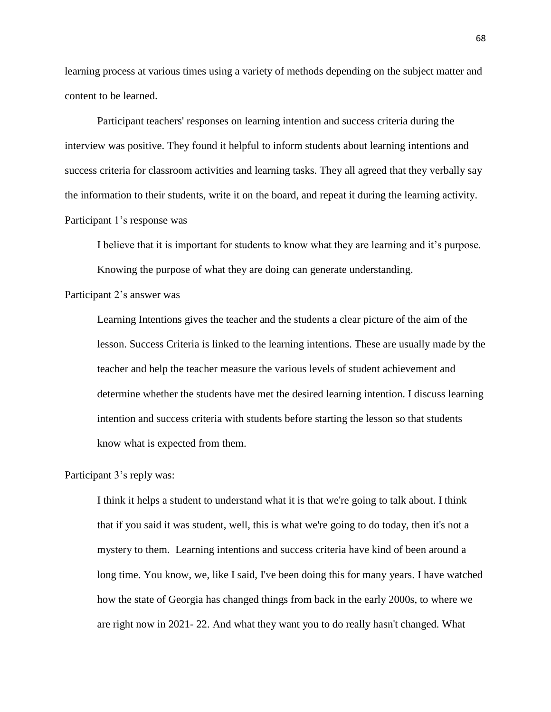learning process at various times using a variety of methods depending on the subject matter and content to be learned.

Participant teachers' responses on learning intention and success criteria during the interview was positive. They found it helpful to inform students about learning intentions and success criteria for classroom activities and learning tasks. They all agreed that they verbally say the information to their students, write it on the board, and repeat it during the learning activity. Participant 1's response was

I believe that it is important for students to know what they are learning and it's purpose. Knowing the purpose of what they are doing can generate understanding.

Participant 2's answer was

Learning Intentions gives the teacher and the students a clear picture of the aim of the lesson. Success Criteria is linked to the learning intentions. These are usually made by the teacher and help the teacher measure the various levels of student achievement and determine whether the students have met the desired learning intention. I discuss learning intention and success criteria with students before starting the lesson so that students know what is expected from them.

Participant 3's reply was:

I think it helps a student to understand what it is that we're going to talk about. I think that if you said it was student, well, this is what we're going to do today, then it's not a mystery to them. Learning intentions and success criteria have kind of been around a long time. You know, we, like I said, I've been doing this for many years. I have watched how the state of Georgia has changed things from back in the early 2000s, to where we are right now in 2021- 22. And what they want you to do really hasn't changed. What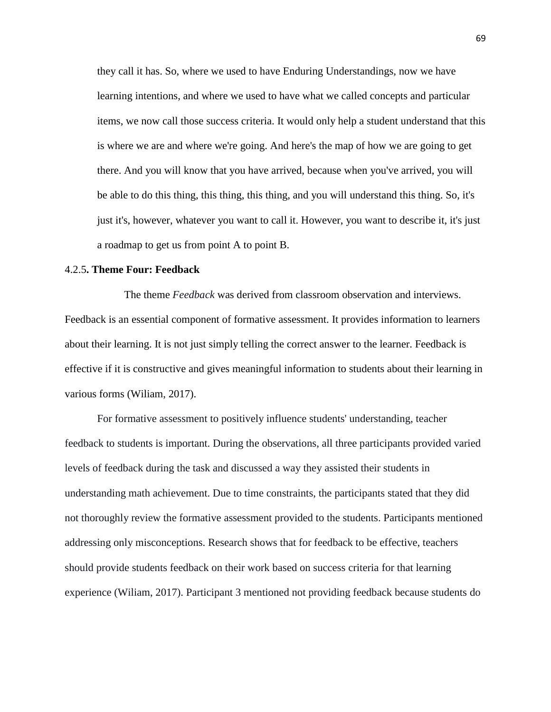they call it has. So, where we used to have Enduring Understandings, now we have learning intentions, and where we used to have what we called concepts and particular items, we now call those success criteria. It would only help a student understand that this is where we are and where we're going. And here's the map of how we are going to get there. And you will know that you have arrived, because when you've arrived, you will be able to do this thing, this thing, this thing, and you will understand this thing. So, it's just it's, however, whatever you want to call it. However, you want to describe it, it's just a roadmap to get us from point A to point B.

## 4.2.5**. Theme Four: Feedback**

 The theme *Feedback* was derived from classroom observation and interviews. Feedback is an essential component of formative assessment. It provides information to learners about their learning. It is not just simply telling the correct answer to the learner. Feedback is effective if it is constructive and gives meaningful information to students about their learning in various forms (Wiliam, 2017).

For formative assessment to positively influence students' understanding, teacher feedback to students is important. During the observations, all three participants provided varied levels of feedback during the task and discussed a way they assisted their students in understanding math achievement. Due to time constraints, the participants stated that they did not thoroughly review the formative assessment provided to the students. Participants mentioned addressing only misconceptions. Research shows that for feedback to be effective, teachers should provide students feedback on their work based on success criteria for that learning experience (Wiliam, 2017). Participant 3 mentioned not providing feedback because students do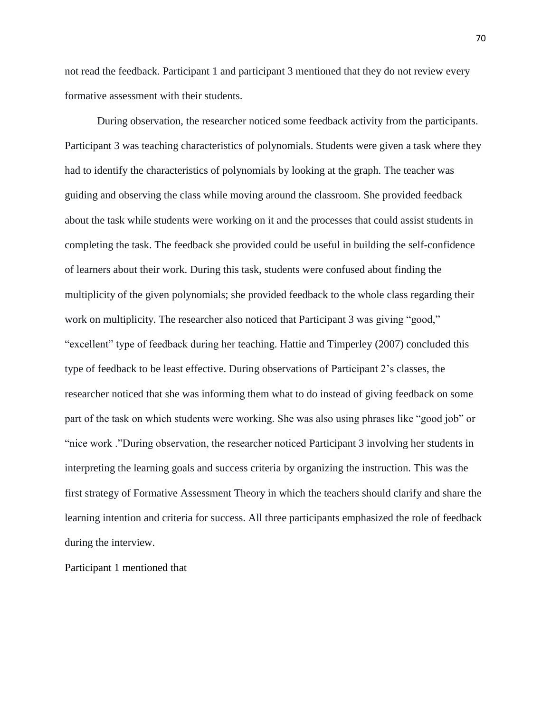not read the feedback. Participant 1 and participant 3 mentioned that they do not review every formative assessment with their students.

During observation, the researcher noticed some feedback activity from the participants. Participant 3 was teaching characteristics of polynomials. Students were given a task where they had to identify the characteristics of polynomials by looking at the graph. The teacher was guiding and observing the class while moving around the classroom. She provided feedback about the task while students were working on it and the processes that could assist students in completing the task. The feedback she provided could be useful in building the self-confidence of learners about their work. During this task, students were confused about finding the multiplicity of the given polynomials; she provided feedback to the whole class regarding their work on multiplicity. The researcher also noticed that Participant 3 was giving "good," "excellent" type of feedback during her teaching. Hattie and Timperley (2007) concluded this type of feedback to be least effective. During observations of Participant 2's classes, the researcher noticed that she was informing them what to do instead of giving feedback on some part of the task on which students were working. She was also using phrases like "good job" or "nice work ."During observation, the researcher noticed Participant 3 involving her students in interpreting the learning goals and success criteria by organizing the instruction. This was the first strategy of Formative Assessment Theory in which the teachers should clarify and share the learning intention and criteria for success. All three participants emphasized the role of feedback during the interview.

Participant 1 mentioned that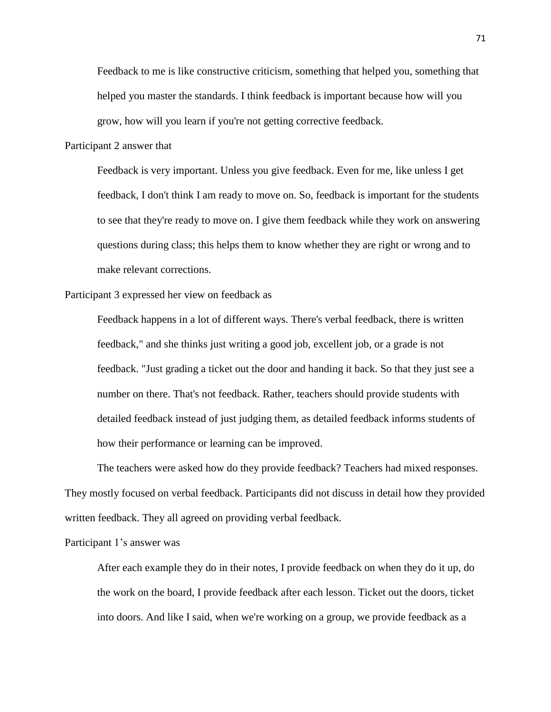Feedback to me is like constructive criticism, something that helped you, something that helped you master the standards. I think feedback is important because how will you grow, how will you learn if you're not getting corrective feedback.

Participant 2 answer that

Feedback is very important. Unless you give feedback. Even for me, like unless I get feedback, I don't think I am ready to move on. So, feedback is important for the students to see that they're ready to move on. I give them feedback while they work on answering questions during class; this helps them to know whether they are right or wrong and to make relevant corrections.

Participant 3 expressed her view on feedback as

Feedback happens in a lot of different ways. There's verbal feedback, there is written feedback," and she thinks just writing a good job, excellent job, or a grade is not feedback. "Just grading a ticket out the door and handing it back. So that they just see a number on there. That's not feedback. Rather, teachers should provide students with detailed feedback instead of just judging them, as detailed feedback informs students of how their performance or learning can be improved.

The teachers were asked how do they provide feedback? Teachers had mixed responses. They mostly focused on verbal feedback. Participants did not discuss in detail how they provided written feedback. They all agreed on providing verbal feedback.

Participant 1's answer was

After each example they do in their notes, I provide feedback on when they do it up, do the work on the board, I provide feedback after each lesson. Ticket out the doors, ticket into doors. And like I said, when we're working on a group, we provide feedback as a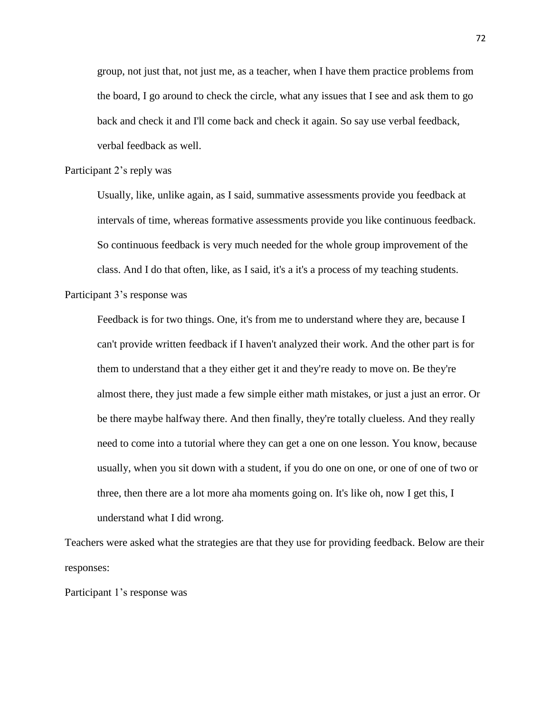group, not just that, not just me, as a teacher, when I have them practice problems from the board, I go around to check the circle, what any issues that I see and ask them to go back and check it and I'll come back and check it again. So say use verbal feedback, verbal feedback as well.

#### Participant 2's reply was

Usually, like, unlike again, as I said, summative assessments provide you feedback at intervals of time, whereas formative assessments provide you like continuous feedback. So continuous feedback is very much needed for the whole group improvement of the class. And I do that often, like, as I said, it's a it's a process of my teaching students.

Participant 3's response was

Feedback is for two things. One, it's from me to understand where they are, because I can't provide written feedback if I haven't analyzed their work. And the other part is for them to understand that a they either get it and they're ready to move on. Be they're almost there, they just made a few simple either math mistakes, or just a just an error. Or be there maybe halfway there. And then finally, they're totally clueless. And they really need to come into a tutorial where they can get a one on one lesson. You know, because usually, when you sit down with a student, if you do one on one, or one of one of two or three, then there are a lot more aha moments going on. It's like oh, now I get this, I understand what I did wrong.

Teachers were asked what the strategies are that they use for providing feedback. Below are their responses:

Participant 1's response was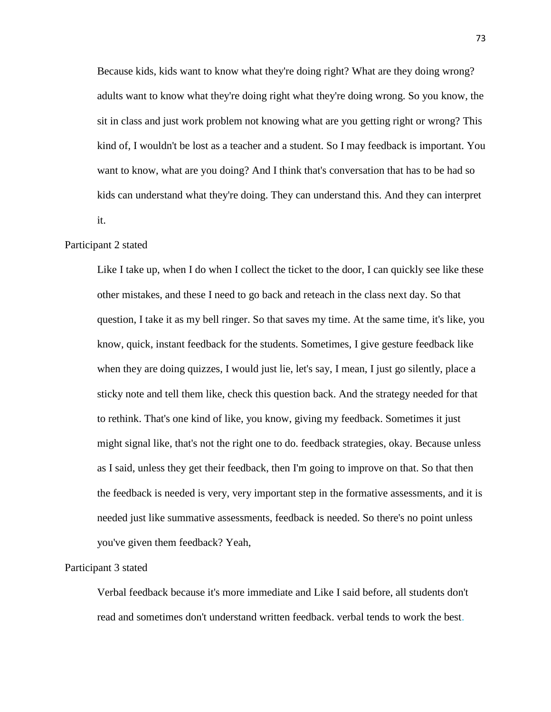Because kids, kids want to know what they're doing right? What are they doing wrong? adults want to know what they're doing right what they're doing wrong. So you know, the sit in class and just work problem not knowing what are you getting right or wrong? This kind of, I wouldn't be lost as a teacher and a student. So I may feedback is important. You want to know, what are you doing? And I think that's conversation that has to be had so kids can understand what they're doing. They can understand this. And they can interpret it.

## Participant 2 stated

Like I take up, when I do when I collect the ticket to the door, I can quickly see like these other mistakes, and these I need to go back and reteach in the class next day. So that question, I take it as my bell ringer. So that saves my time. At the same time, it's like, you know, quick, instant feedback for the students. Sometimes, I give gesture feedback like when they are doing quizzes, I would just lie, let's say, I mean, I just go silently, place a sticky note and tell them like, check this question back. And the strategy needed for that to rethink. That's one kind of like, you know, giving my feedback. Sometimes it just might signal like, that's not the right one to do. feedback strategies, okay. Because unless as I said, unless they get their feedback, then I'm going to improve on that. So that then the feedback is needed is very, very important step in the formative assessments, and it is needed just like summative assessments, feedback is needed. So there's no point unless you've given them feedback? Yeah,

#### Participant 3 stated

Verbal feedback because it's more immediate and Like I said before, all students don't read and sometimes don't understand written feedback. verbal tends to work the best.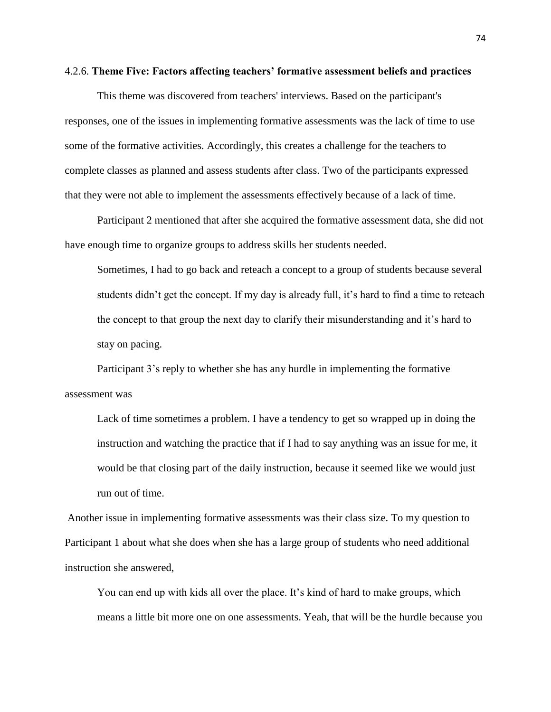#### 4.2.6. **Theme Five: Factors affecting teachers' formative assessment beliefs and practices**

This theme was discovered from teachers' interviews. Based on the participant's responses, one of the issues in implementing formative assessments was the lack of time to use some of the formative activities. Accordingly, this creates a challenge for the teachers to complete classes as planned and assess students after class. Two of the participants expressed that they were not able to implement the assessments effectively because of a lack of time.

Participant 2 mentioned that after she acquired the formative assessment data, she did not have enough time to organize groups to address skills her students needed.

Sometimes, I had to go back and reteach a concept to a group of students because several students didn't get the concept. If my day is already full, it's hard to find a time to reteach the concept to that group the next day to clarify their misunderstanding and it's hard to stay on pacing.

Participant 3's reply to whether she has any hurdle in implementing the formative assessment was

Lack of time sometimes a problem. I have a tendency to get so wrapped up in doing the instruction and watching the practice that if I had to say anything was an issue for me, it would be that closing part of the daily instruction, because it seemed like we would just run out of time.

Another issue in implementing formative assessments was their class size. To my question to Participant 1 about what she does when she has a large group of students who need additional instruction she answered,

You can end up with kids all over the place. It's kind of hard to make groups, which means a little bit more one on one assessments. Yeah, that will be the hurdle because you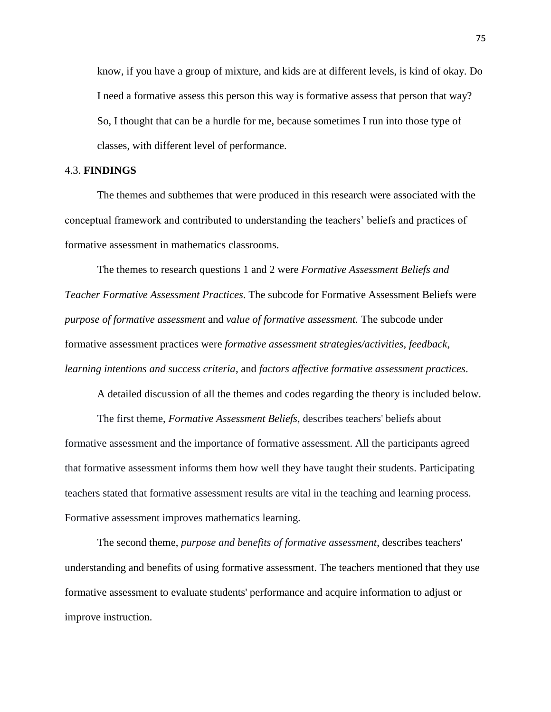know, if you have a group of mixture, and kids are at different levels, is kind of okay. Do I need a formative assess this person this way is formative assess that person that way? So, I thought that can be a hurdle for me, because sometimes I run into those type of classes, with different level of performance.

# 4.3. **FINDINGS**

The themes and subthemes that were produced in this research were associated with the conceptual framework and contributed to understanding the teachers' beliefs and practices of formative assessment in mathematics classrooms.

The themes to research questions 1 and 2 were *Formative Assessment Beliefs and Teacher Formative Assessment Practices*. The subcode for Formative Assessment Beliefs were *purpose of formative assessment* and *value of formative assessment.* The subcode under formative assessment practices were *formative assessment strategies/activities*, *feedback*, *learning intentions and success criteria*, and *factors affective formative assessment practices*.

A detailed discussion of all the themes and codes regarding the theory is included below.

The first theme, *Formative Assessment Beliefs*, describes teachers' beliefs about formative assessment and the importance of formative assessment. All the participants agreed that formative assessment informs them how well they have taught their students. Participating teachers stated that formative assessment results are vital in the teaching and learning process. Formative assessment improves mathematics learning.

The second theme, *purpose and benefits of formative assessment*, describes teachers' understanding and benefits of using formative assessment. The teachers mentioned that they use formative assessment to evaluate students' performance and acquire information to adjust or improve instruction.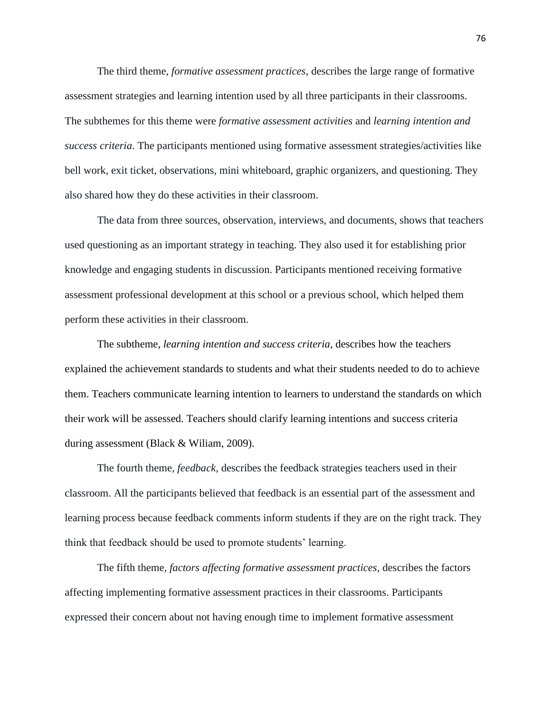The third theme, *formative assessment practices*, describes the large range of formative assessment strategies and learning intention used by all three participants in their classrooms. The subthemes for this theme were *formative assessment activities* and *learning intention and success criteria*. The participants mentioned using formative assessment strategies/activities like bell work, exit ticket, observations, mini whiteboard, graphic organizers, and questioning. They also shared how they do these activities in their classroom.

The data from three sources, observation, interviews, and documents, shows that teachers used questioning as an important strategy in teaching. They also used it for establishing prior knowledge and engaging students in discussion. Participants mentioned receiving formative assessment professional development at this school or a previous school, which helped them perform these activities in their classroom.

The subtheme, *learning intention and success criteria*, describes how the teachers explained the achievement standards to students and what their students needed to do to achieve them. Teachers communicate learning intention to learners to understand the standards on which their work will be assessed. Teachers should clarify learning intentions and success criteria during assessment (Black & Wiliam, 2009).

The fourth theme, *feedback,* describes the feedback strategies teachers used in their classroom. All the participants believed that feedback is an essential part of the assessment and learning process because feedback comments inform students if they are on the right track. They think that feedback should be used to promote students' learning.

The fifth theme, *factors affecting formative assessment practices,* describes the factors affecting implementing formative assessment practices in their classrooms. Participants expressed their concern about not having enough time to implement formative assessment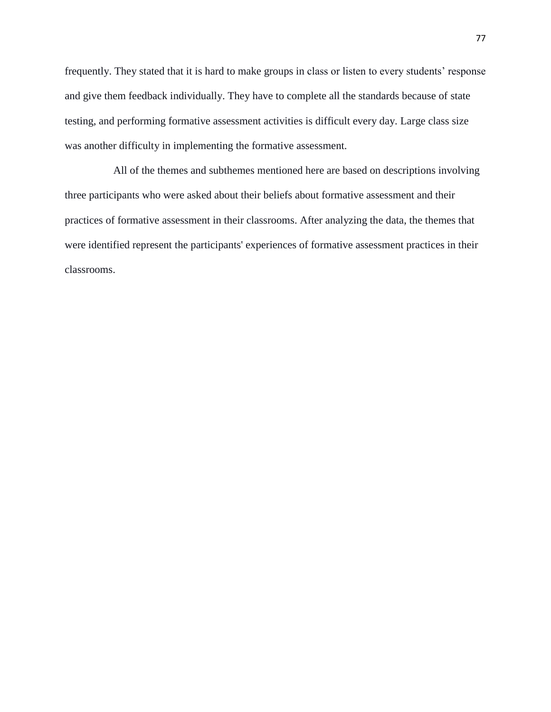frequently. They stated that it is hard to make groups in class or listen to every students' response and give them feedback individually. They have to complete all the standards because of state testing, and performing formative assessment activities is difficult every day. Large class size was another difficulty in implementing the formative assessment.

 All of the themes and subthemes mentioned here are based on descriptions involving three participants who were asked about their beliefs about formative assessment and their practices of formative assessment in their classrooms. After analyzing the data, the themes that were identified represent the participants' experiences of formative assessment practices in their classrooms.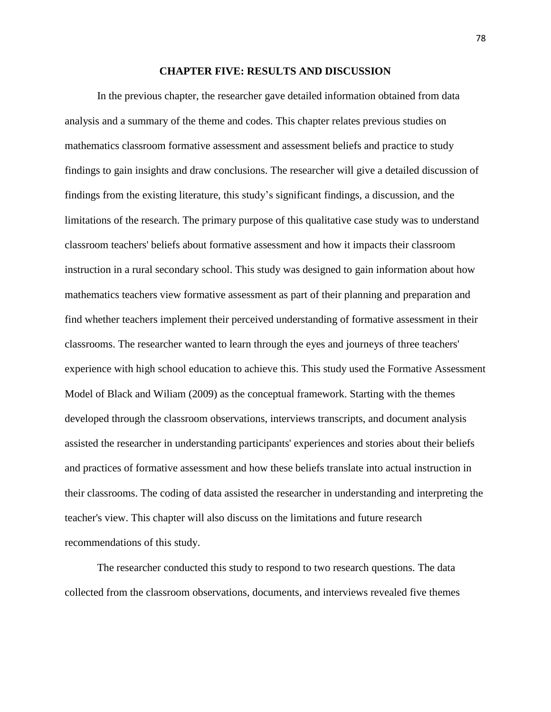#### **CHAPTER FIVE: RESULTS AND DISCUSSION**

In the previous chapter, the researcher gave detailed information obtained from data analysis and a summary of the theme and codes. This chapter relates previous studies on mathematics classroom formative assessment and assessment beliefs and practice to study findings to gain insights and draw conclusions. The researcher will give a detailed discussion of findings from the existing literature, this study's significant findings, a discussion, and the limitations of the research. The primary purpose of this qualitative case study was to understand classroom teachers' beliefs about formative assessment and how it impacts their classroom instruction in a rural secondary school. This study was designed to gain information about how mathematics teachers view formative assessment as part of their planning and preparation and find whether teachers implement their perceived understanding of formative assessment in their classrooms. The researcher wanted to learn through the eyes and journeys of three teachers' experience with high school education to achieve this. This study used the Formative Assessment Model of Black and Wiliam (2009) as the conceptual framework. Starting with the themes developed through the classroom observations, interviews transcripts, and document analysis assisted the researcher in understanding participants' experiences and stories about their beliefs and practices of formative assessment and how these beliefs translate into actual instruction in their classrooms. The coding of data assisted the researcher in understanding and interpreting the teacher's view. This chapter will also discuss on the limitations and future research recommendations of this study.

The researcher conducted this study to respond to two research questions. The data collected from the classroom observations, documents, and interviews revealed five themes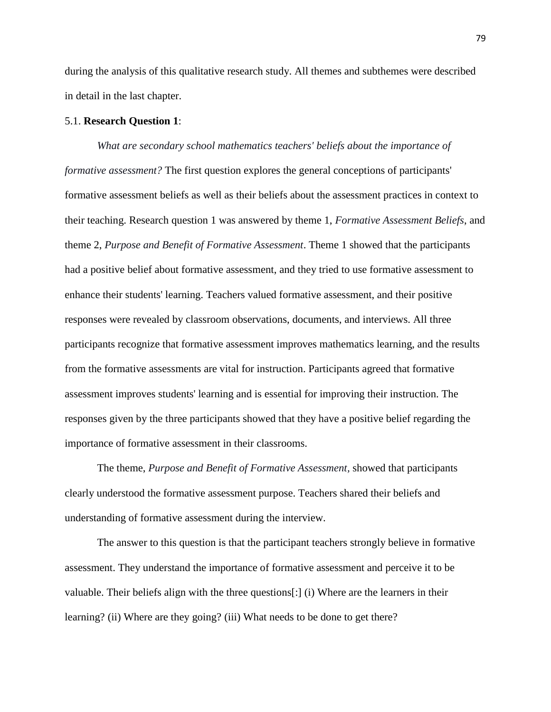during the analysis of this qualitative research study. All themes and subthemes were described in detail in the last chapter.

## 5.1. **Research Question 1**:

*What are secondary school mathematics teachers' beliefs about the importance of formative assessment?* The first question explores the general conceptions of participants' formative assessment beliefs as well as their beliefs about the assessment practices in context to their teaching. Research question 1 was answered by theme 1, *Formative Assessment Beliefs*, and theme 2, *Purpose and Benefit of Formative Assessment*. Theme 1 showed that the participants had a positive belief about formative assessment, and they tried to use formative assessment to enhance their students' learning. Teachers valued formative assessment, and their positive responses were revealed by classroom observations, documents, and interviews. All three participants recognize that formative assessment improves mathematics learning, and the results from the formative assessments are vital for instruction. Participants agreed that formative assessment improves students' learning and is essential for improving their instruction. The responses given by the three participants showed that they have a positive belief regarding the importance of formative assessment in their classrooms.

The theme, *Purpose and Benefit of Formative Assessment,* showed that participants clearly understood the formative assessment purpose. Teachers shared their beliefs and understanding of formative assessment during the interview.

The answer to this question is that the participant teachers strongly believe in formative assessment. They understand the importance of formative assessment and perceive it to be valuable. Their beliefs align with the three questions[:] (i) Where are the learners in their learning? (ii) Where are they going? (iii) What needs to be done to get there?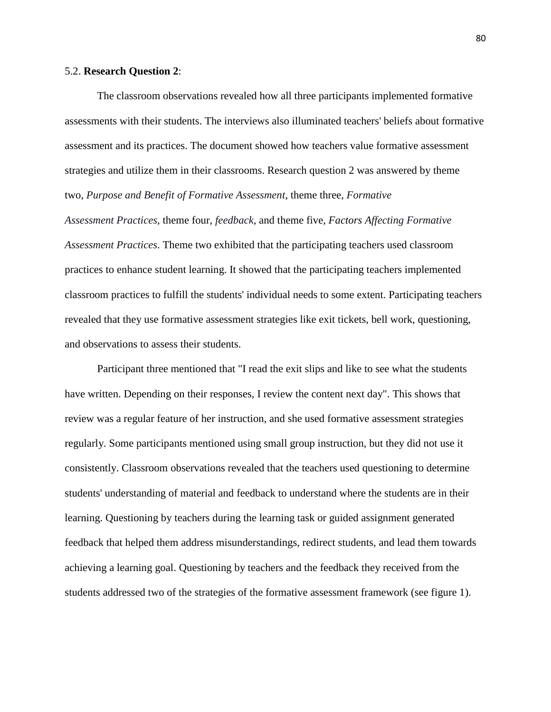#### 5.2. **Research Question 2**:

The classroom observations revealed how all three participants implemented formative assessments with their students. The interviews also illuminated teachers' beliefs about formative assessment and its practices. The document showed how teachers value formative assessment strategies and utilize them in their classrooms. Research question 2 was answered by theme two, *Purpose and Benefit of Formative Assessment*, theme three, *Formative* 

*Assessment Practices*, theme four, *feedback*, and theme five, *Factors Affecting Formative Assessment Practices*. Theme two exhibited that the participating teachers used classroom practices to enhance student learning. It showed that the participating teachers implemented classroom practices to fulfill the students' individual needs to some extent. Participating teachers revealed that they use formative assessment strategies like exit tickets, bell work, questioning, and observations to assess their students.

Participant three mentioned that "I read the exit slips and like to see what the students have written. Depending on their responses, I review the content next day". This shows that review was a regular feature of her instruction, and she used formative assessment strategies regularly. Some participants mentioned using small group instruction, but they did not use it consistently. Classroom observations revealed that the teachers used questioning to determine students' understanding of material and feedback to understand where the students are in their learning. Questioning by teachers during the learning task or guided assignment generated feedback that helped them address misunderstandings, redirect students, and lead them towards achieving a learning goal. Questioning by teachers and the feedback they received from the students addressed two of the strategies of the formative assessment framework (see figure 1).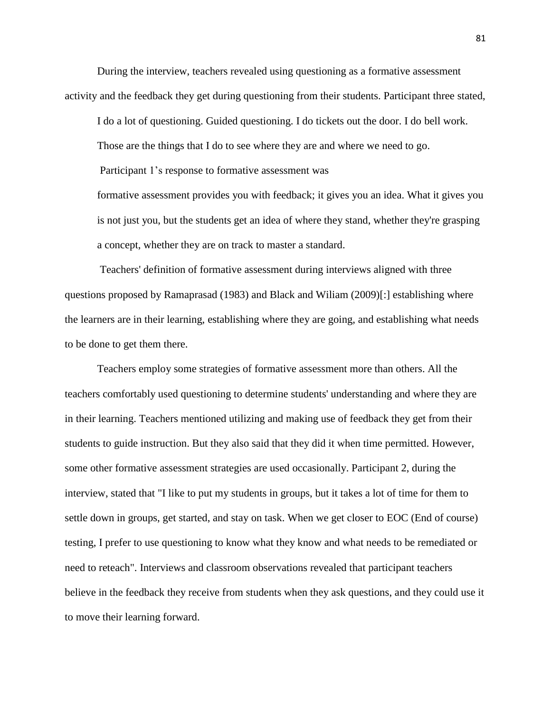During the interview, teachers revealed using questioning as a formative assessment activity and the feedback they get during questioning from their students. Participant three stated,

I do a lot of questioning. Guided questioning. I do tickets out the door. I do bell work.

Those are the things that I do to see where they are and where we need to go.

Participant 1's response to formative assessment was

formative assessment provides you with feedback; it gives you an idea. What it gives you is not just you, but the students get an idea of where they stand, whether they're grasping a concept, whether they are on track to master a standard.

Teachers' definition of formative assessment during interviews aligned with three questions proposed by Ramaprasad (1983) and Black and Wiliam (2009)[:] establishing where the learners are in their learning, establishing where they are going, and establishing what needs to be done to get them there.

Teachers employ some strategies of formative assessment more than others. All the teachers comfortably used questioning to determine students' understanding and where they are in their learning. Teachers mentioned utilizing and making use of feedback they get from their students to guide instruction. But they also said that they did it when time permitted. However, some other formative assessment strategies are used occasionally. Participant 2, during the interview, stated that "I like to put my students in groups, but it takes a lot of time for them to settle down in groups, get started, and stay on task. When we get closer to EOC (End of course) testing, I prefer to use questioning to know what they know and what needs to be remediated or need to reteach". Interviews and classroom observations revealed that participant teachers believe in the feedback they receive from students when they ask questions, and they could use it to move their learning forward.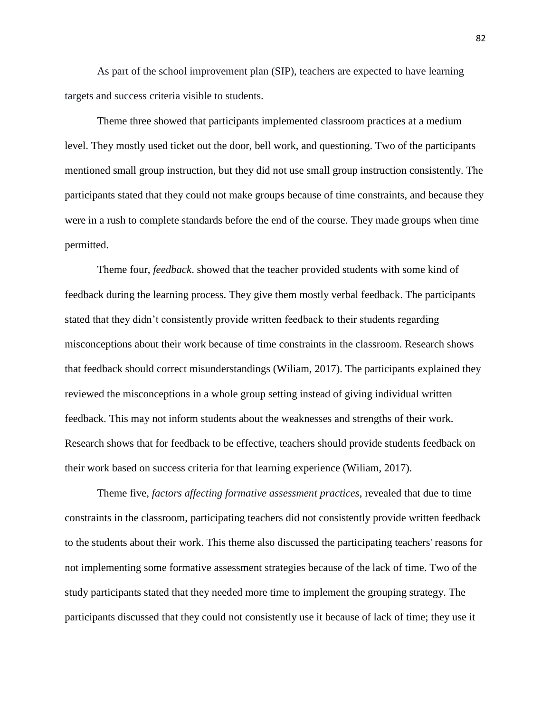As part of the school improvement plan (SIP), teachers are expected to have learning targets and success criteria visible to students.

Theme three showed that participants implemented classroom practices at a medium level. They mostly used ticket out the door, bell work, and questioning. Two of the participants mentioned small group instruction, but they did not use small group instruction consistently. The participants stated that they could not make groups because of time constraints, and because they were in a rush to complete standards before the end of the course. They made groups when time permitted.

Theme four, *feedback*. showed that the teacher provided students with some kind of feedback during the learning process. They give them mostly verbal feedback. The participants stated that they didn't consistently provide written feedback to their students regarding misconceptions about their work because of time constraints in the classroom. Research shows that feedback should correct misunderstandings (Wiliam, 2017). The participants explained they reviewed the misconceptions in a whole group setting instead of giving individual written feedback. This may not inform students about the weaknesses and strengths of their work. Research shows that for feedback to be effective, teachers should provide students feedback on their work based on success criteria for that learning experience (Wiliam, 2017).

Theme five, *factors affecting formative assessment practices*, revealed that due to time constraints in the classroom, participating teachers did not consistently provide written feedback to the students about their work. This theme also discussed the participating teachers' reasons for not implementing some formative assessment strategies because of the lack of time. Two of the study participants stated that they needed more time to implement the grouping strategy. The participants discussed that they could not consistently use it because of lack of time; they use it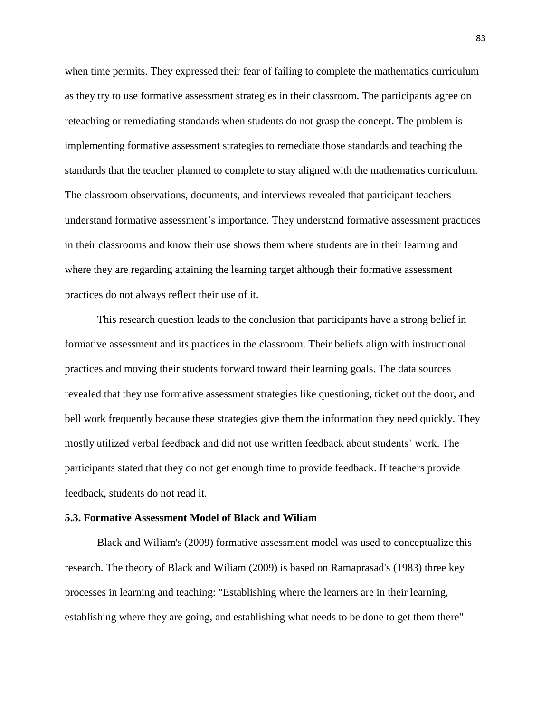when time permits. They expressed their fear of failing to complete the mathematics curriculum as they try to use formative assessment strategies in their classroom. The participants agree on reteaching or remediating standards when students do not grasp the concept. The problem is implementing formative assessment strategies to remediate those standards and teaching the standards that the teacher planned to complete to stay aligned with the mathematics curriculum. The classroom observations, documents, and interviews revealed that participant teachers understand formative assessment's importance. They understand formative assessment practices in their classrooms and know their use shows them where students are in their learning and where they are regarding attaining the learning target although their formative assessment practices do not always reflect their use of it.

This research question leads to the conclusion that participants have a strong belief in formative assessment and its practices in the classroom. Their beliefs align with instructional practices and moving their students forward toward their learning goals. The data sources revealed that they use formative assessment strategies like questioning, ticket out the door, and bell work frequently because these strategies give them the information they need quickly. They mostly utilized verbal feedback and did not use written feedback about students' work. The participants stated that they do not get enough time to provide feedback. If teachers provide feedback, students do not read it.

#### **5.3. Formative Assessment Model of Black and Wiliam**

Black and Wiliam's (2009) formative assessment model was used to conceptualize this research. The theory of Black and Wiliam (2009) is based on Ramaprasad's (1983) three key processes in learning and teaching: "Establishing where the learners are in their learning, establishing where they are going, and establishing what needs to be done to get them there"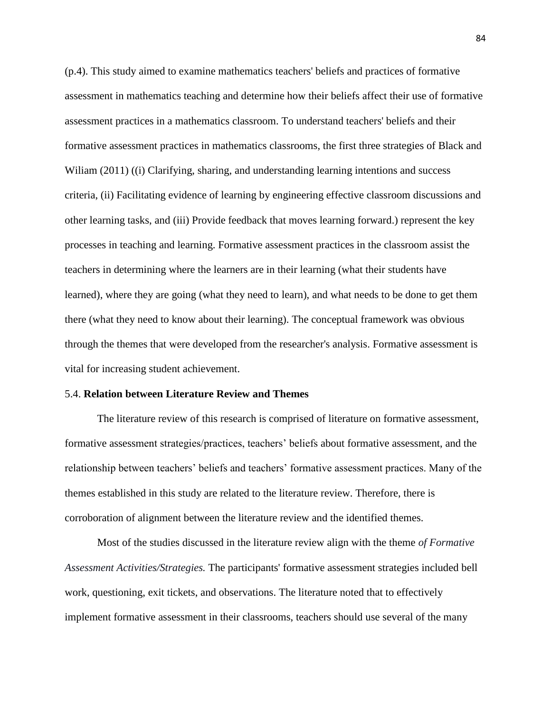(p.4). This study aimed to examine mathematics teachers' beliefs and practices of formative assessment in mathematics teaching and determine how their beliefs affect their use of formative assessment practices in a mathematics classroom. To understand teachers' beliefs and their formative assessment practices in mathematics classrooms, the first three strategies of Black and William (2011) ((i) Clarifying, sharing, and understanding learning intentions and success criteria, (ii) Facilitating evidence of learning by engineering effective classroom discussions and other learning tasks, and (iii) Provide feedback that moves learning forward.) represent the key processes in teaching and learning. Formative assessment practices in the classroom assist the teachers in determining where the learners are in their learning (what their students have learned), where they are going (what they need to learn), and what needs to be done to get them there (what they need to know about their learning). The conceptual framework was obvious through the themes that were developed from the researcher's analysis. Formative assessment is vital for increasing student achievement.

#### 5.4. **Relation between Literature Review and Themes**

The literature review of this research is comprised of literature on formative assessment, formative assessment strategies/practices, teachers' beliefs about formative assessment, and the relationship between teachers' beliefs and teachers' formative assessment practices. Many of the themes established in this study are related to the literature review. Therefore, there is corroboration of alignment between the literature review and the identified themes.

Most of the studies discussed in the literature review align with the theme *of Formative Assessment Activities/Strategies.* The participants' formative assessment strategies included bell work, questioning, exit tickets, and observations. The literature noted that to effectively implement formative assessment in their classrooms, teachers should use several of the many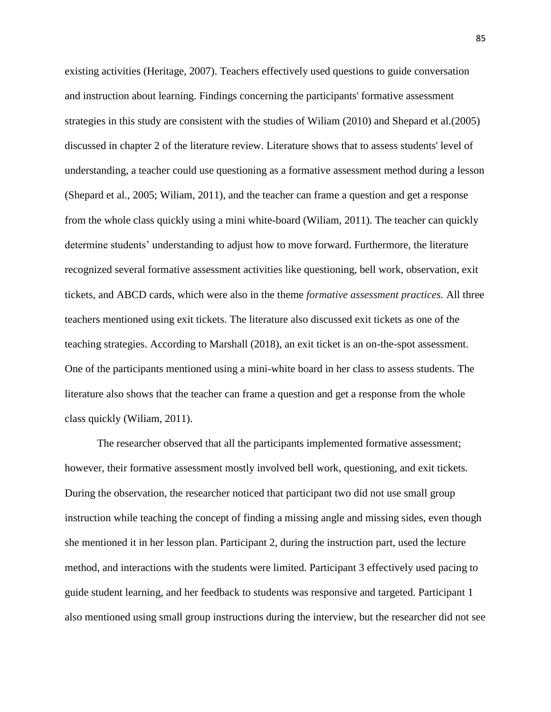existing activities (Heritage, 2007). Teachers effectively used questions to guide conversation and instruction about learning. Findings concerning the participants' formative assessment strategies in this study are consistent with the studies of Wiliam (2010) and Shepard et al.(2005) discussed in chapter 2 of the literature review. Literature shows that to assess students' level of understanding, a teacher could use questioning as a formative assessment method during a lesson (Shepard et al., 2005; Wiliam, 2011), and the teacher can frame a question and get a response from the whole class quickly using a mini white-board (Wiliam, 2011). The teacher can quickly determine students' understanding to adjust how to move forward. Furthermore, the literature recognized several formative assessment activities like questioning, bell work, observation, exit tickets, and ABCD cards, which were also in the theme *formative assessment practices.* All three teachers mentioned using exit tickets. The literature also discussed exit tickets as one of the teaching strategies. According to Marshall (2018), an exit ticket is an on-the-spot assessment. One of the participants mentioned using a mini-white board in her class to assess students. The literature also shows that the teacher can frame a question and get a response from the whole class quickly (Wiliam, 2011).

The researcher observed that all the participants implemented formative assessment; however, their formative assessment mostly involved bell work, questioning, and exit tickets. During the observation, the researcher noticed that participant two did not use small group instruction while teaching the concept of finding a missing angle and missing sides, even though she mentioned it in her lesson plan. Participant 2, during the instruction part, used the lecture method, and interactions with the students were limited. Participant 3 effectively used pacing to guide student learning, and her feedback to students was responsive and targeted. Participant 1 also mentioned using small group instructions during the interview, but the researcher did not see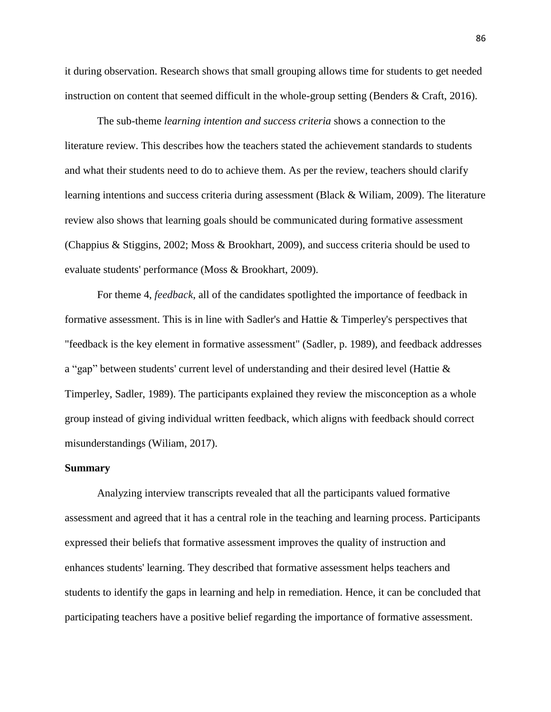it during observation. Research shows that small grouping allows time for students to get needed instruction on content that seemed difficult in the whole-group setting (Benders & Craft, 2016).

The sub-theme *learning intention and success criteria* shows a connection to the literature review. This describes how the teachers stated the achievement standards to students and what their students need to do to achieve them. As per the review, teachers should clarify learning intentions and success criteria during assessment (Black & Wiliam, 2009). The literature review also shows that learning goals should be communicated during formative assessment (Chappius & Stiggins, 2002; Moss & Brookhart, 2009), and success criteria should be used to evaluate students' performance (Moss & Brookhart, 2009).

For theme 4, *feedback*, all of the candidates spotlighted the importance of feedback in formative assessment. This is in line with Sadler's and Hattie & Timperley's perspectives that "feedback is the key element in formative assessment" (Sadler, p. 1989), and feedback addresses a "gap" between students' current level of understanding and their desired level (Hattie & Timperley, Sadler, 1989). The participants explained they review the misconception as a whole group instead of giving individual written feedback, which aligns with feedback should correct misunderstandings (Wiliam, 2017).

#### **Summary**

Analyzing interview transcripts revealed that all the participants valued formative assessment and agreed that it has a central role in the teaching and learning process. Participants expressed their beliefs that formative assessment improves the quality of instruction and enhances students' learning. They described that formative assessment helps teachers and students to identify the gaps in learning and help in remediation. Hence, it can be concluded that participating teachers have a positive belief regarding the importance of formative assessment.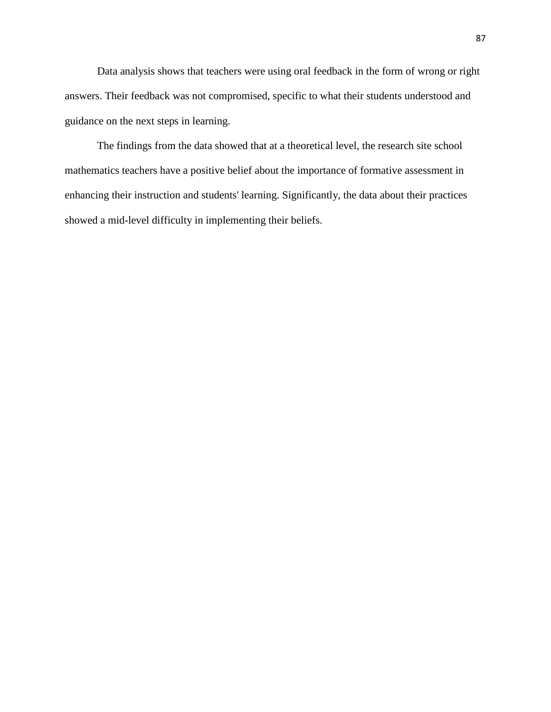Data analysis shows that teachers were using oral feedback in the form of wrong or right answers. Their feedback was not compromised, specific to what their students understood and guidance on the next steps in learning.

The findings from the data showed that at a theoretical level, the research site school mathematics teachers have a positive belief about the importance of formative assessment in enhancing their instruction and students' learning. Significantly, the data about their practices showed a mid-level difficulty in implementing their beliefs.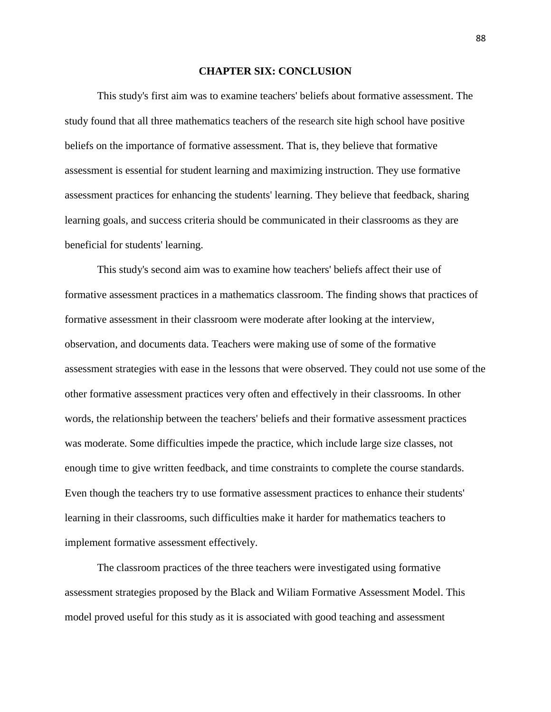#### **CHAPTER SIX: CONCLUSION**

This study's first aim was to examine teachers' beliefs about formative assessment. The study found that all three mathematics teachers of the research site high school have positive beliefs on the importance of formative assessment. That is, they believe that formative assessment is essential for student learning and maximizing instruction. They use formative assessment practices for enhancing the students' learning. They believe that feedback, sharing learning goals, and success criteria should be communicated in their classrooms as they are beneficial for students' learning.

This study's second aim was to examine how teachers' beliefs affect their use of formative assessment practices in a mathematics classroom. The finding shows that practices of formative assessment in their classroom were moderate after looking at the interview, observation, and documents data. Teachers were making use of some of the formative assessment strategies with ease in the lessons that were observed. They could not use some of the other formative assessment practices very often and effectively in their classrooms. In other words, the relationship between the teachers' beliefs and their formative assessment practices was moderate. Some difficulties impede the practice, which include large size classes, not enough time to give written feedback, and time constraints to complete the course standards. Even though the teachers try to use formative assessment practices to enhance their students' learning in their classrooms, such difficulties make it harder for mathematics teachers to implement formative assessment effectively.

The classroom practices of the three teachers were investigated using formative assessment strategies proposed by the Black and Wiliam Formative Assessment Model. This model proved useful for this study as it is associated with good teaching and assessment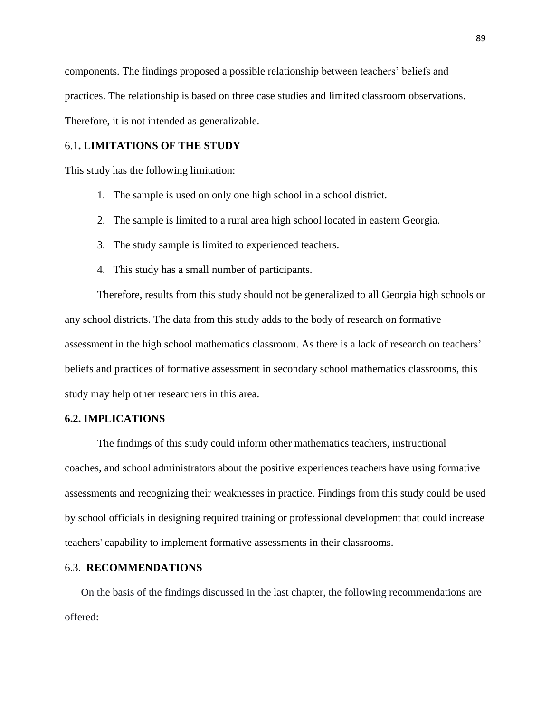components. The findings proposed a possible relationship between teachers' beliefs and practices. The relationship is based on three case studies and limited classroom observations. Therefore, it is not intended as generalizable.

## 6.1**. LIMITATIONS OF THE STUDY**

This study has the following limitation:

- 1. The sample is used on only one high school in a school district.
- 2. The sample is limited to a rural area high school located in eastern Georgia.
- 3. The study sample is limited to experienced teachers.
- 4. This study has a small number of participants.

Therefore, results from this study should not be generalized to all Georgia high schools or any school districts. The data from this study adds to the body of research on formative assessment in the high school mathematics classroom. As there is a lack of research on teachers' beliefs and practices of formative assessment in secondary school mathematics classrooms, this study may help other researchers in this area.

## **6.2. IMPLICATIONS**

The findings of this study could inform other mathematics teachers, instructional coaches, and school administrators about the positive experiences teachers have using formative assessments and recognizing their weaknesses in practice. Findings from this study could be used by school officials in designing required training or professional development that could increase teachers' capability to implement formative assessments in their classrooms.

## 6.3. **RECOMMENDATIONS**

On the basis of the findings discussed in the last chapter, the following recommendations are offered: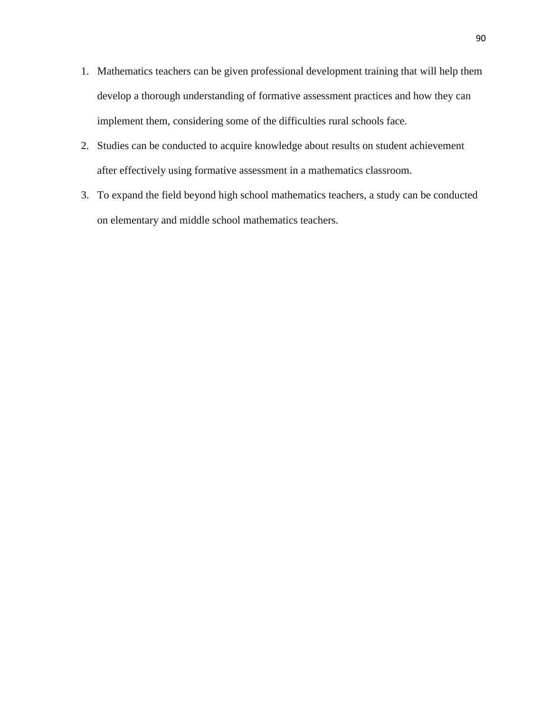- 1. Mathematics teachers can be given professional development training that will help them develop a thorough understanding of formative assessment practices and how they can implement them, considering some of the difficulties rural schools face.
- 2. Studies can be conducted to acquire knowledge about results on student achievement after effectively using formative assessment in a mathematics classroom.
- 3. To expand the field beyond high school mathematics teachers, a study can be conducted on elementary and middle school mathematics teachers.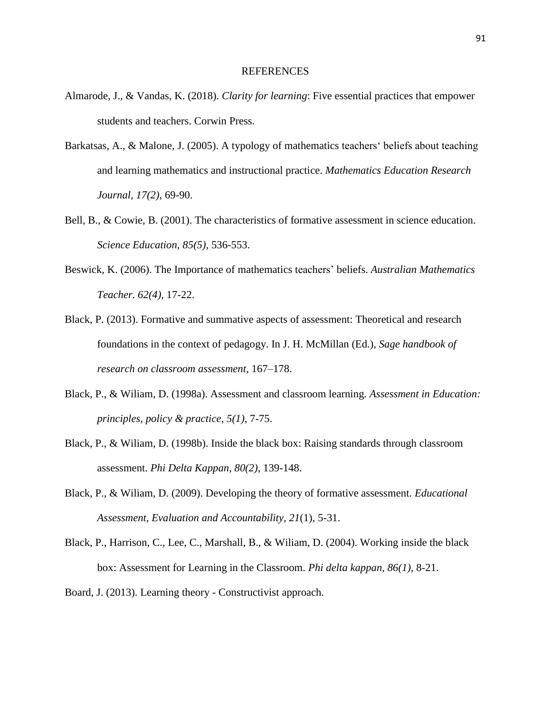#### REFERENCES

- Almarode, J., & Vandas, K. (2018). *Clarity for learning*: Five essential practices that empower students and teachers. Corwin Press.
- Barkatsas, A., & Malone, J. (2005). A typology of mathematics teachers' beliefs about teaching and learning mathematics and instructional practice. *Mathematics Education Research Journal, 17(2),* 69-90.
- Bell, B., & Cowie, B. (2001). The characteristics of formative assessment in science education. *Science Education, 85(5),* 536-553.
- Beswick, K. (2006). The Importance of mathematics teachers' beliefs. *Australian Mathematics Teacher. 62(4)*, 17-22.
- Black, P. (2013). Formative and summative aspects of assessment: Theoretical and research foundations in the context of pedagogy. In J. H. McMillan (Ed.), *Sage handbook of research on classroom assessment*, 167–178.
- Black, P., & Wiliam, D. (1998a). Assessment and classroom learning*. Assessment in Education: principles, policy & practice, 5(1)*, 7-75.
- Black, P., & Wiliam, D. (1998b). Inside the black box: Raising standards through classroom assessment. *Phi Delta Kappan, 80(2)*, 139-148.
- Black, P., & Wiliam, D. (2009). Developing the theory of formative assessment. *Educational Assessment, Evaluation and Accountability, 21*(1), 5-31.
- Black, P., Harrison, C., Lee, C., Marshall, B., & Wiliam, D. (2004). Working inside the black box: Assessment for Learning in the Classroom. *Phi delta kappan, 86(1),* 8-21.
- Board, J. (2013). Learning theory Constructivist approach.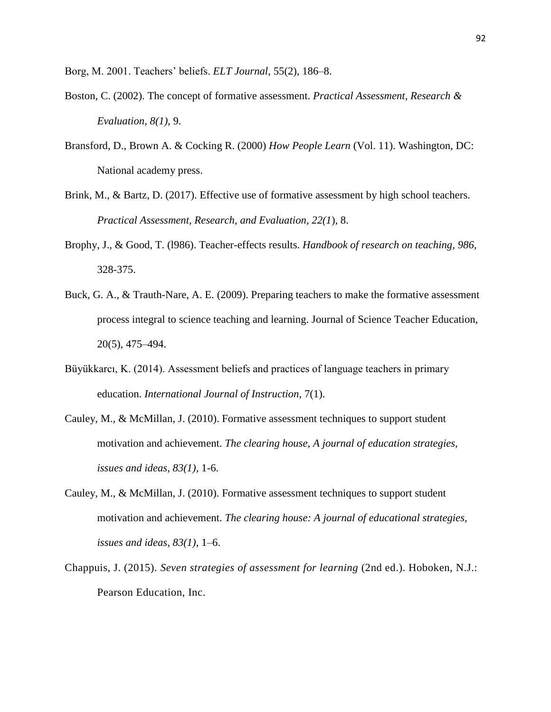Borg, M. 2001. Teachers' beliefs. *ELT Journal*, 55(2), 186–8.

- Boston, C. (2002). The concept of formative assessment. *Practical Assessment, Research & Evaluation*, *8(1),* 9.
- Bransford, D., Brown A. & Cocking R. (2000) *How People Learn* (Vol. 11). Washington, DC: National academy press.
- Brink, M., & Bartz, D. (2017). Effective use of formative assessment by high school teachers. *Practical Assessment, Research, and Evaluation, 22(1*), 8.
- Brophy, J., & Good, T. (l986). Teacher-effects results. *Handbook of research on teaching, 986,* 328-375.
- Buck, G. A., & Trauth-Nare, A. E. (2009). Preparing teachers to make the formative assessment process integral to science teaching and learning. Journal of Science Teacher Education, 20(5), 475–494.
- Büyükkarcı, K. (2014). Assessment beliefs and practices of language teachers in primary education. *International Journal of Instruction*, 7(1).
- Cauley, M., & McMillan, J. (2010). Formative assessment techniques to support student motivation and achievement. *The clearing house, A journal of education strategies, issues and ideas*, *83(1),* 1-6.
- Cauley, M., & McMillan, J. (2010). Formative assessment techniques to support student motivation and achievement. *The clearing house: A journal of educational strategies, issues and ideas, 83(1)*, 1–6.
- Chappuis, J. (2015). *Seven strategies of assessment for learning* (2nd ed.). Hoboken, N.J.: Pearson Education, Inc.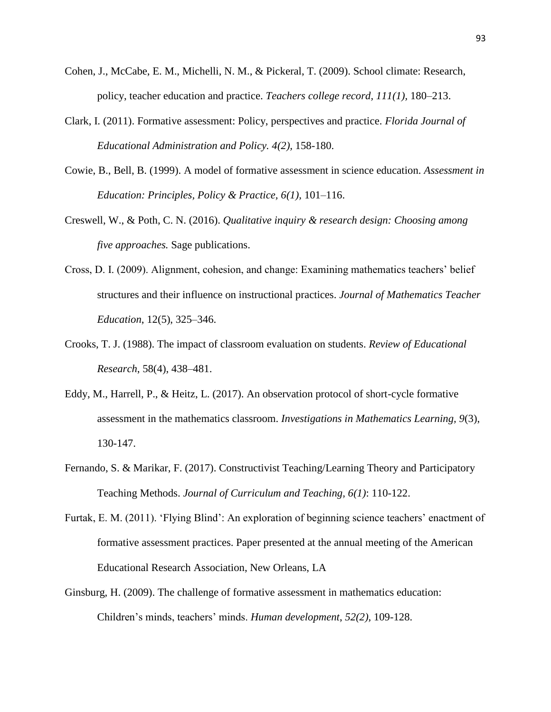- Cohen, J., McCabe, E. M., Michelli, N. M., & Pickeral, T. (2009). School climate: Research, policy, teacher education and practice. *Teachers college record, 111(1),* 180–213.
- Clark, I. (2011). Formative assessment: Policy, perspectives and practice. *Florida Journal of Educational Administration and Policy. 4(2),* 158-180.
- Cowie, B., Bell, B. (1999). A model of formative assessment in science education. *Assessment in Education: Principles, Policy & Practice, 6(1),* 101–116.
- Creswell, W., & Poth, C. N. (2016). *Qualitative inquiry & research design: Choosing among five approaches.* Sage publications.
- Cross, D. I. (2009). Alignment, cohesion, and change: Examining mathematics teachers' belief structures and their influence on instructional practices. *Journal of Mathematics Teacher Education*, 12(5), 325–346.
- Crooks, T. J. (1988). The impact of classroom evaluation on students. *Review of Educational Research*, 58(4), 438–481.
- Eddy, M., Harrell, P., & Heitz, L. (2017). An observation protocol of short-cycle formative assessment in the mathematics classroom. *Investigations in Mathematics Learning, 9*(3), 130-147.
- Fernando, S. & Marikar, F. (2017). Constructivist Teaching/Learning Theory and Participatory Teaching Methods. *Journal of Curriculum and Teaching, 6(1)*: 110-122.
- Furtak, E. M. (2011). 'Flying Blind': An exploration of beginning science teachers' enactment of formative assessment practices. Paper presented at the annual meeting of the American Educational Research Association, New Orleans, LA
- Ginsburg, H. (2009). The challenge of formative assessment in mathematics education: Children's minds, teachers' minds. *Human development*, *52(2),* 109-128.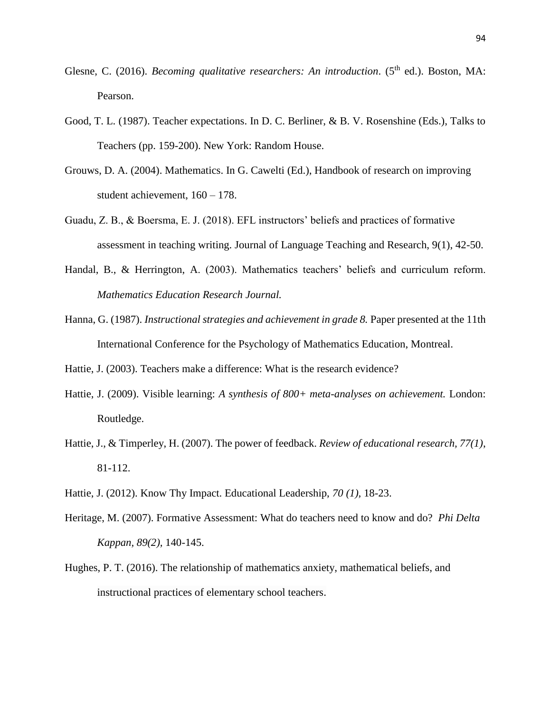- Glesne, C. (2016). *Becoming qualitative researchers: An introduction.* (5<sup>th</sup> ed.). Boston, MA: Pearson.
- Good, T. L. (1987). Teacher expectations. In D. C. Berliner, & B. V. Rosenshine (Eds.), Talks to Teachers (pp. 159-200). New York: Random House.
- Grouws, D. A. (2004). Mathematics. In G. Cawelti (Ed.), Handbook of research on improving student achievement, 160 – 178.
- Guadu, Z. B., & Boersma, E. J. (2018). EFL instructors' beliefs and practices of formative assessment in teaching writing. Journal of Language Teaching and Research, 9(1), 42-50.
- Handal, B., & Herrington, A. (2003). Mathematics teachers' beliefs and curriculum reform. *Mathematics Education Research Journal.*
- Hanna, G. (1987). *Instructional strategies and achievement in grade 8.* Paper presented at the 11th International Conference for the Psychology of Mathematics Education, Montreal.
- Hattie, J. (2003). Teachers make a difference: What is the research evidence?
- Hattie, J. (2009). Visible learning: *A synthesis of 800+ meta-analyses on achievement.* London: Routledge.
- Hattie, J., & Timperley, H. (2007). The power of feedback. *Review of educational research, 77(1)*, 81-112.
- Hattie, J. (2012). Know Thy Impact. Educational Leadership, *70 (1),* 18-23.
- Heritage, M. (2007). Formative Assessment: What do teachers need to know and do? *Phi Delta Kappan, 89(2),* 140-145.
- Hughes, P. T. (2016). The relationship of mathematics anxiety, mathematical beliefs, and instructional practices of elementary school teachers.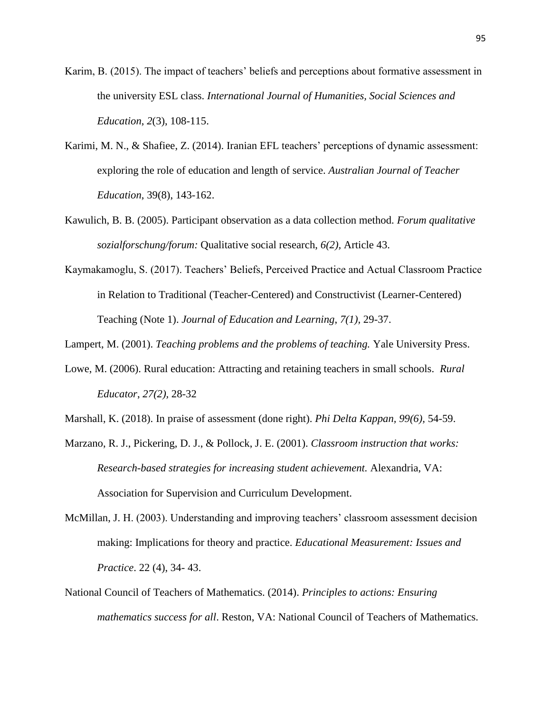- Karim, B. (2015). The impact of teachers' beliefs and perceptions about formative assessment in the university ESL class. *International Journal of Humanities, Social Sciences and Education*, *2*(3), 108-115.
- Karimi, M. N., & Shafiee, Z. (2014). Iranian EFL teachers' perceptions of dynamic assessment: exploring the role of education and length of service. *Australian Journal of Teacher Education*, 39(8), 143-162.
- Kawulich, B. B. (2005). Participant observation as a data collection method. *Forum qualitative sozialforschung/forum:* Qualitative social research, *6(2),* Article 43.
- Kaymakamoglu, S. (2017). Teachers' Beliefs, Perceived Practice and Actual Classroom Practice in Relation to Traditional (Teacher-Centered) and Constructivist (Learner-Centered) Teaching (Note 1). *Journal of Education and Learning*, *7(1),* 29-37.
- Lampert, M. (2001). *Teaching problems and the problems of teaching.* Yale University Press.
- Lowe, M. (2006). Rural education: Attracting and retaining teachers in small schools. *Rural Educator*, *27(2),* 28-32
- Marshall, K. (2018). In praise of assessment (done right). *Phi Delta Kappan, 99(6),* 54-59.
- Marzano, R. J., Pickering, D. J., & Pollock, J. E. (2001). *Classroom instruction that works: Research-based strategies for increasing student achievement.* Alexandria, VA: Association for Supervision and Curriculum Development.
- McMillan, J. H. (2003). Understanding and improving teachers' classroom assessment decision making: Implications for theory and practice. *Educational Measurement: Issues and Practice*. 22 (4), 34- 43.
- National Council of Teachers of Mathematics. (2014). *Principles to actions: Ensuring mathematics success for all*. Reston, VA: National Council of Teachers of Mathematics.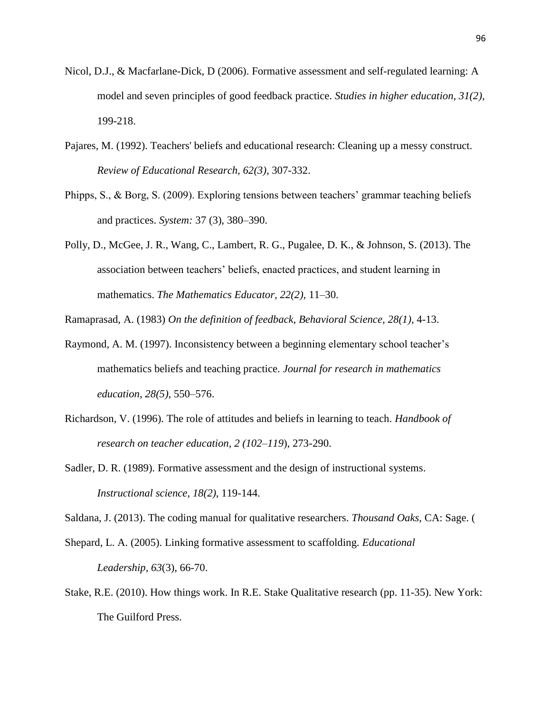- Nicol, D.J., & Macfarlane-Dick, D (2006). Formative assessment and self-regulated learning: A model and seven principles of good feedback practice. *Studies in higher education, 31(2),* 199-218.
- Pajares, M. (1992). Teachers' beliefs and educational research: Cleaning up a messy construct. *Review of Educational Research, 62(3),* 307-332.
- Phipps, S., & Borg, S. (2009). Exploring tensions between teachers' grammar teaching beliefs and practices. *System:* 37 (3), 380–390.
- Polly, D., McGee, J. R., Wang, C., Lambert, R. G., Pugalee, D. K., & Johnson, S. (2013). The association between teachers' beliefs, enacted practices, and student learning in mathematics. *The Mathematics Educator, 22(2),* 11–30.

Ramaprasad, A. (1983) *On the definition of feedback, Behavioral Science, 28(1),* 4-13.

- Raymond, A. M. (1997). Inconsistency between a beginning elementary school teacher's mathematics beliefs and teaching practice. *Journal for research in mathematics education, 28(5)*, 550–576.
- Richardson, V. (1996). The role of attitudes and beliefs in learning to teach. *Handbook of research on teacher education, 2 (102–119*), 273-290.
- Sadler, D. R. (1989). Formative assessment and the design of instructional systems. *Instructional science, 18(2)*, 119-144.

Saldana, J. (2013). The coding manual for qualitative researchers. *Thousand Oaks*, CA: Sage. (

Shepard, L. A. (2005). Linking formative assessment to scaffolding. *Educational Leadership, 63*(3), 66-70.

Stake, R.E. (2010). How things work. In R.E. Stake Qualitative research (pp. 11-35). New York: The Guilford Press.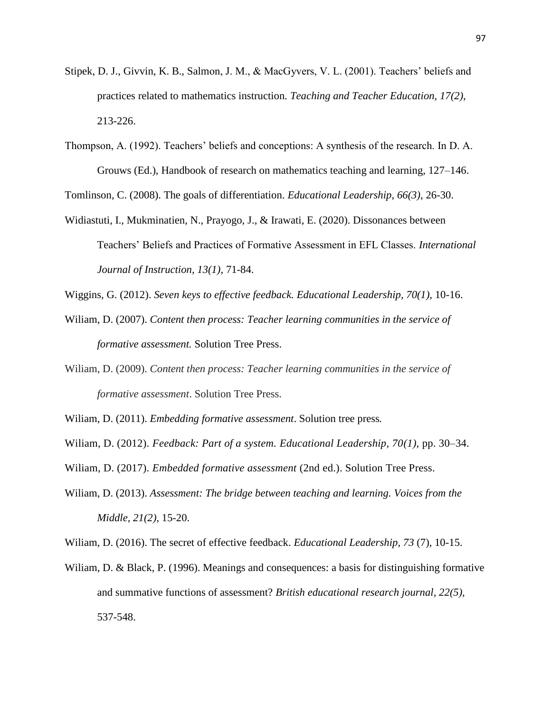- Stipek, D. J., Givvin, K. B., Salmon, J. M., & MacGyvers, V. L. (2001). Teachers' beliefs and practices related to mathematics instruction*. Teaching and Teacher Education, 17(2),* 213-226.
- Thompson, A. (1992). Teachers' beliefs and conceptions: A synthesis of the research. In D. A. Grouws (Ed.), Handbook of research on mathematics teaching and learning, 127–146.

Tomlinson, C. (2008). The goals of differentiation. *Educational Leadership, 66(3)*, 26-30.

Widiastuti, I., Mukminatien, N., Prayogo, J., & Irawati, E. (2020). Dissonances between Teachers' Beliefs and Practices of Formative Assessment in EFL Classes. *International Journal of Instruction, 13(1),* 71-84.

Wiggins, G. (2012). *Seven keys to effective feedback. Educational Leadership, 70(1),* 10-16.

- Wiliam, D. (2007). *Content then process: Teacher learning communities in the service of formative assessment.* Solution Tree Press.
- Wiliam, D. (2009). *Content then process: Teacher learning communities in the service of formative assessment*. Solution Tree Press.
- Wiliam, D. (2011). *Embedding formative assessment*. Solution tree press*.*
- Wiliam, D. (2012). *Feedback: Part of a system. Educational Leadership, 70(1),* pp. 30–34.
- Wiliam, D. (2017). *Embedded formative assessment* (2nd ed.). Solution Tree Press.
- Wiliam, D. (2013). *Assessment: The bridge between teaching and learning. Voices from the Middle, 21(2),* 15-20.
- Wiliam, D. (2016). The secret of effective feedback. *Educational Leadership, 73* (7), 10-15.
- Wiliam, D. & Black, P. (1996). Meanings and consequences: a basis for distinguishing formative and summative functions of assessment? *British educational research journal, 22(5),* 537-548.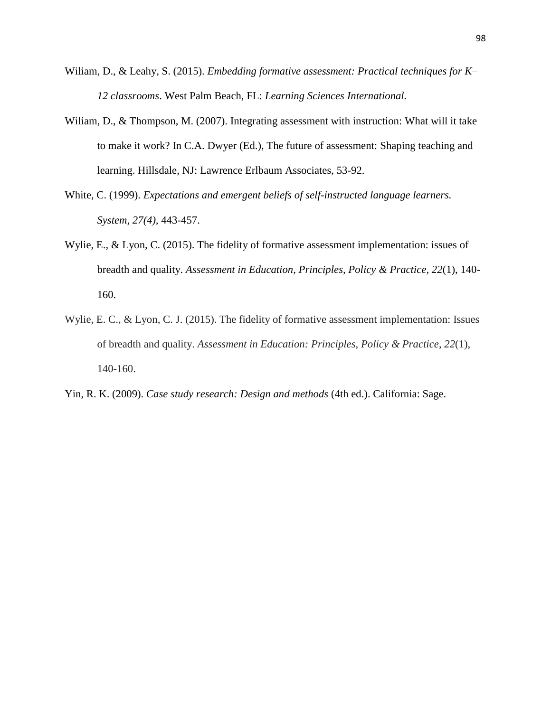- Wiliam, D., & Leahy, S. (2015). *Embedding formative assessment: Practical techniques for K– 12 classrooms*. West Palm Beach, FL: *Learning Sciences International.*
- William, D., & Thompson, M. (2007). Integrating assessment with instruction: What will it take to make it work? In C.A. Dwyer (Ed.), The future of assessment: Shaping teaching and learning. Hillsdale, NJ: Lawrence Erlbaum Associates, 53-92.
- White, C. (1999). *Expectations and emergent beliefs of self-instructed language learners. System, 27(4),* 443-457.
- Wylie, E., & Lyon, C. (2015). The fidelity of formative assessment implementation: issues of breadth and quality. *Assessment in Education, Principles, Policy & Practice, 22*(1), 140- 160.
- Wylie, E. C., & Lyon, C. J. (2015). The fidelity of formative assessment implementation: Issues of breadth and quality. *Assessment in Education: Principles, Policy & Practice*, *22*(1), 140-160.
- Yin, R. K. (2009). *Case study research: Design and methods* (4th ed.). California: Sage.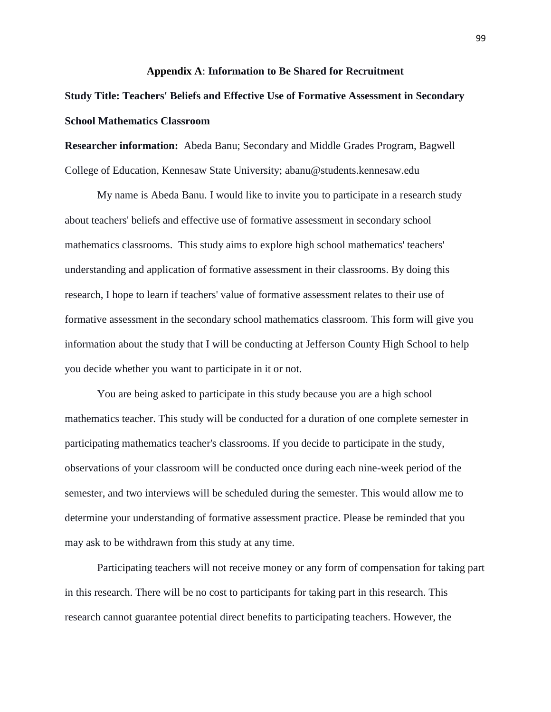#### **Appendix A**: **Information to Be Shared for Recruitment**

# **Study Title: Teachers' Beliefs and Effective Use of Formative Assessment in Secondary School Mathematics Classroom**

**Researcher information:** Abeda Banu; Secondary and Middle Grades Program, Bagwell College of Education, Kennesaw State University; abanu@students.kennesaw.edu

My name is Abeda Banu. I would like to invite you to participate in a research study about teachers' beliefs and effective use of formative assessment in secondary school mathematics classrooms. This study aims to explore high school mathematics' teachers' understanding and application of formative assessment in their classrooms. By doing this research, I hope to learn if teachers' value of formative assessment relates to their use of formative assessment in the secondary school mathematics classroom. This form will give you information about the study that I will be conducting at Jefferson County High School to help you decide whether you want to participate in it or not.

You are being asked to participate in this study because you are a high school mathematics teacher. This study will be conducted for a duration of one complete semester in participating mathematics teacher's classrooms. If you decide to participate in the study, observations of your classroom will be conducted once during each nine-week period of the semester, and two interviews will be scheduled during the semester. This would allow me to determine your understanding of formative assessment practice. Please be reminded that you may ask to be withdrawn from this study at any time.

Participating teachers will not receive money or any form of compensation for taking part in this research. There will be no cost to participants for taking part in this research. This research cannot guarantee potential direct benefits to participating teachers. However, the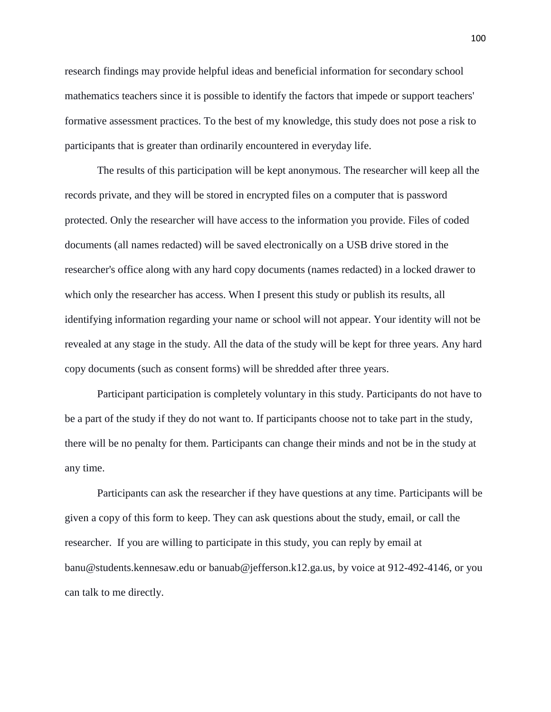research findings may provide helpful ideas and beneficial information for secondary school mathematics teachers since it is possible to identify the factors that impede or support teachers' formative assessment practices. To the best of my knowledge, this study does not pose a risk to participants that is greater than ordinarily encountered in everyday life.

The results of this participation will be kept anonymous. The researcher will keep all the records private, and they will be stored in encrypted files on a computer that is password protected. Only the researcher will have access to the information you provide. Files of coded documents (all names redacted) will be saved electronically on a USB drive stored in the researcher's office along with any hard copy documents (names redacted) in a locked drawer to which only the researcher has access. When I present this study or publish its results, all identifying information regarding your name or school will not appear. Your identity will not be revealed at any stage in the study. All the data of the study will be kept for three years. Any hard copy documents (such as consent forms) will be shredded after three years.

Participant participation is completely voluntary in this study. Participants do not have to be a part of the study if they do not want to. If participants choose not to take part in the study, there will be no penalty for them. Participants can change their minds and not be in the study at any time.

Participants can ask the researcher if they have questions at any time. Participants will be given a copy of this form to keep. They can ask questions about the study, email, or call the researcher. If you are willing to participate in this study, you can reply by email at banu@students.kennesaw.edu or banuab@jefferson.k12.ga.us, by voice at 912-492-4146, or you can talk to me directly.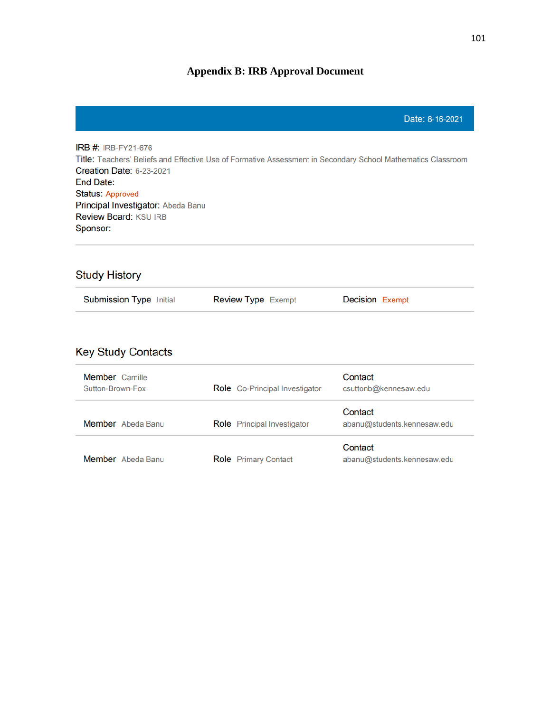# **Appendix B: IRB Approval Document**

**IRB #: IRB-FY21-676** Title: Teachers' Beliefs and Effective Use of Formative Assessment in Secondary School Mathematics Classroom **Creation Date: 6-23-2021** End Date: **Status: Approved** Principal Investigator: Abeda Banu Review Board: KSU IRB Sponsor:

# **Study History**

| <b>Submission Type Initial</b> | <b>Review Type Exempt</b> | <b>Decision Exempt</b> |
|--------------------------------|---------------------------|------------------------|
|                                |                           |                        |

# **Key Study Contacts**

| <b>Member</b> Camille<br>Sutton-Brown-Fox | <b>Role</b> Co-Principal Investigator | Contact<br>csuttonb@kennesaw.edu       |
|-------------------------------------------|---------------------------------------|----------------------------------------|
| Member Abeda Banu                         | <b>Role</b> Principal Investigator    | Contact<br>abanu@students.kennesaw.edu |
| Member Abeda Banu                         | <b>Role</b> Primary Contact           | Contact<br>abanu@students.kennesaw.edu |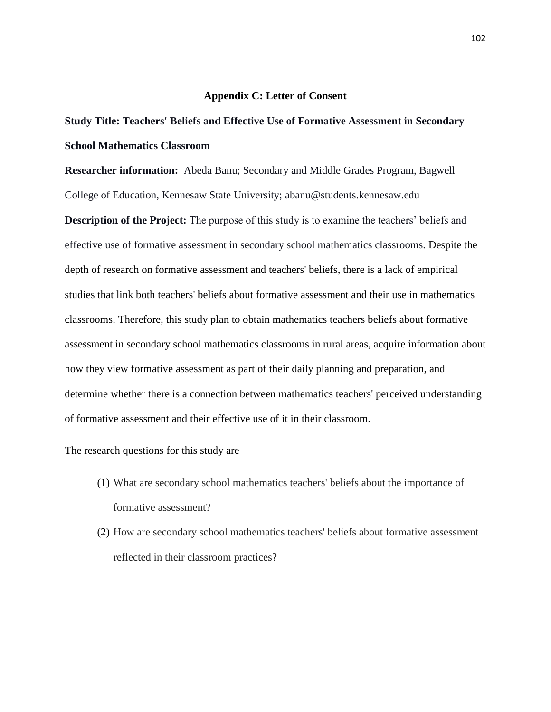#### **Appendix C: Letter of Consent**

# **Study Title: Teachers' Beliefs and Effective Use of Formative Assessment in Secondary School Mathematics Classroom**

**Researcher information:** Abeda Banu; Secondary and Middle Grades Program, Bagwell College of Education, Kennesaw State University; abanu@students.kennesaw.edu

**Description of the Project:** The purpose of this study is to examine the teachers' beliefs and effective use of formative assessment in secondary school mathematics classrooms. Despite the depth of research on formative assessment and teachers' beliefs, there is a lack of empirical studies that link both teachers' beliefs about formative assessment and their use in mathematics classrooms. Therefore, this study plan to obtain mathematics teachers beliefs about formative assessment in secondary school mathematics classrooms in rural areas, acquire information about how they view formative assessment as part of their daily planning and preparation, and determine whether there is a connection between mathematics teachers' perceived understanding of formative assessment and their effective use of it in their classroom.

The research questions for this study are

- (1) What are secondary school mathematics teachers' beliefs about the importance of formative assessment?
- (2) How are secondary school mathematics teachers' beliefs about formative assessment reflected in their classroom practices?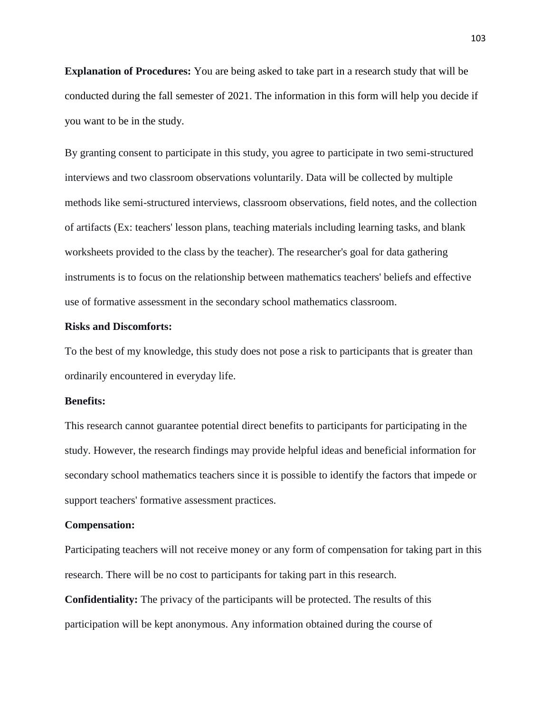**Explanation of Procedures:** You are being asked to take part in a research study that will be conducted during the fall semester of 2021. The information in this form will help you decide if you want to be in the study.

By granting consent to participate in this study, you agree to participate in two semi-structured interviews and two classroom observations voluntarily. Data will be collected by multiple methods like semi-structured interviews, classroom observations, field notes, and the collection of artifacts (Ex: teachers' lesson plans, teaching materials including learning tasks, and blank worksheets provided to the class by the teacher). The researcher's goal for data gathering instruments is to focus on the relationship between mathematics teachers' beliefs and effective use of formative assessment in the secondary school mathematics classroom.

# **Risks and Discomforts:**

To the best of my knowledge, this study does not pose a risk to participants that is greater than ordinarily encountered in everyday life.

## **Benefits:**

This research cannot guarantee potential direct benefits to participants for participating in the study. However, the research findings may provide helpful ideas and beneficial information for secondary school mathematics teachers since it is possible to identify the factors that impede or support teachers' formative assessment practices.

#### **Compensation:**

Participating teachers will not receive money or any form of compensation for taking part in this research. There will be no cost to participants for taking part in this research.

**Confidentiality:** The privacy of the participants will be protected. The results of this participation will be kept anonymous. Any information obtained during the course of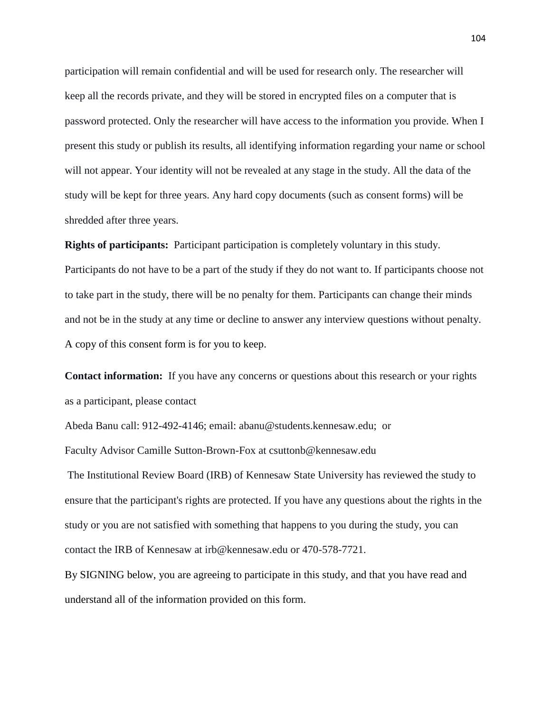participation will remain confidential and will be used for research only. The researcher will keep all the records private, and they will be stored in encrypted files on a computer that is password protected. Only the researcher will have access to the information you provide. When I present this study or publish its results, all identifying information regarding your name or school will not appear. Your identity will not be revealed at any stage in the study. All the data of the study will be kept for three years. Any hard copy documents (such as consent forms) will be shredded after three years.

**Rights of participants:** Participant participation is completely voluntary in this study. Participants do not have to be a part of the study if they do not want to. If participants choose not to take part in the study, there will be no penalty for them. Participants can change their minds and not be in the study at any time or decline to answer any interview questions without penalty. A copy of this consent form is for you to keep.

**Contact information:** If you have any concerns or questions about this research or your rights as a participant, please contact

Abeda Banu call: 912-492-4146; email: abanu@students.kennesaw.edu; or Faculty Advisor Camille Sutton-Brown-Fox at csuttonb@kennesaw.edu

The Institutional Review Board (IRB) of Kennesaw State University has reviewed the study to ensure that the participant's rights are protected. If you have any questions about the rights in the study or you are not satisfied with something that happens to you during the study, you can contact the IRB of Kennesaw at irb@kennesaw.edu or 470-578-7721.

By SIGNING below, you are agreeing to participate in this study, and that you have read and understand all of the information provided on this form.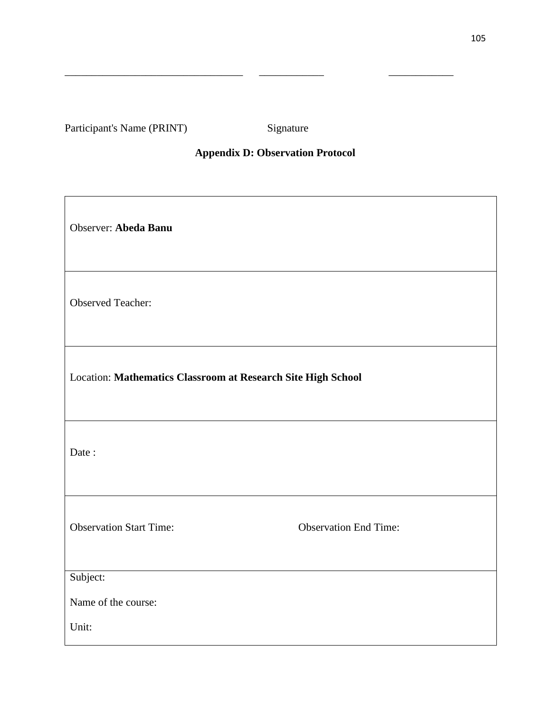Participant's Name (PRINT) Signature

 $\overline{1}$ 

# **Appendix D: Observation Protocol**

\_\_\_\_\_\_\_\_\_\_\_\_\_\_\_\_\_\_\_\_\_\_\_\_\_\_\_\_\_\_\_\_\_ \_\_\_\_\_\_\_\_\_\_\_\_ \_\_\_\_\_\_\_\_\_\_\_\_

| Observer: Abeda Banu                                         |                              |  |  |
|--------------------------------------------------------------|------------------------------|--|--|
| <b>Observed Teacher:</b>                                     |                              |  |  |
| Location: Mathematics Classroom at Research Site High School |                              |  |  |
| Date:                                                        |                              |  |  |
| <b>Observation Start Time:</b>                               | <b>Observation End Time:</b> |  |  |
| Subject:                                                     |                              |  |  |
| Name of the course:                                          |                              |  |  |
| Unit:                                                        |                              |  |  |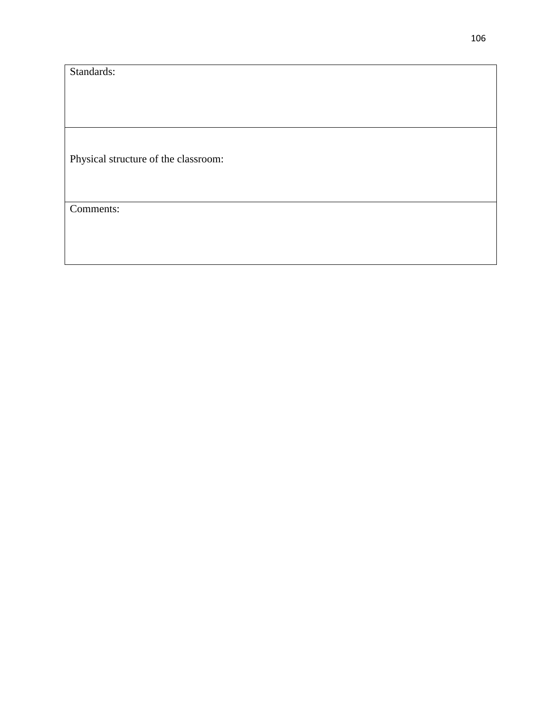Standards:

Physical structure of the classroom:

Comments: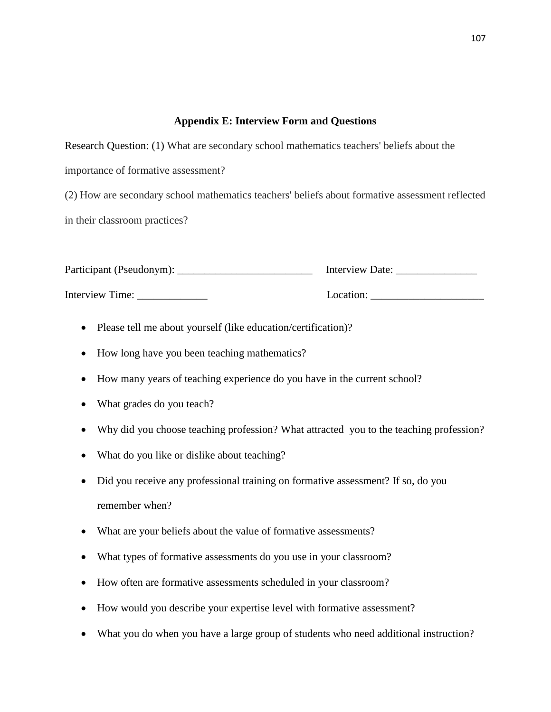# **Appendix E: Interview Form and Questions**

Research Question: (1) What are secondary school mathematics teachers' beliefs about the

importance of formative assessment?

(2) How are secondary school mathematics teachers' beliefs about formative assessment reflected in their classroom practices?

| Participant (Pseudonym): | Interview Date: |
|--------------------------|-----------------|
| Interview Time:          | Location:       |

- Please tell me about yourself (like education/certification)?
- How long have you been teaching mathematics?
- How many years of teaching experience do you have in the current school?
- What grades do you teach?
- Why did you choose teaching profession? What attracted you to the teaching profession?
- What do you like or dislike about teaching?
- Did you receive any professional training on formative assessment? If so, do you remember when?
- What are your beliefs about the value of formative assessments?
- What types of formative assessments do you use in your classroom?
- How often are formative assessments scheduled in your classroom?
- How would you describe your expertise level with formative assessment?
- What you do when you have a large group of students who need additional instruction?